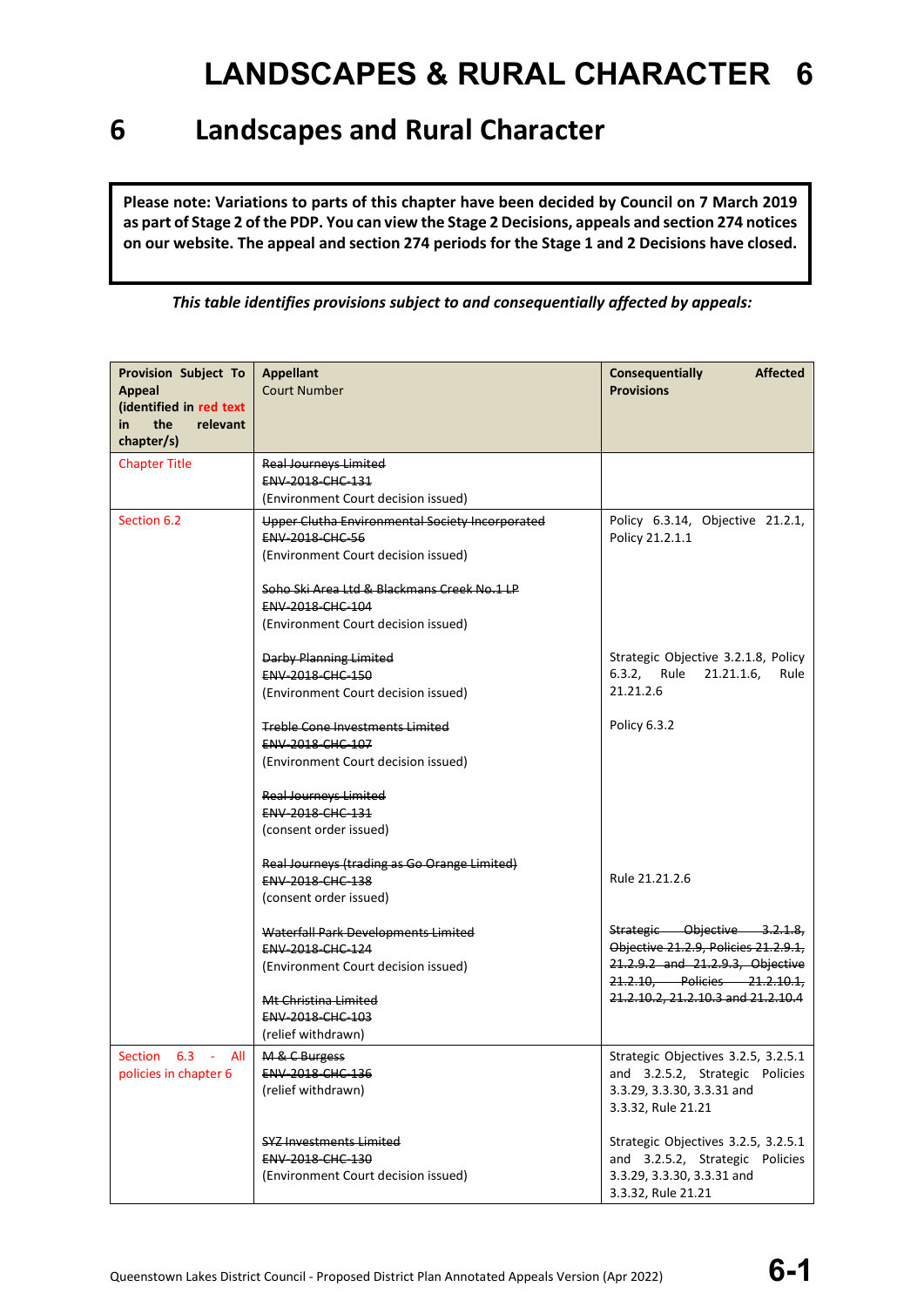### **6 Landscapes and Rural Character**

**Please note: Variations to parts of this chapter have been decided by Council on 7 March 2019 as part of Stage 2 of the PDP. You can view the Stage 2 Decisions, appeals and section 274 notices on our website. The appeal and section 274 periods for the Stage 1 and 2 Decisions have closed.**

*This table identifies provisions subject to and consequentially affected by appeals:*

| <b>Provision Subject To</b>              | <b>Appellant</b>                                | <b>Consequentially</b><br><b>Affected</b>                        |
|------------------------------------------|-------------------------------------------------|------------------------------------------------------------------|
| <b>Appeal</b><br>(identified in red text | <b>Court Number</b>                             | <b>Provisions</b>                                                |
| the<br>relevant<br>in                    |                                                 |                                                                  |
| chapter/s)                               |                                                 |                                                                  |
| <b>Chapter Title</b>                     | <b>Real Journeys Limited</b>                    |                                                                  |
|                                          | ENV-2018-CHC-131                                |                                                                  |
|                                          | (Environment Court decision issued)             |                                                                  |
| Section 6.2                              | Upper Clutha Environmental Society Incorporated | Policy 6.3.14, Objective 21.2.1,                                 |
|                                          | ENV-2018-CHC-56                                 | Policy 21.2.1.1                                                  |
|                                          | (Environment Court decision issued)             |                                                                  |
|                                          | Soho Ski Area Ltd & Blackmans Creek No.1 LP     |                                                                  |
|                                          | <b>ENV 2018 CHC 104</b>                         |                                                                  |
|                                          | (Environment Court decision issued)             |                                                                  |
|                                          | <b>Darby Planning Limited</b>                   | Strategic Objective 3.2.1.8, Policy                              |
|                                          | ENV-2018-CHC-150                                | 6.3.2, Rule 21.21.1.6,<br>Rule                                   |
|                                          | (Environment Court decision issued)             | 21.21.2.6                                                        |
|                                          |                                                 |                                                                  |
|                                          | <b>Treble Cone Investments Limited</b>          | Policy 6.3.2                                                     |
|                                          | ENV-2018-CHC-107                                |                                                                  |
|                                          | (Environment Court decision issued)             |                                                                  |
|                                          | <b>Real Journeys Limited</b>                    |                                                                  |
|                                          | <b>ENV 2018 CHC 131</b>                         |                                                                  |
|                                          | (consent order issued)                          |                                                                  |
|                                          | Real Journeys (trading as Go Orange Limited)    |                                                                  |
|                                          | <b>ENV 2018 CHC 138</b>                         | Rule 21.21.2.6                                                   |
|                                          | (consent order issued)                          |                                                                  |
|                                          | Waterfall Park Developments Limited             | Strategic Objective 3.2.1.8,                                     |
|                                          | ENV-2018-CHC-124                                | Objective 21.2.9, Policies 21.2.9.1,                             |
|                                          | (Environment Court decision issued)             | 21.2.9.2 and 21.2.9.3, Objective<br>21.2.10, Policies 21.2.10.1, |
|                                          | Mt Christina Limited                            | 21.2.10.2, 21.2.10.3 and 21.2.10.4                               |
|                                          | ENV-2018-CHC-103                                |                                                                  |
|                                          | (relief withdrawn)                              |                                                                  |
| Section 6.3 - All                        | M & C Burgess                                   | Strategic Objectives 3.2.5, 3.2.5.1                              |
| policies in chapter 6                    | ENV-2018-CHC-136                                | and 3.2.5.2, Strategic Policies                                  |
|                                          | (relief withdrawn)                              | 3.3.29, 3.3.30, 3.3.31 and                                       |
|                                          |                                                 | 3.3.32, Rule 21.21                                               |
|                                          | <b>SYZ Investments Limited</b>                  | Strategic Objectives 3.2.5, 3.2.5.1                              |
|                                          | <b>ENV 2018 CHC 130</b>                         | and 3.2.5.2, Strategic Policies                                  |
|                                          | (Environment Court decision issued)             | 3.3.29, 3.3.30, 3.3.31 and                                       |
|                                          |                                                 | 3.3.32, Rule 21.21                                               |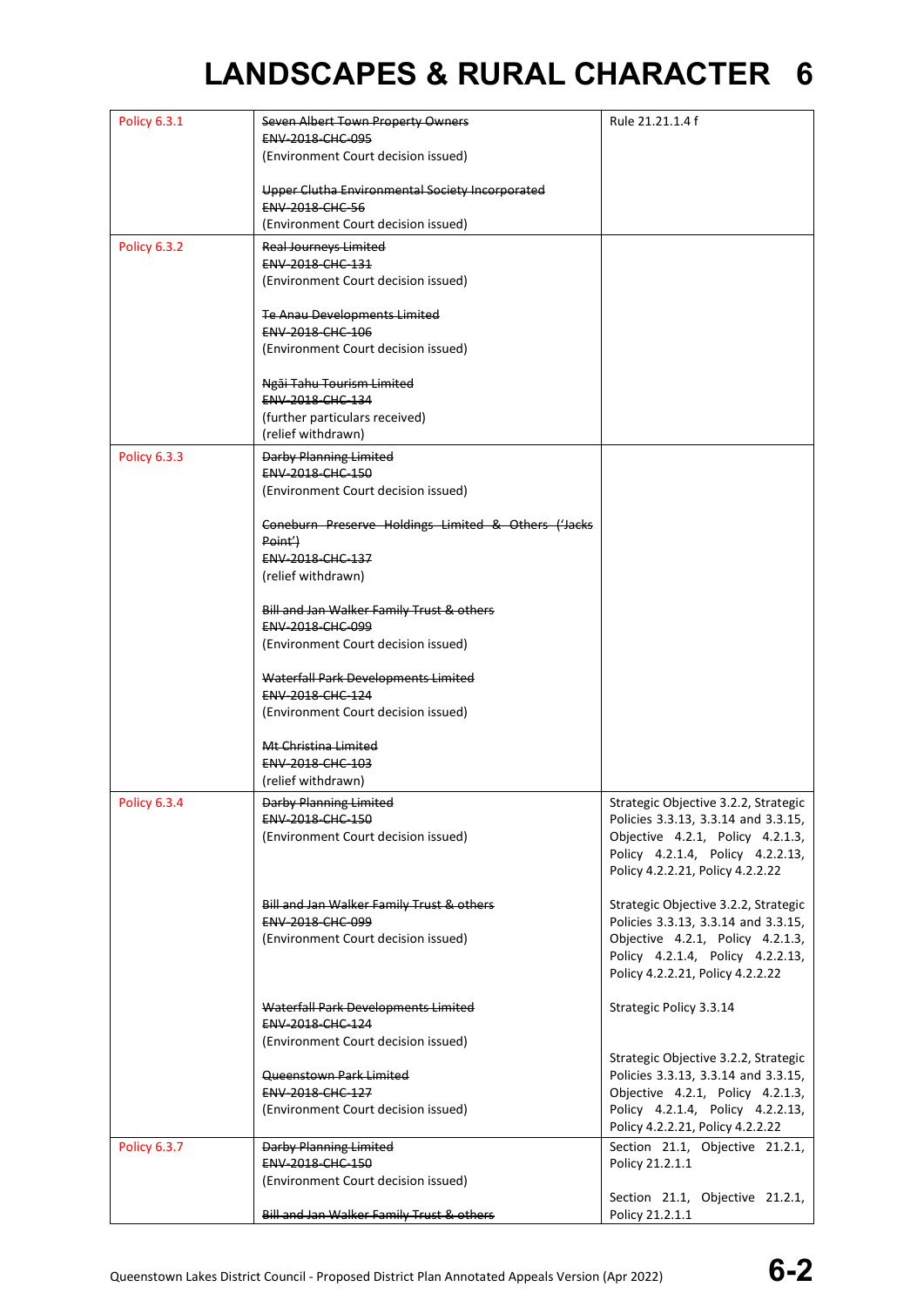| <b>Policy 6.3.1</b> | Seven Albert Town Property Owners                   | Rule 21.21.1.4 f                     |
|---------------------|-----------------------------------------------------|--------------------------------------|
|                     | ENV-2018-CHC-095                                    |                                      |
|                     | (Environment Court decision issued)                 |                                      |
|                     |                                                     |                                      |
|                     |                                                     |                                      |
|                     | Upper Clutha Environmental Society Incorporated     |                                      |
|                     | <b>ENV-2018-CHC-56</b>                              |                                      |
|                     | (Environment Court decision issued)                 |                                      |
|                     |                                                     |                                      |
| <b>Policy 6.3.2</b> | Real Journeys Limited                               |                                      |
|                     | ENV-2018-CHC-131                                    |                                      |
|                     | (Environment Court decision issued)                 |                                      |
|                     |                                                     |                                      |
|                     | Te Anau Developments Limited                        |                                      |
|                     | ENV-2018-CHC-106                                    |                                      |
|                     | (Environment Court decision issued)                 |                                      |
|                     |                                                     |                                      |
|                     |                                                     |                                      |
|                     | Ngāi Tahu Tourism Limited                           |                                      |
|                     | <b>ENV 2018 CHC 134</b>                             |                                      |
|                     | (further particulars received)                      |                                      |
|                     | (relief withdrawn)                                  |                                      |
| <b>Policy 6.3.3</b> |                                                     |                                      |
|                     | Darby Planning Limited                              |                                      |
|                     | <b>ENV 2018 CHC 150</b>                             |                                      |
|                     | (Environment Court decision issued)                 |                                      |
|                     |                                                     |                                      |
|                     | Coneburn Preserve Holdings Limited & Others ('Jacks |                                      |
|                     | Point <sup>'</sup> )                                |                                      |
|                     | ENV-2018-CHC-137                                    |                                      |
|                     | (relief withdrawn)                                  |                                      |
|                     |                                                     |                                      |
|                     | Bill and Jan Walker Family Trust & others           |                                      |
|                     |                                                     |                                      |
|                     | ENV-2018-CHC-099                                    |                                      |
|                     | (Environment Court decision issued)                 |                                      |
|                     |                                                     |                                      |
|                     | Waterfall Park Developments Limited                 |                                      |
|                     | <b>ENV 2018 CHC 124</b>                             |                                      |
|                     | (Environment Court decision issued)                 |                                      |
|                     |                                                     |                                      |
|                     | Mt Christina Limited                                |                                      |
|                     | <b>ENV 2018 CHC 103</b>                             |                                      |
|                     |                                                     |                                      |
|                     | (relief withdrawn)                                  |                                      |
| <b>Policy 6.3.4</b> | Darby Planning Limited                              | Strategic Objective 3.2.2, Strategic |
|                     | ENV-2018-CHC-150                                    | Policies 3.3.13, 3.3.14 and 3.3.15,  |
|                     | (Environment Court decision issued)                 | Objective 4.2.1, Policy 4.2.1.3,     |
|                     |                                                     | Policy 4.2.1.4, Policy 4.2.2.13,     |
|                     |                                                     |                                      |
|                     |                                                     | Policy 4.2.2.21, Policy 4.2.2.22     |
|                     |                                                     |                                      |
|                     | Bill and Jan Walker Family Trust & others           | Strategic Objective 3.2.2, Strategic |
|                     | ENV-2018-CHC-099                                    | Policies 3.3.13, 3.3.14 and 3.3.15,  |
|                     | (Environment Court decision issued)                 | Objective 4.2.1, Policy 4.2.1.3,     |
|                     |                                                     | Policy 4.2.1.4, Policy 4.2.2.13,     |
|                     |                                                     | Policy 4.2.2.21, Policy 4.2.2.22     |
|                     |                                                     |                                      |
|                     |                                                     |                                      |
|                     | Waterfall Park Developments Limited                 | Strategic Policy 3.3.14              |
|                     | ENV-2018-CHC-124                                    |                                      |
|                     | (Environment Court decision issued)                 |                                      |
|                     |                                                     | Strategic Objective 3.2.2, Strategic |
|                     | Queenstown Park Limited                             | Policies 3.3.13, 3.3.14 and 3.3.15,  |
|                     | ENV-2018-CHC-127                                    | Objective 4.2.1, Policy 4.2.1.3,     |
|                     | (Environment Court decision issued)                 | Policy 4.2.1.4, Policy 4.2.2.13,     |
|                     |                                                     | Policy 4.2.2.21, Policy 4.2.2.22     |
|                     |                                                     |                                      |
| <b>Policy 6.3.7</b> | Darby Planning Limited                              | Section 21.1, Objective 21.2.1,      |
|                     | <b>ENV 2018 CHC 150</b>                             | Policy 21.2.1.1                      |
|                     | (Environment Court decision issued)                 |                                      |
|                     |                                                     | Section 21.1, Objective 21.2.1,      |
|                     | Bill and Jan Walker Family Trust & others           | Policy 21.2.1.1                      |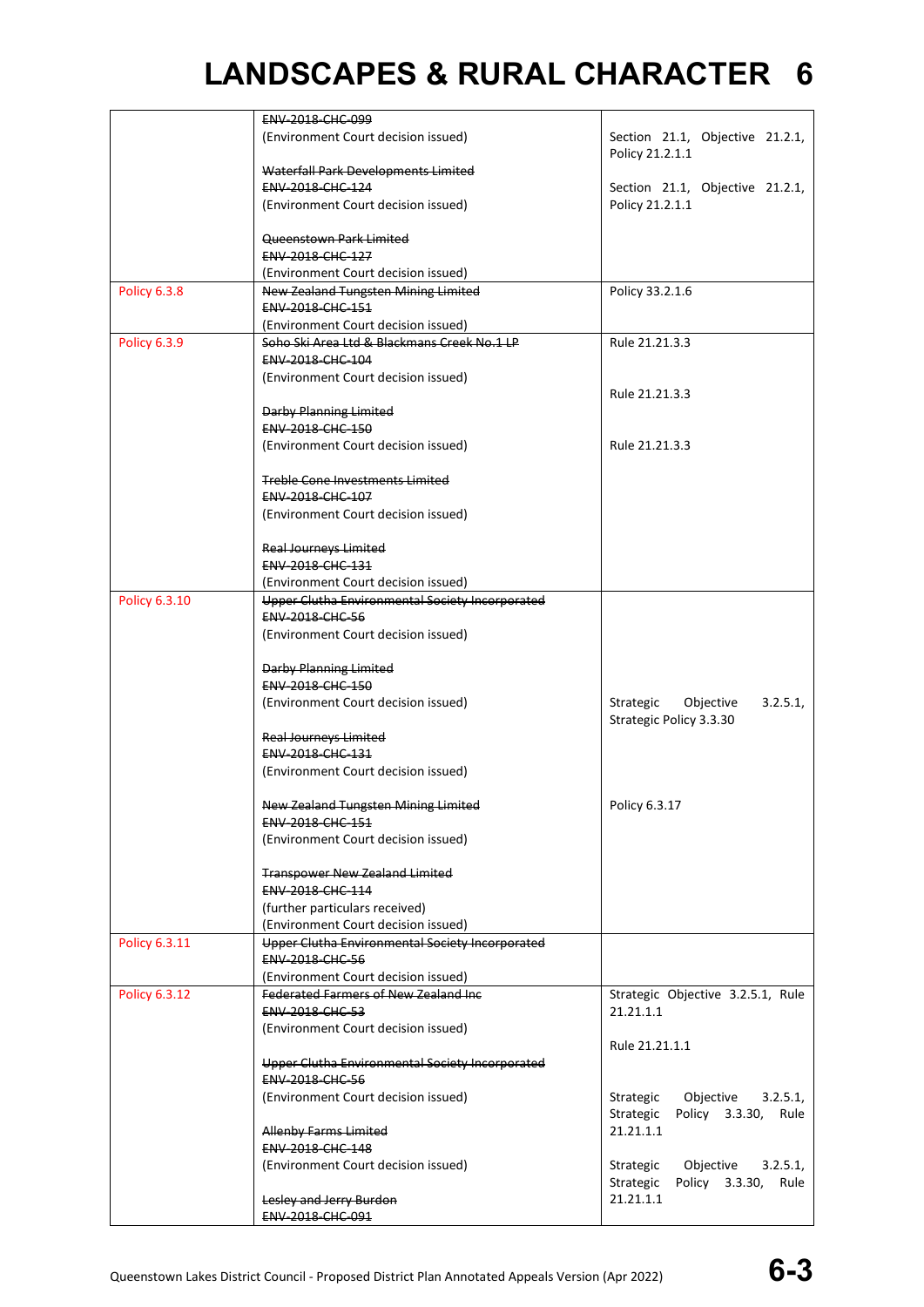|                     | ENV-2018-CHC-099                                                                    |                                                                          |
|---------------------|-------------------------------------------------------------------------------------|--------------------------------------------------------------------------|
|                     | (Environment Court decision issued)                                                 | Section 21.1, Objective 21.2.1,<br>Policy 21.2.1.1                       |
|                     | Waterfall Park Developments Limited                                                 |                                                                          |
|                     | <b>ENV 2018 CHC 124</b>                                                             | Section 21.1, Objective 21.2.1,                                          |
|                     | (Environment Court decision issued)                                                 | Policy 21.2.1.1                                                          |
|                     | Queenstown Park Limited                                                             |                                                                          |
|                     | ENV-2018-CHC-127                                                                    |                                                                          |
|                     | (Environment Court decision issued)                                                 |                                                                          |
| <b>Policy 6.3.8</b> | New Zealand Tungsten Mining Limited                                                 | Policy 33.2.1.6                                                          |
|                     | ENV-2018-CHC-151                                                                    |                                                                          |
|                     | (Environment Court decision issued)                                                 |                                                                          |
| <b>Policy 6.3.9</b> | Soho Ski Area Ltd & Blackmans Creek No.1 LP                                         | Rule 21.21.3.3                                                           |
|                     | ENV-2018-CHC-104                                                                    |                                                                          |
|                     | (Environment Court decision issued)                                                 |                                                                          |
|                     | Darby Planning Limited                                                              | Rule 21.21.3.3                                                           |
|                     | ENV-2018-CHC-150                                                                    |                                                                          |
|                     | (Environment Court decision issued)                                                 | Rule 21.21.3.3                                                           |
|                     |                                                                                     |                                                                          |
|                     | <b>Treble Cone Investments Limited</b>                                              |                                                                          |
|                     | ENV-2018-CHC-107                                                                    |                                                                          |
|                     | (Environment Court decision issued)                                                 |                                                                          |
|                     | <b>Real Journeys Limited</b>                                                        |                                                                          |
|                     | ENV-2018-CHC-131                                                                    |                                                                          |
|                     | (Environment Court decision issued)                                                 |                                                                          |
| Policy 6.3.10       | Upper Clutha Environmental Society Incorporated                                     |                                                                          |
|                     | <b>ENV-2018-CHC-56</b>                                                              |                                                                          |
|                     | (Environment Court decision issued)                                                 |                                                                          |
|                     | Darby Planning Limited                                                              |                                                                          |
|                     | <b>ENV 2018 CHC 150</b>                                                             |                                                                          |
|                     | (Environment Court decision issued)                                                 | Strategic<br>Objective<br>3.2.5.1<br>Strategic Policy 3.3.30             |
|                     | <b>Real Journeys Limited</b>                                                        |                                                                          |
|                     | ENV-2018-CHC-131                                                                    |                                                                          |
|                     | (Environment Court decision issued)                                                 |                                                                          |
|                     | New Zealand Tungsten Mining Limited                                                 | Policy 6.3.17                                                            |
|                     | ENV-2018-CHC-151                                                                    |                                                                          |
|                     | (Environment Court decision issued)                                                 |                                                                          |
|                     | <b>Transpower New Zealand Limited</b>                                               |                                                                          |
|                     | ENV-2018-CHC-114                                                                    |                                                                          |
|                     | (further particulars received)                                                      |                                                                          |
|                     | (Environment Court decision issued)                                                 |                                                                          |
| Policy 6.3.11       | Upper Clutha Environmental Society Incorporated                                     |                                                                          |
|                     | <b>ENV-2018-CHC-56</b>                                                              |                                                                          |
|                     | (Environment Court decision issued)<br><b>Federated Farmers of New Zealand Inc.</b> |                                                                          |
| Policy 6.3.12       | <b>ENV 2018 CHC 53</b>                                                              | Strategic Objective 3.2.5.1, Rule<br>21.21.1.1                           |
|                     | (Environment Court decision issued)                                                 |                                                                          |
|                     |                                                                                     | Rule 21.21.1.1                                                           |
|                     | Upper Clutha Environmental Society Incorporated                                     |                                                                          |
|                     | <b>ENV-2018-CHC-56</b>                                                              |                                                                          |
|                     | (Environment Court decision issued)                                                 | Strategic<br>Objective<br>3.2.5.1                                        |
|                     |                                                                                     | Policy 3.3.30, Rule<br>Strategic                                         |
|                     | Allenby Farms Limited                                                               | 21.21.1.1                                                                |
|                     | <b>ENV 2018 CHC 148</b>                                                             |                                                                          |
|                     | (Environment Court decision issued)                                                 | Objective<br>3.2.5.1<br>Strategic<br>Policy 3.3.30,<br>Strategic<br>Rule |
|                     | Lesley and Jerry Burdon                                                             | 21.21.1.1                                                                |
|                     | ENV 2018 CHC 091                                                                    |                                                                          |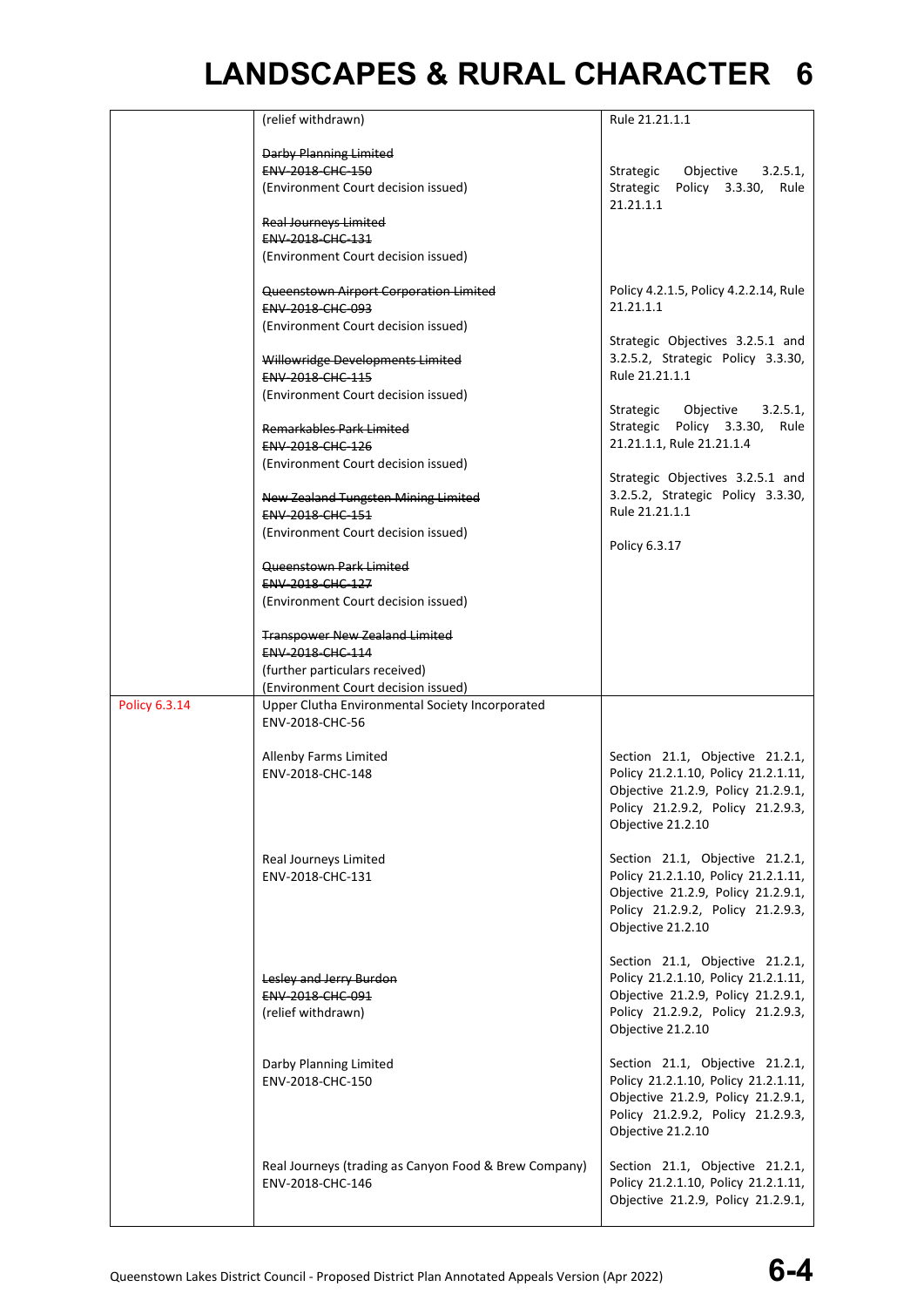|                      | (relief withdrawn)                                                | Rule 21.21.1.1                                                            |
|----------------------|-------------------------------------------------------------------|---------------------------------------------------------------------------|
|                      | Darby Planning Limited                                            |                                                                           |
|                      |                                                                   |                                                                           |
|                      | ENV-2018-CHC-150<br>(Environment Court decision issued)           | Objective 3.2.5.1,<br>Strategic<br>Strategic Policy 3.3.30, Rule          |
|                      |                                                                   | 21.21.1.1                                                                 |
|                      | <b>Real Journeys Limited</b><br>ENV-2018-CHC-131                  |                                                                           |
|                      | (Environment Court decision issued)                               |                                                                           |
|                      |                                                                   |                                                                           |
|                      | Queenstown Airport Corporation Limited<br><b>ENV 2018 CHC 093</b> | Policy 4.2.1.5, Policy 4.2.2.14, Rule<br>21.21.1.1                        |
|                      | (Environment Court decision issued)                               |                                                                           |
|                      |                                                                   | Strategic Objectives 3.2.5.1 and                                          |
|                      | Willowridge Developments Limited<br>ENV-2018-CHC-115              | 3.2.5.2, Strategic Policy 3.3.30,<br>Rule 21.21.1.1                       |
|                      | (Environment Court decision issued)                               |                                                                           |
|                      |                                                                   | Strategic<br>Objective 3.2.5.1,                                           |
|                      | Remarkables Park Limited<br><b>ENV 2018 CHC 126</b>               | Strategic Policy 3.3.30, Rule<br>21.21.1.1, Rule 21.21.1.4                |
|                      | (Environment Court decision issued)                               |                                                                           |
|                      |                                                                   | Strategic Objectives 3.2.5.1 and                                          |
|                      | New Zealand Tungsten Mining Limited<br>ENV-2018-CHC-151           | 3.2.5.2, Strategic Policy 3.3.30,<br>Rule 21.21.1.1                       |
|                      | (Environment Court decision issued)                               |                                                                           |
|                      |                                                                   | Policy 6.3.17                                                             |
|                      | Queenstown Park Limited<br>ENV-2018-CHC-127                       |                                                                           |
|                      | (Environment Court decision issued)                               |                                                                           |
|                      | <b>Transpower New Zealand Limited</b>                             |                                                                           |
|                      | ENV-2018-CHC-114                                                  |                                                                           |
|                      | (further particulars received)                                    |                                                                           |
|                      | (Environment Court decision issued)                               |                                                                           |
| <b>Policy 6.3.14</b> | Upper Clutha Environmental Society Incorporated                   |                                                                           |
|                      | ENV-2018-CHC-56                                                   |                                                                           |
|                      | Allenby Farms Limited                                             | Section 21.1, Objective 21.2.1,                                           |
|                      | ENV-2018-CHC-148                                                  | Policy 21.2.1.10, Policy 21.2.1.11,                                       |
|                      |                                                                   | Objective 21.2.9, Policy 21.2.9.1,                                        |
|                      |                                                                   | Policy 21.2.9.2, Policy 21.2.9.3,<br>Objective 21.2.10                    |
|                      |                                                                   |                                                                           |
|                      | Real Journeys Limited                                             | Section 21.1, Objective 21.2.1,                                           |
|                      | ENV-2018-CHC-131                                                  | Policy 21.2.1.10, Policy 21.2.1.11,<br>Objective 21.2.9, Policy 21.2.9.1, |
|                      |                                                                   | Policy 21.2.9.2, Policy 21.2.9.3,                                         |
|                      |                                                                   | Objective 21.2.10                                                         |
|                      |                                                                   | Section 21.1, Objective 21.2.1,                                           |
|                      | Lesley and Jerry Burdon                                           | Policy 21.2.1.10, Policy 21.2.1.11,                                       |
|                      | ENV-2018-CHC-091                                                  | Objective 21.2.9, Policy 21.2.9.1,                                        |
|                      | (relief withdrawn)                                                | Policy 21.2.9.2, Policy 21.2.9.3,<br>Objective 21.2.10                    |
|                      |                                                                   |                                                                           |
|                      | Darby Planning Limited                                            | Section 21.1, Objective 21.2.1,<br>Policy 21.2.1.10, Policy 21.2.1.11,    |
|                      | ENV-2018-CHC-150                                                  | Objective 21.2.9, Policy 21.2.9.1,                                        |
|                      |                                                                   | Policy 21.2.9.2, Policy 21.2.9.3,                                         |
|                      |                                                                   | Objective 21.2.10                                                         |
|                      | Real Journeys (trading as Canyon Food & Brew Company)             | Section 21.1, Objective 21.2.1,                                           |
|                      | ENV-2018-CHC-146                                                  | Policy 21.2.1.10, Policy 21.2.1.11,                                       |
|                      |                                                                   | Objective 21.2.9, Policy 21.2.9.1,                                        |
|                      |                                                                   |                                                                           |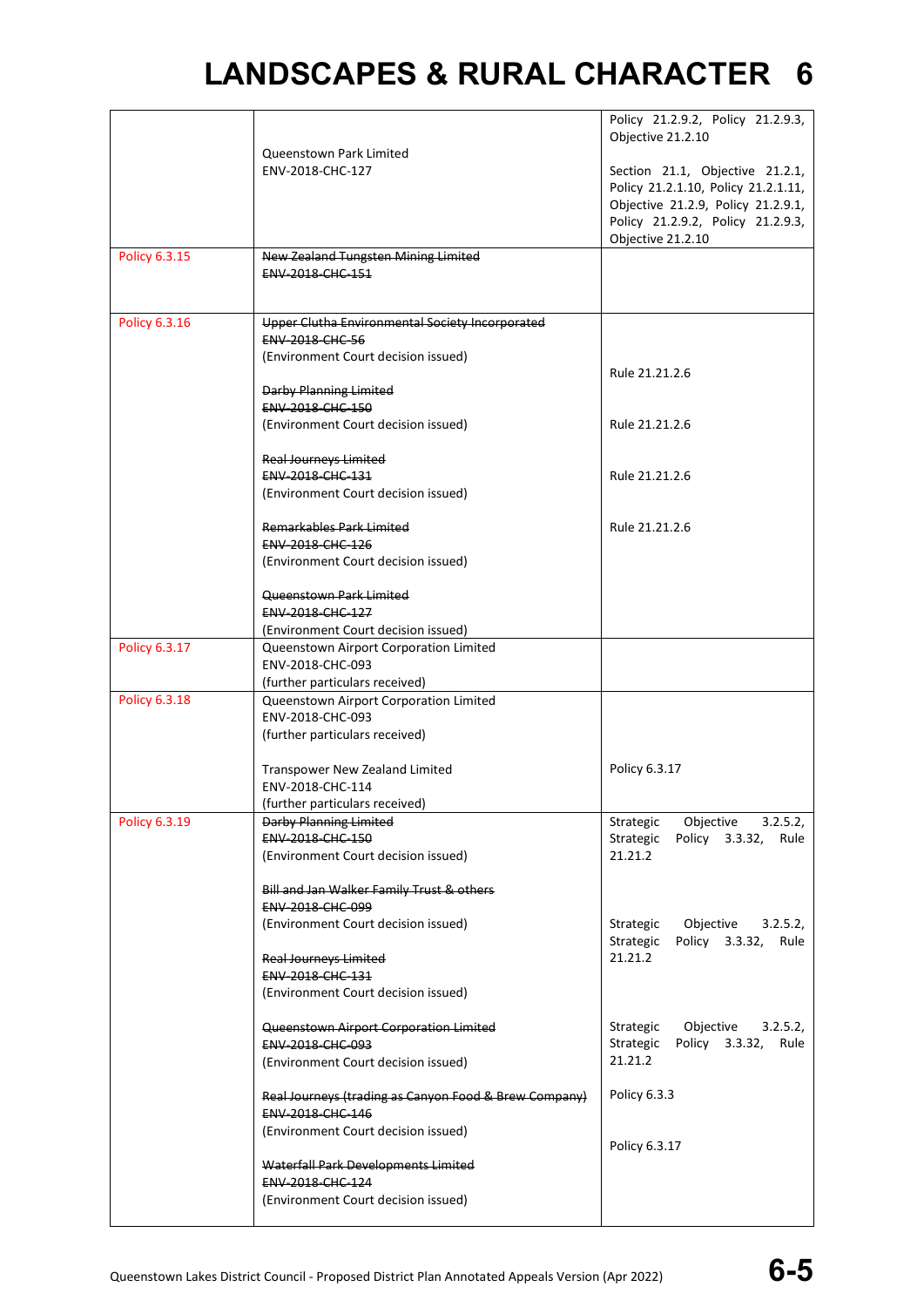|               |                                                                          | Policy 21.2.9.2, Policy 21.2.9.3,                                      |
|---------------|--------------------------------------------------------------------------|------------------------------------------------------------------------|
|               |                                                                          | Objective 21.2.10                                                      |
|               | Queenstown Park Limited                                                  |                                                                        |
|               | ENV-2018-CHC-127                                                         | Section 21.1, Objective 21.2.1,<br>Policy 21.2.1.10, Policy 21.2.1.11, |
|               |                                                                          | Objective 21.2.9, Policy 21.2.9.1,                                     |
|               |                                                                          | Policy 21.2.9.2, Policy 21.2.9.3,                                      |
|               |                                                                          | Objective 21.2.10                                                      |
| Policy 6.3.15 | New Zealand Tungsten Mining Limited                                      |                                                                        |
|               | ENV-2018-CHC-151                                                         |                                                                        |
|               |                                                                          |                                                                        |
| Policy 6.3.16 | Upper Clutha Environmental Society Incorporated                          |                                                                        |
|               | <b>ENV 2018 CHC 56</b>                                                   |                                                                        |
|               | (Environment Court decision issued)                                      |                                                                        |
|               | <b>Darby Planning Limited</b>                                            | Rule 21.21.2.6                                                         |
|               | ENV-2018-CHC-150                                                         |                                                                        |
|               | (Environment Court decision issued)                                      | Rule 21.21.2.6                                                         |
|               |                                                                          |                                                                        |
|               | <b>Real Journeys Limited</b>                                             |                                                                        |
|               | ENV-2018-CHC-131                                                         | Rule 21.21.2.6                                                         |
|               | (Environment Court decision issued)                                      |                                                                        |
|               | <b>Remarkables Park Limited</b>                                          | Rule 21.21.2.6                                                         |
|               | <b>ENV 2018 CHC 126</b>                                                  |                                                                        |
|               | (Environment Court decision issued)                                      |                                                                        |
|               | Queenstown Park Limited                                                  |                                                                        |
|               | ENV-2018-CHC-127                                                         |                                                                        |
|               | (Environment Court decision issued)                                      |                                                                        |
| Policy 6.3.17 | Queenstown Airport Corporation Limited                                   |                                                                        |
|               | ENV-2018-CHC-093                                                         |                                                                        |
| Policy 6.3.18 | (further particulars received)<br>Queenstown Airport Corporation Limited |                                                                        |
|               | ENV-2018-CHC-093                                                         |                                                                        |
|               | (further particulars received)                                           |                                                                        |
|               |                                                                          |                                                                        |
|               | Transpower New Zealand Limited                                           | Policy 6.3.17                                                          |
|               | ENV-2018-CHC-114<br>(further particulars received)                       |                                                                        |
| Policy 6.3.19 | Darby Planning Limited                                                   | Strategic Objective 3.2.5.2,                                           |
|               | ENV-2018-CHC-150                                                         | Strategic Policy 3.3.32, Rule                                          |
|               | (Environment Court decision issued)                                      | 21.21.2                                                                |
|               |                                                                          |                                                                        |
|               | Bill and Jan Walker Family Trust & others<br>ENV-2018-CHC-099            |                                                                        |
|               | (Environment Court decision issued)                                      | Strategic Objective 3.2.5.2,                                           |
|               |                                                                          | Strategic Policy 3.3.32, Rule                                          |
|               | <b>Real Journeys Limited</b>                                             | 21.21.2                                                                |
|               | <b>ENV 2018 CHC 131</b>                                                  |                                                                        |
|               | (Environment Court decision issued)                                      |                                                                        |
|               | Queenstown Airport Corporation Limited                                   | Objective 3.2.5.2,<br>Strategic                                        |
|               | <b>ENV 2018 CHC 093</b>                                                  | Strategic Policy 3.3.32, Rule                                          |
|               | (Environment Court decision issued)                                      | 21.21.2                                                                |
|               | Real Journeys (trading as Canyon Food & Brew Company)                    | Policy 6.3.3                                                           |
|               | ENV-2018-CHC-146                                                         |                                                                        |
|               | (Environment Court decision issued)                                      |                                                                        |
|               | Waterfall Park Developments Limited                                      | Policy 6.3.17                                                          |
|               | <b>ENV 2018 CHC 124</b>                                                  |                                                                        |
|               | (Environment Court decision issued)                                      |                                                                        |
|               |                                                                          |                                                                        |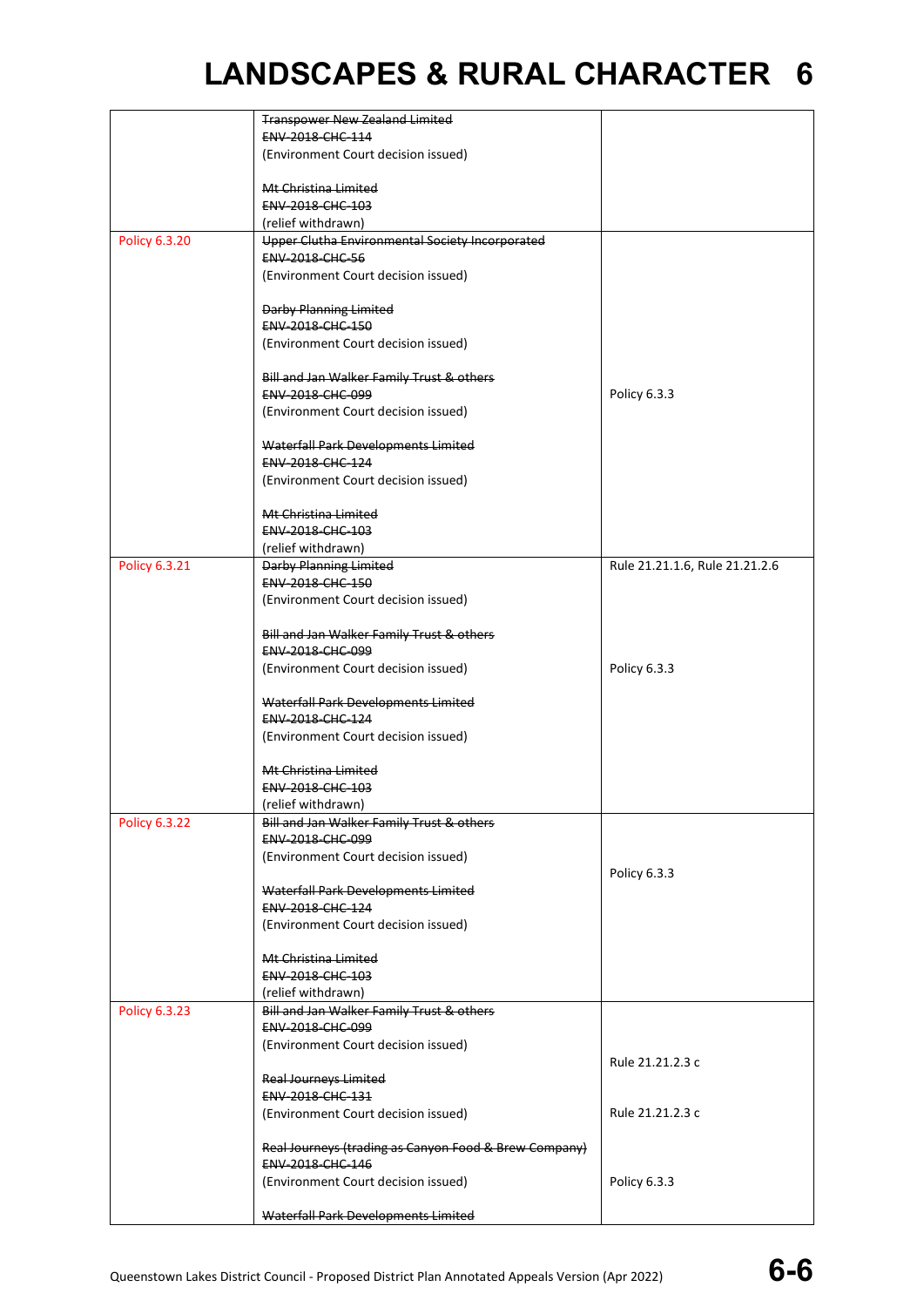|               | <b>Transpower New Zealand Limited</b>                 |                                |
|---------------|-------------------------------------------------------|--------------------------------|
|               | ENV-2018-CHC-114                                      |                                |
|               | (Environment Court decision issued)                   |                                |
|               |                                                       |                                |
|               | Mt Christina Limited                                  |                                |
|               | ENV-2018-CHC-103                                      |                                |
|               |                                                       |                                |
|               | (relief withdrawn)                                    |                                |
| Policy 6.3.20 | Upper Clutha Environmental Society Incorporated       |                                |
|               | <b>ENV 2018 CHC 56</b>                                |                                |
|               | (Environment Court decision issued)                   |                                |
|               |                                                       |                                |
|               | <b>Darby Planning Limited</b>                         |                                |
|               | ENV-2018-CHC-150                                      |                                |
|               | (Environment Court decision issued)                   |                                |
|               |                                                       |                                |
|               | Bill and Jan Walker Family Trust & others             |                                |
|               | ENV-2018-CHC-099                                      | Policy 6.3.3                   |
|               |                                                       |                                |
|               | (Environment Court decision issued)                   |                                |
|               |                                                       |                                |
|               | Waterfall Park Developments Limited                   |                                |
|               | ENV-2018-CHC-124                                      |                                |
|               | (Environment Court decision issued)                   |                                |
|               |                                                       |                                |
|               | Mt Christina Limited                                  |                                |
|               | ENV-2018-CHC-103                                      |                                |
|               | (relief withdrawn)                                    |                                |
| Policy 6.3.21 | Darby Planning Limited                                | Rule 21.21.1.6, Rule 21.21.2.6 |
|               | <b>ENV 2018 CHC 150</b>                               |                                |
|               | (Environment Court decision issued)                   |                                |
|               |                                                       |                                |
|               | Bill and Jan Walker Family Trust & others             |                                |
|               | ENV-2018-CHC-099                                      |                                |
|               |                                                       |                                |
|               | (Environment Court decision issued)                   | Policy 6.3.3                   |
|               |                                                       |                                |
|               | Waterfall Park Developments Limited                   |                                |
|               | ENV-2018-CHC-124                                      |                                |
|               | (Environment Court decision issued)                   |                                |
|               |                                                       |                                |
|               | Mt Christina Limited                                  |                                |
|               | ENV-2018-CHC-103                                      |                                |
|               | (relief withdrawn)                                    |                                |
| Policy 6.3.22 | Bill and Jan Walker Family Trust & others             |                                |
|               | <b>ENV 2018 CHC 099</b>                               |                                |
|               | (Environment Court decision issued)                   |                                |
|               |                                                       | Policy 6.3.3                   |
|               | Waterfall Park Developments Limited                   |                                |
|               | <b>ENV 2018 CHC 124</b>                               |                                |
|               |                                                       |                                |
|               | (Environment Court decision issued)                   |                                |
|               |                                                       |                                |
|               | Mt Christina Limited                                  |                                |
|               | ENV-2018-CHC-103                                      |                                |
|               | (relief withdrawn)                                    |                                |
| Policy 6.3.23 | Bill and Jan Walker Family Trust & others             |                                |
|               | ENV-2018-CHC-099                                      |                                |
|               | (Environment Court decision issued)                   |                                |
|               |                                                       | Rule 21.21.2.3 c               |
|               | <b>Real Journeys Limited</b>                          |                                |
|               | <b>ENV 2018 CHC 131</b>                               |                                |
|               | (Environment Court decision issued)                   | Rule 21.21.2.3 c               |
|               |                                                       |                                |
|               | Real Journeys (trading as Canyon Food & Brew Company) |                                |
|               | ENV-2018-CHC-146                                      |                                |
|               |                                                       |                                |
|               | (Environment Court decision issued)                   | Policy 6.3.3                   |
|               |                                                       |                                |
|               | Waterfall Park Developments Limited                   |                                |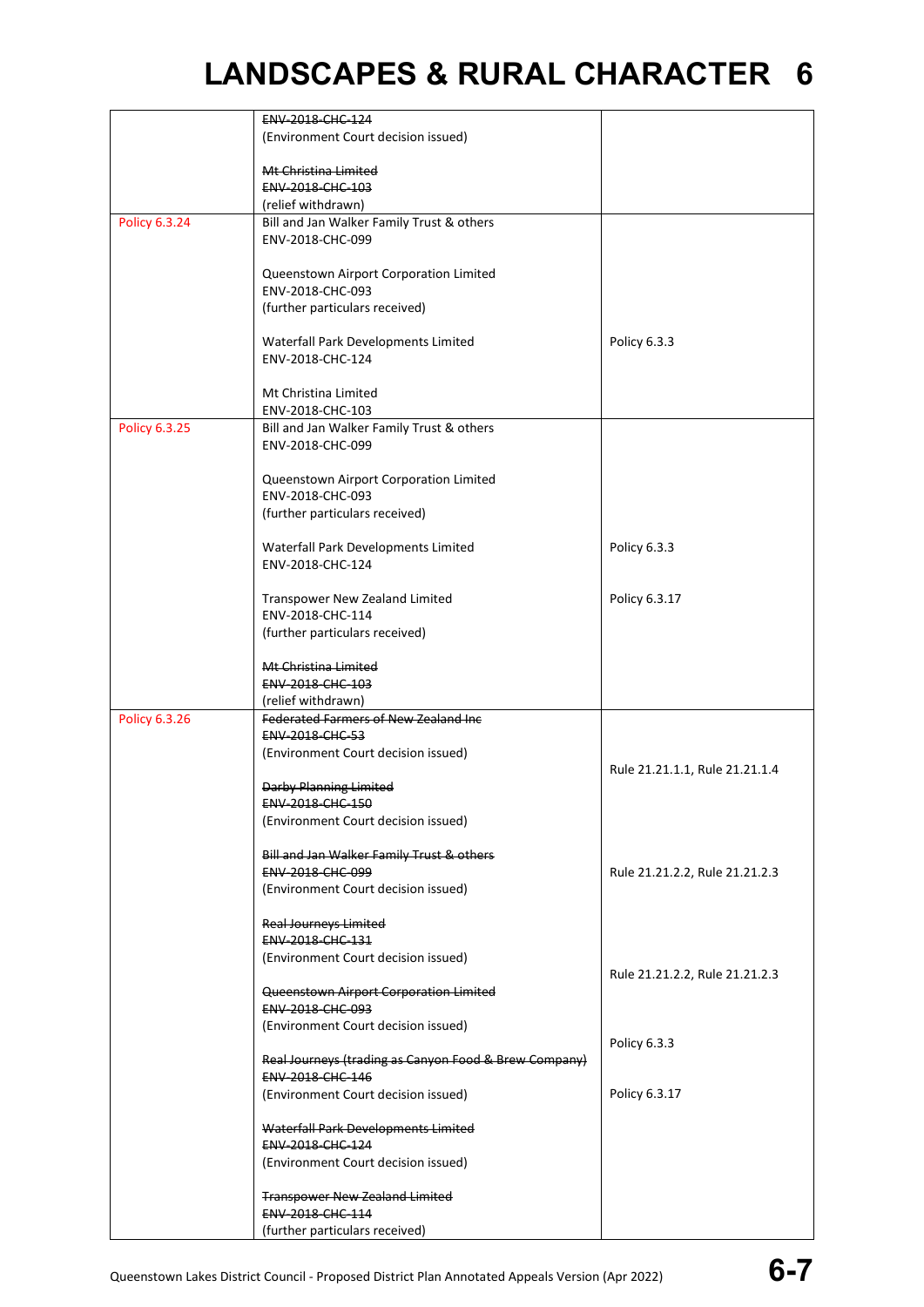|               | ENV-2018-CHC-124                                      |                                |
|---------------|-------------------------------------------------------|--------------------------------|
|               | (Environment Court decision issued)                   |                                |
|               |                                                       |                                |
|               | Mt Christina Limited                                  |                                |
|               | <b>ENV 2018 CHC 103</b>                               |                                |
|               |                                                       |                                |
|               | (relief withdrawn)                                    |                                |
| Policy 6.3.24 | Bill and Jan Walker Family Trust & others             |                                |
|               | ENV-2018-CHC-099                                      |                                |
|               |                                                       |                                |
|               | Queenstown Airport Corporation Limited                |                                |
|               | ENV-2018-CHC-093                                      |                                |
|               | (further particulars received)                        |                                |
|               |                                                       |                                |
|               | Waterfall Park Developments Limited                   | Policy 6.3.3                   |
|               | ENV-2018-CHC-124                                      |                                |
|               |                                                       |                                |
|               | Mt Christina Limited                                  |                                |
|               |                                                       |                                |
|               | ENV-2018-CHC-103                                      |                                |
| Policy 6.3.25 | Bill and Jan Walker Family Trust & others             |                                |
|               | ENV-2018-CHC-099                                      |                                |
|               |                                                       |                                |
|               | Queenstown Airport Corporation Limited                |                                |
|               | ENV-2018-CHC-093                                      |                                |
|               | (further particulars received)                        |                                |
|               |                                                       |                                |
|               | Waterfall Park Developments Limited                   | Policy 6.3.3                   |
|               | ENV-2018-CHC-124                                      |                                |
|               |                                                       |                                |
|               | Transpower New Zealand Limited                        | Policy 6.3.17                  |
|               | ENV-2018-CHC-114                                      |                                |
|               |                                                       |                                |
|               | (further particulars received)                        |                                |
|               |                                                       |                                |
|               | Mt Christina Limited                                  |                                |
|               | ENV-2018-CHC-103                                      |                                |
|               | (relief withdrawn)                                    |                                |
| Policy 6.3.26 | Federated Farmers of New Zealand Inc                  |                                |
|               | ENV-2018-CHC-53                                       |                                |
|               | (Environment Court decision issued)                   |                                |
|               |                                                       | Rule 21.21.1.1, Rule 21.21.1.4 |
|               | <b>Darby Planning Limited</b>                         |                                |
|               | ENV-2018-CHC-150                                      |                                |
|               | (Environment Court decision issued)                   |                                |
|               |                                                       |                                |
|               | Bill and Jan Walker Family Trust & others             |                                |
|               | <b>ENV 2018 CHC 099</b>                               |                                |
|               |                                                       | Rule 21.21.2.2, Rule 21.21.2.3 |
|               | (Environment Court decision issued)                   |                                |
|               |                                                       |                                |
|               | <b>Real Journeys Limited</b>                          |                                |
|               | ENV-2018-CHC-131                                      |                                |
|               | (Environment Court decision issued)                   |                                |
|               |                                                       | Rule 21.21.2.2, Rule 21.21.2.3 |
|               | Queenstown Airport Corporation Limited                |                                |
|               |                                                       |                                |
|               | <b>ENV 2018 CHC 093</b>                               |                                |
|               |                                                       |                                |
|               | (Environment Court decision issued)                   |                                |
|               |                                                       | Policy 6.3.3                   |
|               | Real Journeys (trading as Canyon Food & Brew Company) |                                |
|               | <b>ENV 2018 CHC 146</b>                               |                                |
|               | (Environment Court decision issued)                   | Policy 6.3.17                  |
|               |                                                       |                                |
|               | Waterfall Park Developments Limited                   |                                |
|               | ENV-2018-CHC-124                                      |                                |
|               | (Environment Court decision issued)                   |                                |
|               |                                                       |                                |
|               | <b>Transpower New Zealand Limited</b>                 |                                |
|               | ENV-2018-CHC-114<br>(further particulars received)    |                                |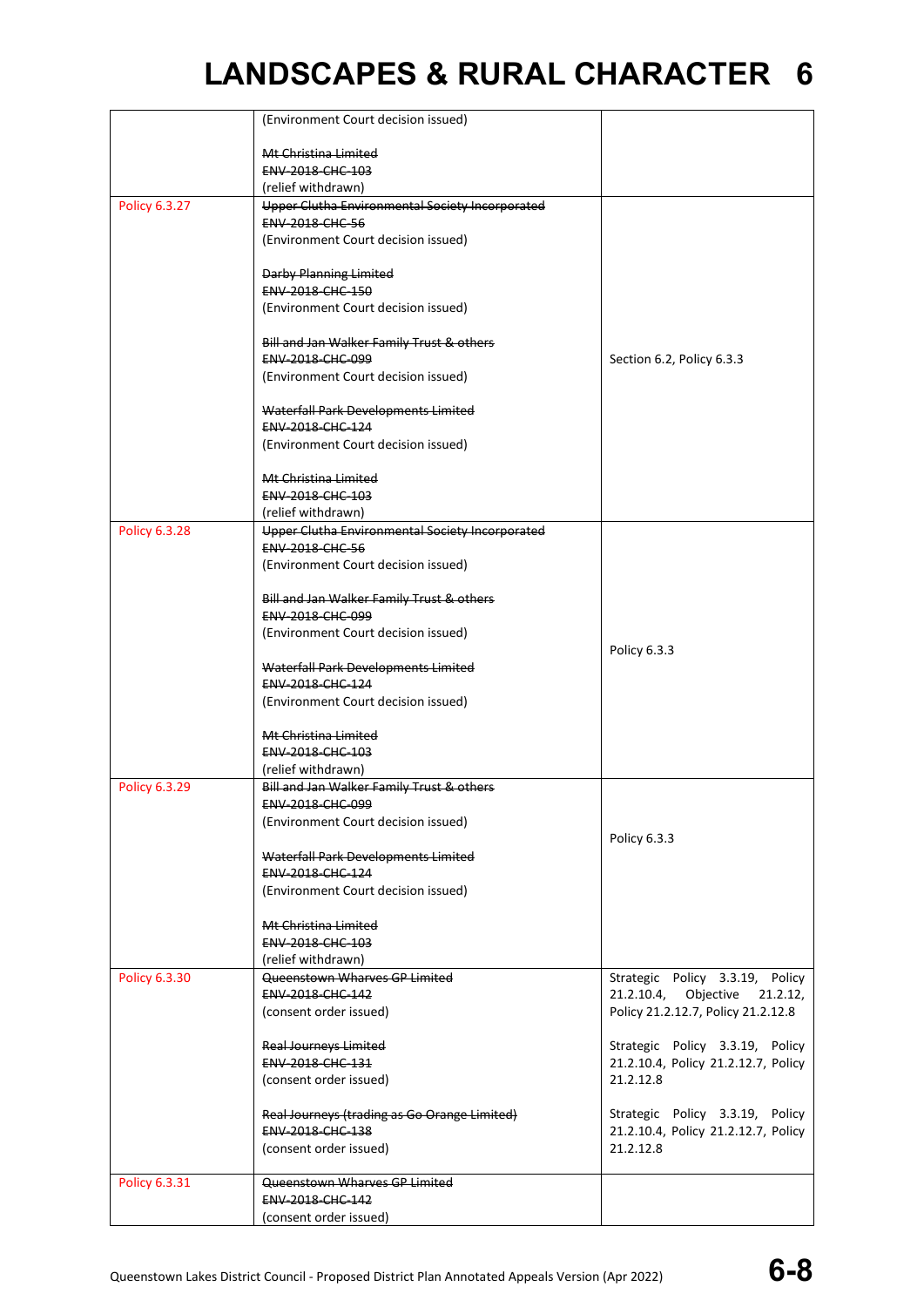|                      | (Environment Court decision issued)                                  |                                                                     |
|----------------------|----------------------------------------------------------------------|---------------------------------------------------------------------|
|                      | Mt Christina Limited                                                 |                                                                     |
|                      | ENV-2018-CHC-103                                                     |                                                                     |
|                      | (relief withdrawn)                                                   |                                                                     |
| Policy 6.3.27        | Upper Clutha Environmental Society Incorporated                      |                                                                     |
|                      | <b>ENV-2018-CHC-56</b>                                               |                                                                     |
|                      | (Environment Court decision issued)                                  |                                                                     |
|                      | <b>Darby Planning Limited</b>                                        |                                                                     |
|                      | ENV-2018-CHC-150                                                     |                                                                     |
|                      | (Environment Court decision issued)                                  |                                                                     |
|                      |                                                                      |                                                                     |
|                      | Bill and Jan Walker Family Trust & others<br>ENV-2018-CHC-099        |                                                                     |
|                      | (Environment Court decision issued)                                  | Section 6.2, Policy 6.3.3                                           |
|                      |                                                                      |                                                                     |
|                      | Waterfall Park Developments Limited                                  |                                                                     |
|                      | <b>ENV 2018 CHC 124</b>                                              |                                                                     |
|                      | (Environment Court decision issued)                                  |                                                                     |
|                      |                                                                      |                                                                     |
|                      | Mt Christina Limited<br><b>ENV 2018 CHC 103</b>                      |                                                                     |
|                      | (relief withdrawn)                                                   |                                                                     |
| <b>Policy 6.3.28</b> | Upper Clutha Environmental Society Incorporated                      |                                                                     |
|                      | <b>ENV-2018-CHC-56</b>                                               |                                                                     |
|                      | (Environment Court decision issued)                                  |                                                                     |
|                      |                                                                      |                                                                     |
|                      | Bill and Jan Walker Family Trust & others<br><b>ENV 2018 CHC 099</b> |                                                                     |
|                      | (Environment Court decision issued)                                  |                                                                     |
|                      |                                                                      | Policy 6.3.3                                                        |
|                      | Waterfall Park Developments Limited                                  |                                                                     |
|                      | ENV-2018-CHC-124                                                     |                                                                     |
|                      | (Environment Court decision issued)                                  |                                                                     |
|                      | Mt Christina Limited                                                 |                                                                     |
|                      | ENV-2018-CHC-103                                                     |                                                                     |
|                      | (relief withdrawn)                                                   |                                                                     |
| <b>Policy 6.3.29</b> | Bill and Jan Walker Family Trust & others                            |                                                                     |
|                      | <b>ENV 2018 CHC 099</b>                                              |                                                                     |
|                      | (Environment Court decision issued)                                  |                                                                     |
|                      | Waterfall Park Developments Limited                                  | Policy 6.3.3                                                        |
|                      | ENV-2018-CHC-124                                                     |                                                                     |
|                      | (Environment Court decision issued)                                  |                                                                     |
|                      |                                                                      |                                                                     |
|                      | Mt Christina Limited                                                 |                                                                     |
|                      | <b>ENV 2018 CHC 103</b>                                              |                                                                     |
| Policy 6.3.30        | (relief withdrawn)<br>Queenstown Wharves GP Limited                  |                                                                     |
|                      | ENV-2018-CHC-142                                                     | Strategic Policy 3.3.19, Policy<br>21.2.10.4, Objective<br>21.2.12, |
|                      | (consent order issued)                                               | Policy 21.2.12.7, Policy 21.2.12.8                                  |
|                      |                                                                      |                                                                     |
|                      | <b>Real Journeys Limited</b>                                         | Strategic Policy 3.3.19, Policy                                     |
|                      | <b>ENV 2018 CHC 131</b>                                              | 21.2.10.4, Policy 21.2.12.7, Policy                                 |
|                      | (consent order issued)                                               | 21.2.12.8                                                           |
|                      | Real Journeys (trading as Go Orange Limited)                         | Strategic Policy 3.3.19, Policy                                     |
|                      | ENV-2018-CHC-138                                                     | 21.2.10.4, Policy 21.2.12.7, Policy                                 |
|                      | (consent order issued)                                               | 21.2.12.8                                                           |
|                      |                                                                      |                                                                     |
| Policy 6.3.31        | Queenstown Wharves GP Limited                                        |                                                                     |
|                      | ENV-2018-CHC-142                                                     |                                                                     |
|                      | (consent order issued)                                               |                                                                     |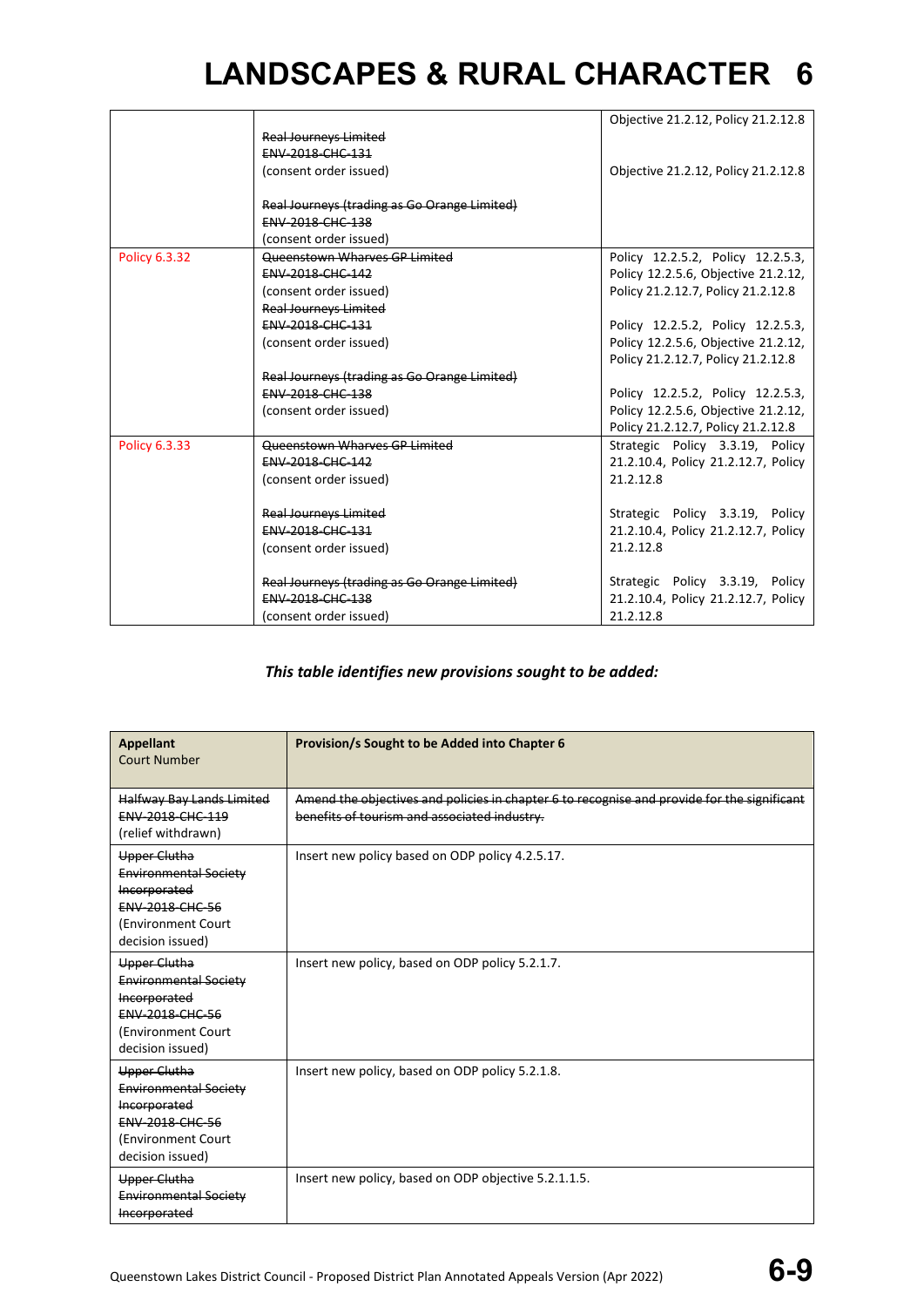|                      |                                              | Objective 21.2.12, Policy 21.2.12.8 |
|----------------------|----------------------------------------------|-------------------------------------|
|                      | <b>Real Journeys Limited</b>                 |                                     |
|                      | <b>ENV-2018-CHC-131</b>                      |                                     |
|                      | (consent order issued)                       | Objective 21.2.12, Policy 21.2.12.8 |
|                      |                                              |                                     |
|                      | Real Journeys (trading as Go Orange Limited) |                                     |
|                      | <b>ENV 2018 CHC 138</b>                      |                                     |
|                      | (consent order issued)                       |                                     |
| <b>Policy 6.3.32</b> | Queenstown Wharves GP Limited                | Policy 12.2.5.2, Policy 12.2.5.3,   |
|                      | <b>ENV-2018-CHC-142</b>                      | Policy 12.2.5.6, Objective 21.2.12, |
|                      | (consent order issued)                       | Policy 21.2.12.7, Policy 21.2.12.8  |
|                      | <b>Real Journeys Limited</b>                 |                                     |
|                      | <b>ENV-2018-CHC-131</b>                      | Policy 12.2.5.2, Policy 12.2.5.3,   |
|                      | (consent order issued)                       | Policy 12.2.5.6, Objective 21.2.12, |
|                      |                                              | Policy 21.2.12.7, Policy 21.2.12.8  |
|                      | Real Journeys (trading as Go Orange Limited) |                                     |
|                      | <b>ENV-2018-CHC-138</b>                      | Policy 12.2.5.2, Policy 12.2.5.3,   |
|                      | (consent order issued)                       | Policy 12.2.5.6, Objective 21.2.12, |
|                      |                                              | Policy 21.2.12.7, Policy 21.2.12.8  |
| Policy 6.3.33        | <b>Queenstown Wharves GP Limited</b>         | Strategic Policy 3.3.19, Policy     |
|                      | ENV-2018-CHC-142                             | 21.2.10.4, Policy 21.2.12.7, Policy |
|                      | (consent order issued)                       | 21.2.12.8                           |
|                      |                                              |                                     |
|                      | <b>Real Journeys Limited</b>                 | Strategic Policy 3.3.19, Policy     |
|                      | <b>ENV-2018-CHC-131</b>                      | 21.2.10.4, Policy 21.2.12.7, Policy |
|                      | (consent order issued)                       | 21.2.12.8                           |
|                      |                                              |                                     |
|                      | Real Journeys (trading as Go Orange Limited) | Strategic Policy 3.3.19, Policy     |
|                      | <b>ENV-2018-CHC-138</b>                      | 21.2.10.4, Policy 21.2.12.7, Policy |
|                      | (consent order issued)                       | 21.2.12.8                           |

### *This table identifies new provisions sought to be added:*

| <b>Appellant</b><br><b>Court Number</b>                                                                                          | Provision/s Sought to be Added into Chapter 6                                                                                               |
|----------------------------------------------------------------------------------------------------------------------------------|---------------------------------------------------------------------------------------------------------------------------------------------|
| Halfway Bay Lands Limited<br><b>ENV 2018 CHC 119</b><br>(relief withdrawn)                                                       | Amend the objectives and policies in chapter 6 to recognise and provide for the significant<br>benefits of tourism and associated industry. |
| Upper Clutha<br><b>Environmental Society</b><br>Incorporated<br><b>ENV-2018-CHC-56</b><br>(Environment Court<br>decision issued) | Insert new policy based on ODP policy 4.2.5.17.                                                                                             |
| Upper Clutha<br><b>Environmental Society</b><br>Incorporated<br><b>ENV-2018-CHC-56</b><br>(Environment Court<br>decision issued) | Insert new policy, based on ODP policy 5.2.1.7.                                                                                             |
| Upper Clutha<br><b>Environmental Society</b><br>Incorporated<br><b>ENV-2018-CHC-56</b><br>(Environment Court<br>decision issued) | Insert new policy, based on ODP policy 5.2.1.8.                                                                                             |
| Upper Clutha<br><b>Environmental Society</b><br>Incorporated                                                                     | Insert new policy, based on ODP objective 5.2.1.1.5.                                                                                        |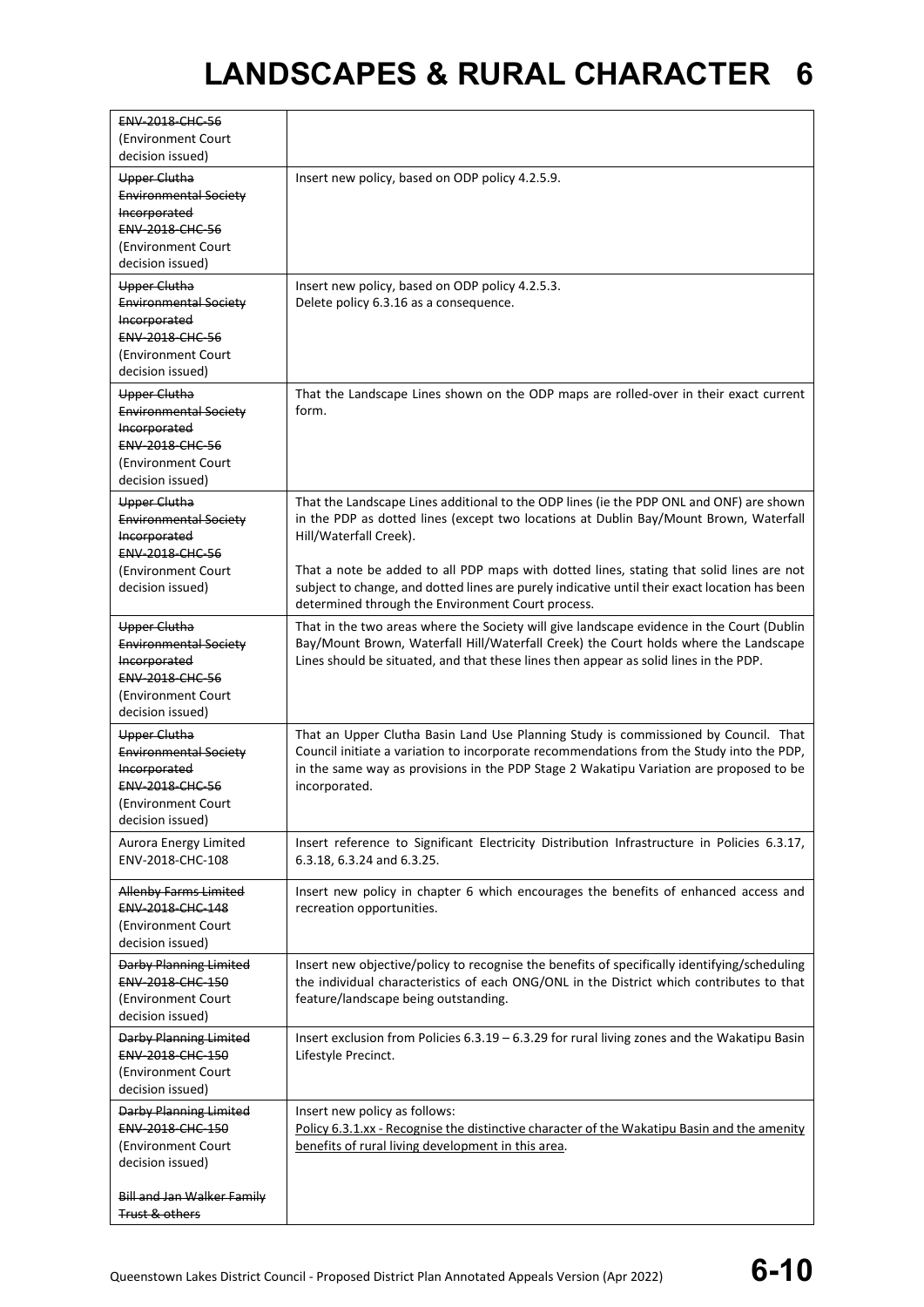| (Environment Court<br>decision issued)<br><b>Upper Clutha</b><br>Insert new policy, based on ODP policy 4.2.5.9.<br><b>Environmental Society</b><br>Incorporated<br><b>ENV-2018-CHC-56</b><br>(Environment Court<br>decision issued)<br><b>Upper Clutha</b><br>Insert new policy, based on ODP policy 4.2.5.3.<br><b>Environmental Society</b><br>Delete policy 6.3.16 as a consequence.<br>Incorporated<br><b>ENV 2018 CHC 56</b><br>(Environment Court<br>decision issued)<br><b>Upper Clutha</b><br>That the Landscape Lines shown on the ODP maps are rolled-over in their exact current<br><b>Environmental Society</b><br>form.<br>Incorporated<br><b>ENV-2018-CHC-56</b><br>(Environment Court<br>decision issued)<br>That the Landscape Lines additional to the ODP lines (ie the PDP ONL and ONF) are shown<br><b>Upper Clutha</b><br>in the PDP as dotted lines (except two locations at Dublin Bay/Mount Brown, Waterfall<br><b>Environmental Society</b><br>Hill/Waterfall Creek).<br>Incorporated<br><b>ENV-2018-CHC-56</b><br>That a note be added to all PDP maps with dotted lines, stating that solid lines are not<br>(Environment Court<br>subject to change, and dotted lines are purely indicative until their exact location has been<br>decision issued)<br>determined through the Environment Court process.<br>That in the two areas where the Society will give landscape evidence in the Court (Dublin<br><b>Upper Clutha</b><br>Bay/Mount Brown, Waterfall Hill/Waterfall Creek) the Court holds where the Landscape<br><b>Environmental Society</b><br>Lines should be situated, and that these lines then appear as solid lines in the PDP.<br>Incorporated<br><b>ENV-2018-CHC-56</b><br>(Environment Court<br>decision issued)<br>That an Upper Clutha Basin Land Use Planning Study is commissioned by Council. That<br>Upper Clutha<br>Council initiate a variation to incorporate recommendations from the Study into the PDP,<br><b>Environmental Society</b><br>in the same way as provisions in the PDP Stage 2 Wakatipu Variation are proposed to be<br>Incorporated<br>incorporated.<br><b>ENV-2018-CHC-56</b><br>(Environment Court)<br>decision issued)<br>Insert reference to Significant Electricity Distribution Infrastructure in Policies 6.3.17,<br>Aurora Energy Limited<br>ENV-2018-CHC-108<br>6.3.18, 6.3.24 and 6.3.25.<br>Insert new policy in chapter 6 which encourages the benefits of enhanced access and<br><b>Allenby Farms Limited</b><br>ENV-2018-CHC-148<br>recreation opportunities.<br>(Environment Court<br>decision issued)<br>Insert new objective/policy to recognise the benefits of specifically identifying/scheduling<br><b>Darby Planning Limited</b><br>the individual characteristics of each ONG/ONL in the District which contributes to that<br>ENV-2018-CHC-150<br>(Environment Court<br>feature/landscape being outstanding.<br>decision issued)<br><b>Darby Planning Limited</b><br>Insert exclusion from Policies $6.3.19 - 6.3.29$ for rural living zones and the Wakatipu Basin<br>ENV-2018-CHC-150<br>Lifestyle Precinct.<br>(Environment Court<br>decision issued)<br>Darby Planning Limited<br>Insert new policy as follows:<br>ENV-2018-CHC-150<br>Policy 6.3.1.xx - Recognise the distinctive character of the Wakatipu Basin and the amenity<br>(Environment Court<br>benefits of rural living development in this area.<br>decision issued) | <b>ENV-2018-CHC-56</b> |  |
|---------------------------------------------------------------------------------------------------------------------------------------------------------------------------------------------------------------------------------------------------------------------------------------------------------------------------------------------------------------------------------------------------------------------------------------------------------------------------------------------------------------------------------------------------------------------------------------------------------------------------------------------------------------------------------------------------------------------------------------------------------------------------------------------------------------------------------------------------------------------------------------------------------------------------------------------------------------------------------------------------------------------------------------------------------------------------------------------------------------------------------------------------------------------------------------------------------------------------------------------------------------------------------------------------------------------------------------------------------------------------------------------------------------------------------------------------------------------------------------------------------------------------------------------------------------------------------------------------------------------------------------------------------------------------------------------------------------------------------------------------------------------------------------------------------------------------------------------------------------------------------------------------------------------------------------------------------------------------------------------------------------------------------------------------------------------------------------------------------------------------------------------------------------------------------------------------------------------------------------------------------------------------------------------------------------------------------------------------------------------------------------------------------------------------------------------------------------------------------------------------------------------------------------------------------------------------------------------------------------------------------------------------------------------------------------------------------------------------------------------------------------------------------------------------------------------------------------------------------------------------------------------------------------------------------------------------------------------------------------------------------------------------------------------------------------------------------------------------------------------------------------------------------------------------------------------------------------------------------------------------------------------------------------------------------------------------------------------------------------------------------------------------------------------------------------|------------------------|--|
|                                                                                                                                                                                                                                                                                                                                                                                                                                                                                                                                                                                                                                                                                                                                                                                                                                                                                                                                                                                                                                                                                                                                                                                                                                                                                                                                                                                                                                                                                                                                                                                                                                                                                                                                                                                                                                                                                                                                                                                                                                                                                                                                                                                                                                                                                                                                                                                                                                                                                                                                                                                                                                                                                                                                                                                                                                                                                                                                                                                                                                                                                                                                                                                                                                                                                                                                                                                                                                       |                        |  |
|                                                                                                                                                                                                                                                                                                                                                                                                                                                                                                                                                                                                                                                                                                                                                                                                                                                                                                                                                                                                                                                                                                                                                                                                                                                                                                                                                                                                                                                                                                                                                                                                                                                                                                                                                                                                                                                                                                                                                                                                                                                                                                                                                                                                                                                                                                                                                                                                                                                                                                                                                                                                                                                                                                                                                                                                                                                                                                                                                                                                                                                                                                                                                                                                                                                                                                                                                                                                                                       |                        |  |
|                                                                                                                                                                                                                                                                                                                                                                                                                                                                                                                                                                                                                                                                                                                                                                                                                                                                                                                                                                                                                                                                                                                                                                                                                                                                                                                                                                                                                                                                                                                                                                                                                                                                                                                                                                                                                                                                                                                                                                                                                                                                                                                                                                                                                                                                                                                                                                                                                                                                                                                                                                                                                                                                                                                                                                                                                                                                                                                                                                                                                                                                                                                                                                                                                                                                                                                                                                                                                                       |                        |  |
|                                                                                                                                                                                                                                                                                                                                                                                                                                                                                                                                                                                                                                                                                                                                                                                                                                                                                                                                                                                                                                                                                                                                                                                                                                                                                                                                                                                                                                                                                                                                                                                                                                                                                                                                                                                                                                                                                                                                                                                                                                                                                                                                                                                                                                                                                                                                                                                                                                                                                                                                                                                                                                                                                                                                                                                                                                                                                                                                                                                                                                                                                                                                                                                                                                                                                                                                                                                                                                       |                        |  |
|                                                                                                                                                                                                                                                                                                                                                                                                                                                                                                                                                                                                                                                                                                                                                                                                                                                                                                                                                                                                                                                                                                                                                                                                                                                                                                                                                                                                                                                                                                                                                                                                                                                                                                                                                                                                                                                                                                                                                                                                                                                                                                                                                                                                                                                                                                                                                                                                                                                                                                                                                                                                                                                                                                                                                                                                                                                                                                                                                                                                                                                                                                                                                                                                                                                                                                                                                                                                                                       |                        |  |
|                                                                                                                                                                                                                                                                                                                                                                                                                                                                                                                                                                                                                                                                                                                                                                                                                                                                                                                                                                                                                                                                                                                                                                                                                                                                                                                                                                                                                                                                                                                                                                                                                                                                                                                                                                                                                                                                                                                                                                                                                                                                                                                                                                                                                                                                                                                                                                                                                                                                                                                                                                                                                                                                                                                                                                                                                                                                                                                                                                                                                                                                                                                                                                                                                                                                                                                                                                                                                                       |                        |  |
|                                                                                                                                                                                                                                                                                                                                                                                                                                                                                                                                                                                                                                                                                                                                                                                                                                                                                                                                                                                                                                                                                                                                                                                                                                                                                                                                                                                                                                                                                                                                                                                                                                                                                                                                                                                                                                                                                                                                                                                                                                                                                                                                                                                                                                                                                                                                                                                                                                                                                                                                                                                                                                                                                                                                                                                                                                                                                                                                                                                                                                                                                                                                                                                                                                                                                                                                                                                                                                       |                        |  |
|                                                                                                                                                                                                                                                                                                                                                                                                                                                                                                                                                                                                                                                                                                                                                                                                                                                                                                                                                                                                                                                                                                                                                                                                                                                                                                                                                                                                                                                                                                                                                                                                                                                                                                                                                                                                                                                                                                                                                                                                                                                                                                                                                                                                                                                                                                                                                                                                                                                                                                                                                                                                                                                                                                                                                                                                                                                                                                                                                                                                                                                                                                                                                                                                                                                                                                                                                                                                                                       |                        |  |
|                                                                                                                                                                                                                                                                                                                                                                                                                                                                                                                                                                                                                                                                                                                                                                                                                                                                                                                                                                                                                                                                                                                                                                                                                                                                                                                                                                                                                                                                                                                                                                                                                                                                                                                                                                                                                                                                                                                                                                                                                                                                                                                                                                                                                                                                                                                                                                                                                                                                                                                                                                                                                                                                                                                                                                                                                                                                                                                                                                                                                                                                                                                                                                                                                                                                                                                                                                                                                                       |                        |  |
|                                                                                                                                                                                                                                                                                                                                                                                                                                                                                                                                                                                                                                                                                                                                                                                                                                                                                                                                                                                                                                                                                                                                                                                                                                                                                                                                                                                                                                                                                                                                                                                                                                                                                                                                                                                                                                                                                                                                                                                                                                                                                                                                                                                                                                                                                                                                                                                                                                                                                                                                                                                                                                                                                                                                                                                                                                                                                                                                                                                                                                                                                                                                                                                                                                                                                                                                                                                                                                       |                        |  |
|                                                                                                                                                                                                                                                                                                                                                                                                                                                                                                                                                                                                                                                                                                                                                                                                                                                                                                                                                                                                                                                                                                                                                                                                                                                                                                                                                                                                                                                                                                                                                                                                                                                                                                                                                                                                                                                                                                                                                                                                                                                                                                                                                                                                                                                                                                                                                                                                                                                                                                                                                                                                                                                                                                                                                                                                                                                                                                                                                                                                                                                                                                                                                                                                                                                                                                                                                                                                                                       |                        |  |
|                                                                                                                                                                                                                                                                                                                                                                                                                                                                                                                                                                                                                                                                                                                                                                                                                                                                                                                                                                                                                                                                                                                                                                                                                                                                                                                                                                                                                                                                                                                                                                                                                                                                                                                                                                                                                                                                                                                                                                                                                                                                                                                                                                                                                                                                                                                                                                                                                                                                                                                                                                                                                                                                                                                                                                                                                                                                                                                                                                                                                                                                                                                                                                                                                                                                                                                                                                                                                                       |                        |  |
|                                                                                                                                                                                                                                                                                                                                                                                                                                                                                                                                                                                                                                                                                                                                                                                                                                                                                                                                                                                                                                                                                                                                                                                                                                                                                                                                                                                                                                                                                                                                                                                                                                                                                                                                                                                                                                                                                                                                                                                                                                                                                                                                                                                                                                                                                                                                                                                                                                                                                                                                                                                                                                                                                                                                                                                                                                                                                                                                                                                                                                                                                                                                                                                                                                                                                                                                                                                                                                       |                        |  |
|                                                                                                                                                                                                                                                                                                                                                                                                                                                                                                                                                                                                                                                                                                                                                                                                                                                                                                                                                                                                                                                                                                                                                                                                                                                                                                                                                                                                                                                                                                                                                                                                                                                                                                                                                                                                                                                                                                                                                                                                                                                                                                                                                                                                                                                                                                                                                                                                                                                                                                                                                                                                                                                                                                                                                                                                                                                                                                                                                                                                                                                                                                                                                                                                                                                                                                                                                                                                                                       |                        |  |
|                                                                                                                                                                                                                                                                                                                                                                                                                                                                                                                                                                                                                                                                                                                                                                                                                                                                                                                                                                                                                                                                                                                                                                                                                                                                                                                                                                                                                                                                                                                                                                                                                                                                                                                                                                                                                                                                                                                                                                                                                                                                                                                                                                                                                                                                                                                                                                                                                                                                                                                                                                                                                                                                                                                                                                                                                                                                                                                                                                                                                                                                                                                                                                                                                                                                                                                                                                                                                                       |                        |  |
|                                                                                                                                                                                                                                                                                                                                                                                                                                                                                                                                                                                                                                                                                                                                                                                                                                                                                                                                                                                                                                                                                                                                                                                                                                                                                                                                                                                                                                                                                                                                                                                                                                                                                                                                                                                                                                                                                                                                                                                                                                                                                                                                                                                                                                                                                                                                                                                                                                                                                                                                                                                                                                                                                                                                                                                                                                                                                                                                                                                                                                                                                                                                                                                                                                                                                                                                                                                                                                       |                        |  |
|                                                                                                                                                                                                                                                                                                                                                                                                                                                                                                                                                                                                                                                                                                                                                                                                                                                                                                                                                                                                                                                                                                                                                                                                                                                                                                                                                                                                                                                                                                                                                                                                                                                                                                                                                                                                                                                                                                                                                                                                                                                                                                                                                                                                                                                                                                                                                                                                                                                                                                                                                                                                                                                                                                                                                                                                                                                                                                                                                                                                                                                                                                                                                                                                                                                                                                                                                                                                                                       |                        |  |
|                                                                                                                                                                                                                                                                                                                                                                                                                                                                                                                                                                                                                                                                                                                                                                                                                                                                                                                                                                                                                                                                                                                                                                                                                                                                                                                                                                                                                                                                                                                                                                                                                                                                                                                                                                                                                                                                                                                                                                                                                                                                                                                                                                                                                                                                                                                                                                                                                                                                                                                                                                                                                                                                                                                                                                                                                                                                                                                                                                                                                                                                                                                                                                                                                                                                                                                                                                                                                                       |                        |  |
|                                                                                                                                                                                                                                                                                                                                                                                                                                                                                                                                                                                                                                                                                                                                                                                                                                                                                                                                                                                                                                                                                                                                                                                                                                                                                                                                                                                                                                                                                                                                                                                                                                                                                                                                                                                                                                                                                                                                                                                                                                                                                                                                                                                                                                                                                                                                                                                                                                                                                                                                                                                                                                                                                                                                                                                                                                                                                                                                                                                                                                                                                                                                                                                                                                                                                                                                                                                                                                       |                        |  |
|                                                                                                                                                                                                                                                                                                                                                                                                                                                                                                                                                                                                                                                                                                                                                                                                                                                                                                                                                                                                                                                                                                                                                                                                                                                                                                                                                                                                                                                                                                                                                                                                                                                                                                                                                                                                                                                                                                                                                                                                                                                                                                                                                                                                                                                                                                                                                                                                                                                                                                                                                                                                                                                                                                                                                                                                                                                                                                                                                                                                                                                                                                                                                                                                                                                                                                                                                                                                                                       |                        |  |
|                                                                                                                                                                                                                                                                                                                                                                                                                                                                                                                                                                                                                                                                                                                                                                                                                                                                                                                                                                                                                                                                                                                                                                                                                                                                                                                                                                                                                                                                                                                                                                                                                                                                                                                                                                                                                                                                                                                                                                                                                                                                                                                                                                                                                                                                                                                                                                                                                                                                                                                                                                                                                                                                                                                                                                                                                                                                                                                                                                                                                                                                                                                                                                                                                                                                                                                                                                                                                                       |                        |  |
|                                                                                                                                                                                                                                                                                                                                                                                                                                                                                                                                                                                                                                                                                                                                                                                                                                                                                                                                                                                                                                                                                                                                                                                                                                                                                                                                                                                                                                                                                                                                                                                                                                                                                                                                                                                                                                                                                                                                                                                                                                                                                                                                                                                                                                                                                                                                                                                                                                                                                                                                                                                                                                                                                                                                                                                                                                                                                                                                                                                                                                                                                                                                                                                                                                                                                                                                                                                                                                       |                        |  |
|                                                                                                                                                                                                                                                                                                                                                                                                                                                                                                                                                                                                                                                                                                                                                                                                                                                                                                                                                                                                                                                                                                                                                                                                                                                                                                                                                                                                                                                                                                                                                                                                                                                                                                                                                                                                                                                                                                                                                                                                                                                                                                                                                                                                                                                                                                                                                                                                                                                                                                                                                                                                                                                                                                                                                                                                                                                                                                                                                                                                                                                                                                                                                                                                                                                                                                                                                                                                                                       |                        |  |
|                                                                                                                                                                                                                                                                                                                                                                                                                                                                                                                                                                                                                                                                                                                                                                                                                                                                                                                                                                                                                                                                                                                                                                                                                                                                                                                                                                                                                                                                                                                                                                                                                                                                                                                                                                                                                                                                                                                                                                                                                                                                                                                                                                                                                                                                                                                                                                                                                                                                                                                                                                                                                                                                                                                                                                                                                                                                                                                                                                                                                                                                                                                                                                                                                                                                                                                                                                                                                                       |                        |  |
|                                                                                                                                                                                                                                                                                                                                                                                                                                                                                                                                                                                                                                                                                                                                                                                                                                                                                                                                                                                                                                                                                                                                                                                                                                                                                                                                                                                                                                                                                                                                                                                                                                                                                                                                                                                                                                                                                                                                                                                                                                                                                                                                                                                                                                                                                                                                                                                                                                                                                                                                                                                                                                                                                                                                                                                                                                                                                                                                                                                                                                                                                                                                                                                                                                                                                                                                                                                                                                       |                        |  |
|                                                                                                                                                                                                                                                                                                                                                                                                                                                                                                                                                                                                                                                                                                                                                                                                                                                                                                                                                                                                                                                                                                                                                                                                                                                                                                                                                                                                                                                                                                                                                                                                                                                                                                                                                                                                                                                                                                                                                                                                                                                                                                                                                                                                                                                                                                                                                                                                                                                                                                                                                                                                                                                                                                                                                                                                                                                                                                                                                                                                                                                                                                                                                                                                                                                                                                                                                                                                                                       |                        |  |
|                                                                                                                                                                                                                                                                                                                                                                                                                                                                                                                                                                                                                                                                                                                                                                                                                                                                                                                                                                                                                                                                                                                                                                                                                                                                                                                                                                                                                                                                                                                                                                                                                                                                                                                                                                                                                                                                                                                                                                                                                                                                                                                                                                                                                                                                                                                                                                                                                                                                                                                                                                                                                                                                                                                                                                                                                                                                                                                                                                                                                                                                                                                                                                                                                                                                                                                                                                                                                                       |                        |  |
|                                                                                                                                                                                                                                                                                                                                                                                                                                                                                                                                                                                                                                                                                                                                                                                                                                                                                                                                                                                                                                                                                                                                                                                                                                                                                                                                                                                                                                                                                                                                                                                                                                                                                                                                                                                                                                                                                                                                                                                                                                                                                                                                                                                                                                                                                                                                                                                                                                                                                                                                                                                                                                                                                                                                                                                                                                                                                                                                                                                                                                                                                                                                                                                                                                                                                                                                                                                                                                       |                        |  |
|                                                                                                                                                                                                                                                                                                                                                                                                                                                                                                                                                                                                                                                                                                                                                                                                                                                                                                                                                                                                                                                                                                                                                                                                                                                                                                                                                                                                                                                                                                                                                                                                                                                                                                                                                                                                                                                                                                                                                                                                                                                                                                                                                                                                                                                                                                                                                                                                                                                                                                                                                                                                                                                                                                                                                                                                                                                                                                                                                                                                                                                                                                                                                                                                                                                                                                                                                                                                                                       |                        |  |
|                                                                                                                                                                                                                                                                                                                                                                                                                                                                                                                                                                                                                                                                                                                                                                                                                                                                                                                                                                                                                                                                                                                                                                                                                                                                                                                                                                                                                                                                                                                                                                                                                                                                                                                                                                                                                                                                                                                                                                                                                                                                                                                                                                                                                                                                                                                                                                                                                                                                                                                                                                                                                                                                                                                                                                                                                                                                                                                                                                                                                                                                                                                                                                                                                                                                                                                                                                                                                                       |                        |  |
|                                                                                                                                                                                                                                                                                                                                                                                                                                                                                                                                                                                                                                                                                                                                                                                                                                                                                                                                                                                                                                                                                                                                                                                                                                                                                                                                                                                                                                                                                                                                                                                                                                                                                                                                                                                                                                                                                                                                                                                                                                                                                                                                                                                                                                                                                                                                                                                                                                                                                                                                                                                                                                                                                                                                                                                                                                                                                                                                                                                                                                                                                                                                                                                                                                                                                                                                                                                                                                       |                        |  |
|                                                                                                                                                                                                                                                                                                                                                                                                                                                                                                                                                                                                                                                                                                                                                                                                                                                                                                                                                                                                                                                                                                                                                                                                                                                                                                                                                                                                                                                                                                                                                                                                                                                                                                                                                                                                                                                                                                                                                                                                                                                                                                                                                                                                                                                                                                                                                                                                                                                                                                                                                                                                                                                                                                                                                                                                                                                                                                                                                                                                                                                                                                                                                                                                                                                                                                                                                                                                                                       |                        |  |
|                                                                                                                                                                                                                                                                                                                                                                                                                                                                                                                                                                                                                                                                                                                                                                                                                                                                                                                                                                                                                                                                                                                                                                                                                                                                                                                                                                                                                                                                                                                                                                                                                                                                                                                                                                                                                                                                                                                                                                                                                                                                                                                                                                                                                                                                                                                                                                                                                                                                                                                                                                                                                                                                                                                                                                                                                                                                                                                                                                                                                                                                                                                                                                                                                                                                                                                                                                                                                                       |                        |  |
|                                                                                                                                                                                                                                                                                                                                                                                                                                                                                                                                                                                                                                                                                                                                                                                                                                                                                                                                                                                                                                                                                                                                                                                                                                                                                                                                                                                                                                                                                                                                                                                                                                                                                                                                                                                                                                                                                                                                                                                                                                                                                                                                                                                                                                                                                                                                                                                                                                                                                                                                                                                                                                                                                                                                                                                                                                                                                                                                                                                                                                                                                                                                                                                                                                                                                                                                                                                                                                       |                        |  |
|                                                                                                                                                                                                                                                                                                                                                                                                                                                                                                                                                                                                                                                                                                                                                                                                                                                                                                                                                                                                                                                                                                                                                                                                                                                                                                                                                                                                                                                                                                                                                                                                                                                                                                                                                                                                                                                                                                                                                                                                                                                                                                                                                                                                                                                                                                                                                                                                                                                                                                                                                                                                                                                                                                                                                                                                                                                                                                                                                                                                                                                                                                                                                                                                                                                                                                                                                                                                                                       |                        |  |
|                                                                                                                                                                                                                                                                                                                                                                                                                                                                                                                                                                                                                                                                                                                                                                                                                                                                                                                                                                                                                                                                                                                                                                                                                                                                                                                                                                                                                                                                                                                                                                                                                                                                                                                                                                                                                                                                                                                                                                                                                                                                                                                                                                                                                                                                                                                                                                                                                                                                                                                                                                                                                                                                                                                                                                                                                                                                                                                                                                                                                                                                                                                                                                                                                                                                                                                                                                                                                                       |                        |  |
|                                                                                                                                                                                                                                                                                                                                                                                                                                                                                                                                                                                                                                                                                                                                                                                                                                                                                                                                                                                                                                                                                                                                                                                                                                                                                                                                                                                                                                                                                                                                                                                                                                                                                                                                                                                                                                                                                                                                                                                                                                                                                                                                                                                                                                                                                                                                                                                                                                                                                                                                                                                                                                                                                                                                                                                                                                                                                                                                                                                                                                                                                                                                                                                                                                                                                                                                                                                                                                       |                        |  |
|                                                                                                                                                                                                                                                                                                                                                                                                                                                                                                                                                                                                                                                                                                                                                                                                                                                                                                                                                                                                                                                                                                                                                                                                                                                                                                                                                                                                                                                                                                                                                                                                                                                                                                                                                                                                                                                                                                                                                                                                                                                                                                                                                                                                                                                                                                                                                                                                                                                                                                                                                                                                                                                                                                                                                                                                                                                                                                                                                                                                                                                                                                                                                                                                                                                                                                                                                                                                                                       |                        |  |
|                                                                                                                                                                                                                                                                                                                                                                                                                                                                                                                                                                                                                                                                                                                                                                                                                                                                                                                                                                                                                                                                                                                                                                                                                                                                                                                                                                                                                                                                                                                                                                                                                                                                                                                                                                                                                                                                                                                                                                                                                                                                                                                                                                                                                                                                                                                                                                                                                                                                                                                                                                                                                                                                                                                                                                                                                                                                                                                                                                                                                                                                                                                                                                                                                                                                                                                                                                                                                                       |                        |  |
|                                                                                                                                                                                                                                                                                                                                                                                                                                                                                                                                                                                                                                                                                                                                                                                                                                                                                                                                                                                                                                                                                                                                                                                                                                                                                                                                                                                                                                                                                                                                                                                                                                                                                                                                                                                                                                                                                                                                                                                                                                                                                                                                                                                                                                                                                                                                                                                                                                                                                                                                                                                                                                                                                                                                                                                                                                                                                                                                                                                                                                                                                                                                                                                                                                                                                                                                                                                                                                       |                        |  |
|                                                                                                                                                                                                                                                                                                                                                                                                                                                                                                                                                                                                                                                                                                                                                                                                                                                                                                                                                                                                                                                                                                                                                                                                                                                                                                                                                                                                                                                                                                                                                                                                                                                                                                                                                                                                                                                                                                                                                                                                                                                                                                                                                                                                                                                                                                                                                                                                                                                                                                                                                                                                                                                                                                                                                                                                                                                                                                                                                                                                                                                                                                                                                                                                                                                                                                                                                                                                                                       |                        |  |
|                                                                                                                                                                                                                                                                                                                                                                                                                                                                                                                                                                                                                                                                                                                                                                                                                                                                                                                                                                                                                                                                                                                                                                                                                                                                                                                                                                                                                                                                                                                                                                                                                                                                                                                                                                                                                                                                                                                                                                                                                                                                                                                                                                                                                                                                                                                                                                                                                                                                                                                                                                                                                                                                                                                                                                                                                                                                                                                                                                                                                                                                                                                                                                                                                                                                                                                                                                                                                                       |                        |  |
|                                                                                                                                                                                                                                                                                                                                                                                                                                                                                                                                                                                                                                                                                                                                                                                                                                                                                                                                                                                                                                                                                                                                                                                                                                                                                                                                                                                                                                                                                                                                                                                                                                                                                                                                                                                                                                                                                                                                                                                                                                                                                                                                                                                                                                                                                                                                                                                                                                                                                                                                                                                                                                                                                                                                                                                                                                                                                                                                                                                                                                                                                                                                                                                                                                                                                                                                                                                                                                       |                        |  |
|                                                                                                                                                                                                                                                                                                                                                                                                                                                                                                                                                                                                                                                                                                                                                                                                                                                                                                                                                                                                                                                                                                                                                                                                                                                                                                                                                                                                                                                                                                                                                                                                                                                                                                                                                                                                                                                                                                                                                                                                                                                                                                                                                                                                                                                                                                                                                                                                                                                                                                                                                                                                                                                                                                                                                                                                                                                                                                                                                                                                                                                                                                                                                                                                                                                                                                                                                                                                                                       |                        |  |
|                                                                                                                                                                                                                                                                                                                                                                                                                                                                                                                                                                                                                                                                                                                                                                                                                                                                                                                                                                                                                                                                                                                                                                                                                                                                                                                                                                                                                                                                                                                                                                                                                                                                                                                                                                                                                                                                                                                                                                                                                                                                                                                                                                                                                                                                                                                                                                                                                                                                                                                                                                                                                                                                                                                                                                                                                                                                                                                                                                                                                                                                                                                                                                                                                                                                                                                                                                                                                                       |                        |  |
|                                                                                                                                                                                                                                                                                                                                                                                                                                                                                                                                                                                                                                                                                                                                                                                                                                                                                                                                                                                                                                                                                                                                                                                                                                                                                                                                                                                                                                                                                                                                                                                                                                                                                                                                                                                                                                                                                                                                                                                                                                                                                                                                                                                                                                                                                                                                                                                                                                                                                                                                                                                                                                                                                                                                                                                                                                                                                                                                                                                                                                                                                                                                                                                                                                                                                                                                                                                                                                       |                        |  |
|                                                                                                                                                                                                                                                                                                                                                                                                                                                                                                                                                                                                                                                                                                                                                                                                                                                                                                                                                                                                                                                                                                                                                                                                                                                                                                                                                                                                                                                                                                                                                                                                                                                                                                                                                                                                                                                                                                                                                                                                                                                                                                                                                                                                                                                                                                                                                                                                                                                                                                                                                                                                                                                                                                                                                                                                                                                                                                                                                                                                                                                                                                                                                                                                                                                                                                                                                                                                                                       |                        |  |
|                                                                                                                                                                                                                                                                                                                                                                                                                                                                                                                                                                                                                                                                                                                                                                                                                                                                                                                                                                                                                                                                                                                                                                                                                                                                                                                                                                                                                                                                                                                                                                                                                                                                                                                                                                                                                                                                                                                                                                                                                                                                                                                                                                                                                                                                                                                                                                                                                                                                                                                                                                                                                                                                                                                                                                                                                                                                                                                                                                                                                                                                                                                                                                                                                                                                                                                                                                                                                                       |                        |  |
|                                                                                                                                                                                                                                                                                                                                                                                                                                                                                                                                                                                                                                                                                                                                                                                                                                                                                                                                                                                                                                                                                                                                                                                                                                                                                                                                                                                                                                                                                                                                                                                                                                                                                                                                                                                                                                                                                                                                                                                                                                                                                                                                                                                                                                                                                                                                                                                                                                                                                                                                                                                                                                                                                                                                                                                                                                                                                                                                                                                                                                                                                                                                                                                                                                                                                                                                                                                                                                       |                        |  |
|                                                                                                                                                                                                                                                                                                                                                                                                                                                                                                                                                                                                                                                                                                                                                                                                                                                                                                                                                                                                                                                                                                                                                                                                                                                                                                                                                                                                                                                                                                                                                                                                                                                                                                                                                                                                                                                                                                                                                                                                                                                                                                                                                                                                                                                                                                                                                                                                                                                                                                                                                                                                                                                                                                                                                                                                                                                                                                                                                                                                                                                                                                                                                                                                                                                                                                                                                                                                                                       |                        |  |
|                                                                                                                                                                                                                                                                                                                                                                                                                                                                                                                                                                                                                                                                                                                                                                                                                                                                                                                                                                                                                                                                                                                                                                                                                                                                                                                                                                                                                                                                                                                                                                                                                                                                                                                                                                                                                                                                                                                                                                                                                                                                                                                                                                                                                                                                                                                                                                                                                                                                                                                                                                                                                                                                                                                                                                                                                                                                                                                                                                                                                                                                                                                                                                                                                                                                                                                                                                                                                                       |                        |  |
|                                                                                                                                                                                                                                                                                                                                                                                                                                                                                                                                                                                                                                                                                                                                                                                                                                                                                                                                                                                                                                                                                                                                                                                                                                                                                                                                                                                                                                                                                                                                                                                                                                                                                                                                                                                                                                                                                                                                                                                                                                                                                                                                                                                                                                                                                                                                                                                                                                                                                                                                                                                                                                                                                                                                                                                                                                                                                                                                                                                                                                                                                                                                                                                                                                                                                                                                                                                                                                       |                        |  |
|                                                                                                                                                                                                                                                                                                                                                                                                                                                                                                                                                                                                                                                                                                                                                                                                                                                                                                                                                                                                                                                                                                                                                                                                                                                                                                                                                                                                                                                                                                                                                                                                                                                                                                                                                                                                                                                                                                                                                                                                                                                                                                                                                                                                                                                                                                                                                                                                                                                                                                                                                                                                                                                                                                                                                                                                                                                                                                                                                                                                                                                                                                                                                                                                                                                                                                                                                                                                                                       |                        |  |
| <b>Bill and Jan Walker Family</b><br>Trust & others                                                                                                                                                                                                                                                                                                                                                                                                                                                                                                                                                                                                                                                                                                                                                                                                                                                                                                                                                                                                                                                                                                                                                                                                                                                                                                                                                                                                                                                                                                                                                                                                                                                                                                                                                                                                                                                                                                                                                                                                                                                                                                                                                                                                                                                                                                                                                                                                                                                                                                                                                                                                                                                                                                                                                                                                                                                                                                                                                                                                                                                                                                                                                                                                                                                                                                                                                                                   |                        |  |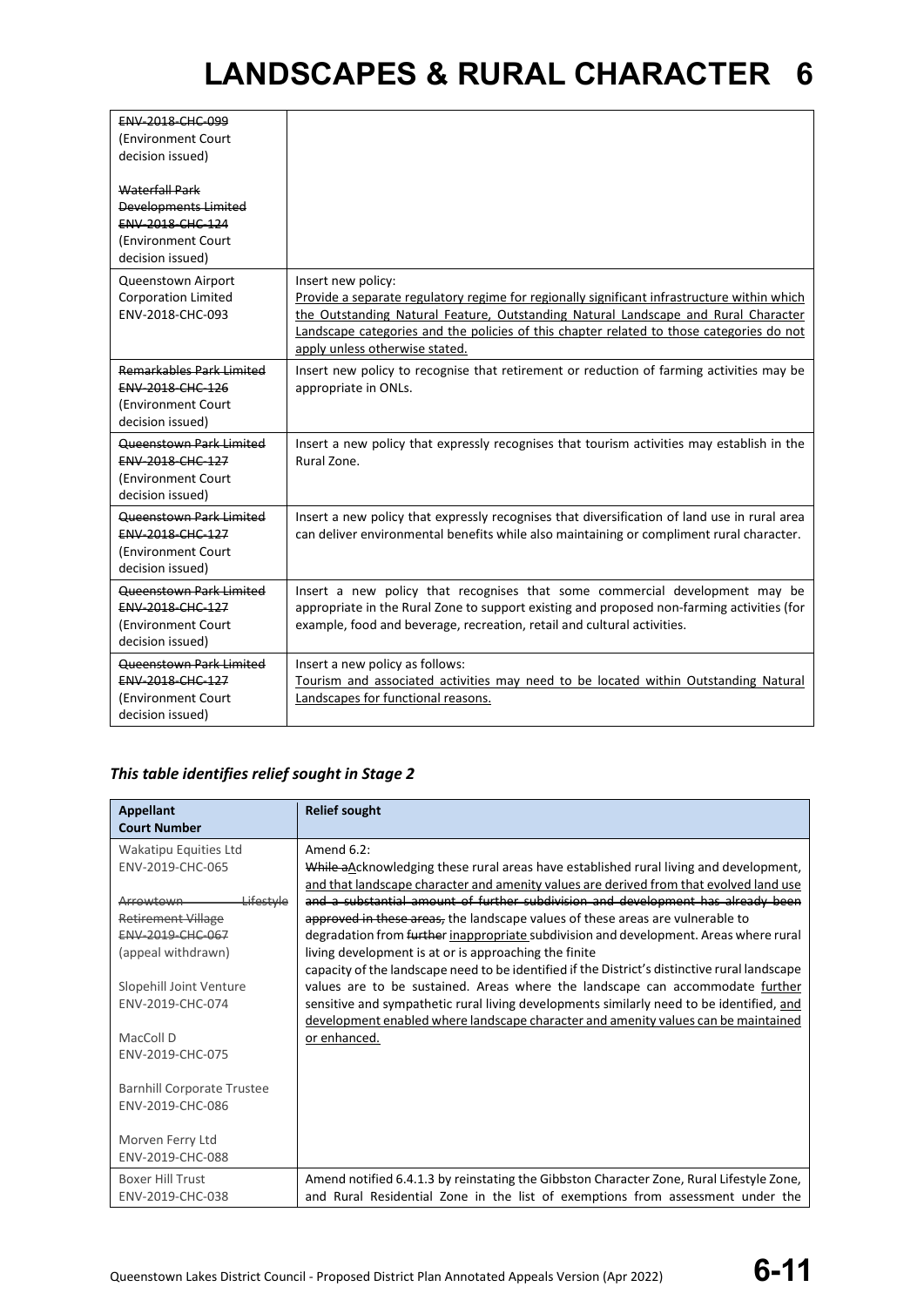| ENV-2018-CHC-099<br>(Environment Court<br>decision issued)<br><b>Waterfall Park</b><br><b>Developments Limited</b><br>ENV-2018-CHC-124<br>(Environment Court<br>decision issued) |                                                                                                                                                                                                                                                                                                                                       |
|----------------------------------------------------------------------------------------------------------------------------------------------------------------------------------|---------------------------------------------------------------------------------------------------------------------------------------------------------------------------------------------------------------------------------------------------------------------------------------------------------------------------------------|
| Queenstown Airport<br><b>Corporation Limited</b><br>ENV-2018-CHC-093                                                                                                             | Insert new policy:<br>Provide a separate regulatory regime for regionally significant infrastructure within which<br>the Outstanding Natural Feature, Outstanding Natural Landscape and Rural Character<br>Landscape categories and the policies of this chapter related to those categories do not<br>apply unless otherwise stated. |
| <b>Remarkables Park Limited</b><br>ENV-2018-CHC-126<br>(Environment Court<br>decision issued)                                                                                    | Insert new policy to recognise that retirement or reduction of farming activities may be<br>appropriate in ONLs.                                                                                                                                                                                                                      |
| <b>Queenstown Park Limited</b><br>ENV-2018-CHC-127<br>(Environment Court<br>decision issued)                                                                                     | Insert a new policy that expressly recognises that tourism activities may establish in the<br>Rural Zone.                                                                                                                                                                                                                             |
| <b>Queenstown Park Limited</b><br>ENV-2018-CHC-127<br>(Environment Court<br>decision issued)                                                                                     | Insert a new policy that expressly recognises that diversification of land use in rural area<br>can deliver environmental benefits while also maintaining or compliment rural character.                                                                                                                                              |
| Queenstown Park Limited<br><b>ENV-2018-CHC-127</b><br>(Environment Court<br>decision issued)                                                                                     | Insert a new policy that recognises that some commercial development may be<br>appropriate in the Rural Zone to support existing and proposed non-farming activities (for<br>example, food and beverage, recreation, retail and cultural activities.                                                                                  |
| Queenstown Park Limited<br>ENV-2018-CHC-127<br>(Environment Court<br>decision issued)                                                                                            | Insert a new policy as follows:<br>Tourism and associated activities may need to be located within Outstanding Natural<br>Landscapes for functional reasons.                                                                                                                                                                          |

### *This table identifies relief sought in Stage 2*

| <b>Appellant</b><br><b>Court Number</b> | <b>Relief sought</b>                                                                                                                                                            |
|-----------------------------------------|---------------------------------------------------------------------------------------------------------------------------------------------------------------------------------|
| Wakatipu Equities Ltd                   | Amend 6.2:                                                                                                                                                                      |
| ENV-2019-CHC-065                        | While aAcknowledging these rural areas have established rural living and development,<br>and that landscape character and amenity values are derived from that evolved land use |
| Lifestyle<br>Arrowtown                  | and a substantial amount of further subdivision and development has already been                                                                                                |
| <b>Retirement Village</b>               | approved in these areas, the landscape values of these areas are vulnerable to                                                                                                  |
| ENV-2019-CHC-067                        | degradation from further inappropriate subdivision and development. Areas where rural                                                                                           |
| (appeal withdrawn)                      | living development is at or is approaching the finite                                                                                                                           |
|                                         | capacity of the landscape need to be identified if the District's distinctive rural landscape                                                                                   |
| Slopehill Joint Venture                 | values are to be sustained. Areas where the landscape can accommodate further                                                                                                   |
| ENV-2019-CHC-074                        | sensitive and sympathetic rural living developments similarly need to be identified, and                                                                                        |
|                                         | development enabled where landscape character and amenity values can be maintained                                                                                              |
| MacColl D                               | or enhanced.                                                                                                                                                                    |
| ENV-2019-CHC-075                        |                                                                                                                                                                                 |
| <b>Barnhill Corporate Trustee</b>       |                                                                                                                                                                                 |
| ENV-2019-CHC-086                        |                                                                                                                                                                                 |
|                                         |                                                                                                                                                                                 |
| Morven Ferry Ltd                        |                                                                                                                                                                                 |
| ENV-2019-CHC-088                        |                                                                                                                                                                                 |
| <b>Boxer Hill Trust</b>                 | Amend notified 6.4.1.3 by reinstating the Gibbston Character Zone, Rural Lifestyle Zone,                                                                                        |
| ENV-2019-CHC-038                        | and Rural Residential Zone in the list of exemptions from assessment under the                                                                                                  |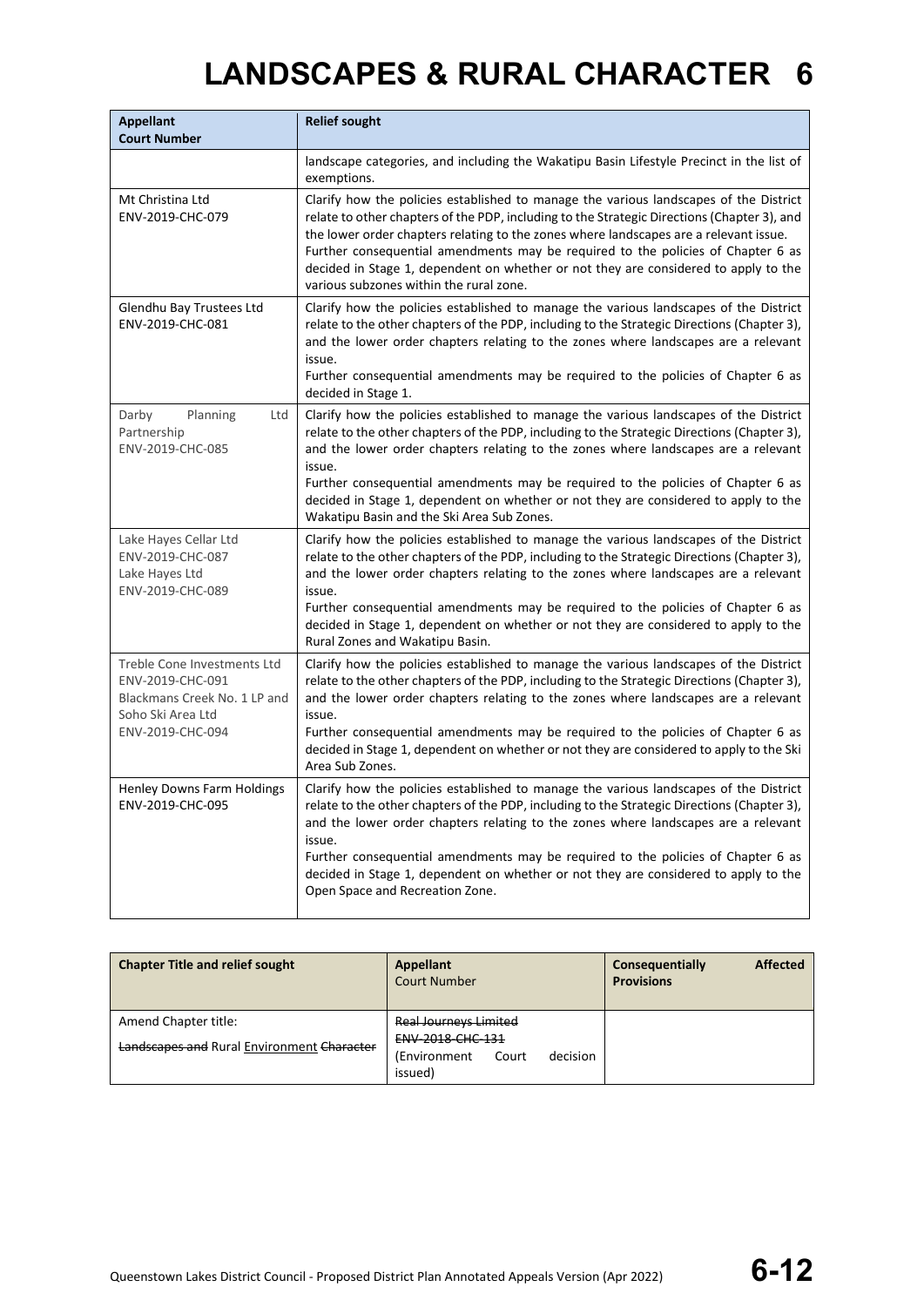| <b>Appellant</b><br><b>Court Number</b>                                                                                  | <b>Relief sought</b>                                                                                                                                                                                                                                                                                                                                                                                                                                                                                          |
|--------------------------------------------------------------------------------------------------------------------------|---------------------------------------------------------------------------------------------------------------------------------------------------------------------------------------------------------------------------------------------------------------------------------------------------------------------------------------------------------------------------------------------------------------------------------------------------------------------------------------------------------------|
|                                                                                                                          | landscape categories, and including the Wakatipu Basin Lifestyle Precinct in the list of<br>exemptions.                                                                                                                                                                                                                                                                                                                                                                                                       |
| Mt Christina Ltd<br>ENV-2019-CHC-079                                                                                     | Clarify how the policies established to manage the various landscapes of the District<br>relate to other chapters of the PDP, including to the Strategic Directions (Chapter 3), and<br>the lower order chapters relating to the zones where landscapes are a relevant issue.<br>Further consequential amendments may be required to the policies of Chapter 6 as<br>decided in Stage 1, dependent on whether or not they are considered to apply to the<br>various subzones within the rural zone.           |
| Glendhu Bay Trustees Ltd<br>ENV-2019-CHC-081                                                                             | Clarify how the policies established to manage the various landscapes of the District<br>relate to the other chapters of the PDP, including to the Strategic Directions (Chapter 3),<br>and the lower order chapters relating to the zones where landscapes are a relevant<br>issue.<br>Further consequential amendments may be required to the policies of Chapter 6 as<br>decided in Stage 1.                                                                                                               |
| Darby<br>Planning<br>Ltd<br>Partnership<br>ENV-2019-CHC-085                                                              | Clarify how the policies established to manage the various landscapes of the District<br>relate to the other chapters of the PDP, including to the Strategic Directions (Chapter 3),<br>and the lower order chapters relating to the zones where landscapes are a relevant<br>issue.<br>Further consequential amendments may be required to the policies of Chapter 6 as<br>decided in Stage 1, dependent on whether or not they are considered to apply to the<br>Wakatipu Basin and the Ski Area Sub Zones. |
| Lake Hayes Cellar Ltd<br>ENV-2019-CHC-087<br>Lake Hayes Ltd<br>ENV-2019-CHC-089                                          | Clarify how the policies established to manage the various landscapes of the District<br>relate to the other chapters of the PDP, including to the Strategic Directions (Chapter 3),<br>and the lower order chapters relating to the zones where landscapes are a relevant<br>issue.<br>Further consequential amendments may be required to the policies of Chapter 6 as<br>decided in Stage 1, dependent on whether or not they are considered to apply to the<br>Rural Zones and Wakatipu Basin.            |
| Treble Cone Investments Ltd<br>ENV-2019-CHC-091<br>Blackmans Creek No. 1 LP and<br>Soho Ski Area Ltd<br>ENV-2019-CHC-094 | Clarify how the policies established to manage the various landscapes of the District<br>relate to the other chapters of the PDP, including to the Strategic Directions (Chapter 3),<br>and the lower order chapters relating to the zones where landscapes are a relevant<br>issue.<br>Further consequential amendments may be required to the policies of Chapter 6 as<br>decided in Stage 1, dependent on whether or not they are considered to apply to the Ski<br>Area Sub Zones.                        |
| Henley Downs Farm Holdings<br>ENV-2019-CHC-095                                                                           | Clarify how the policies established to manage the various landscapes of the District<br>relate to the other chapters of the PDP, including to the Strategic Directions (Chapter 3),<br>and the lower order chapters relating to the zones where landscapes are a relevant<br>issue.<br>Further consequential amendments may be required to the policies of Chapter 6 as<br>decided in Stage 1, dependent on whether or not they are considered to apply to the<br>Open Space and Recreation Zone.            |

| <b>Chapter Title and relief sought</b>     | Appellant<br><b>Court Number</b>  | <b>Affected</b><br>Consequentially<br><b>Provisions</b> |
|--------------------------------------------|-----------------------------------|---------------------------------------------------------|
| Amend Chapter title:                       | <b>Real Journeys Limited</b>      |                                                         |
| Landscapes and Rural Environment Character | <b>ENV 2018 CHC 131</b>           |                                                         |
|                                            | decision<br>(Environment<br>Court |                                                         |
|                                            | issued)                           |                                                         |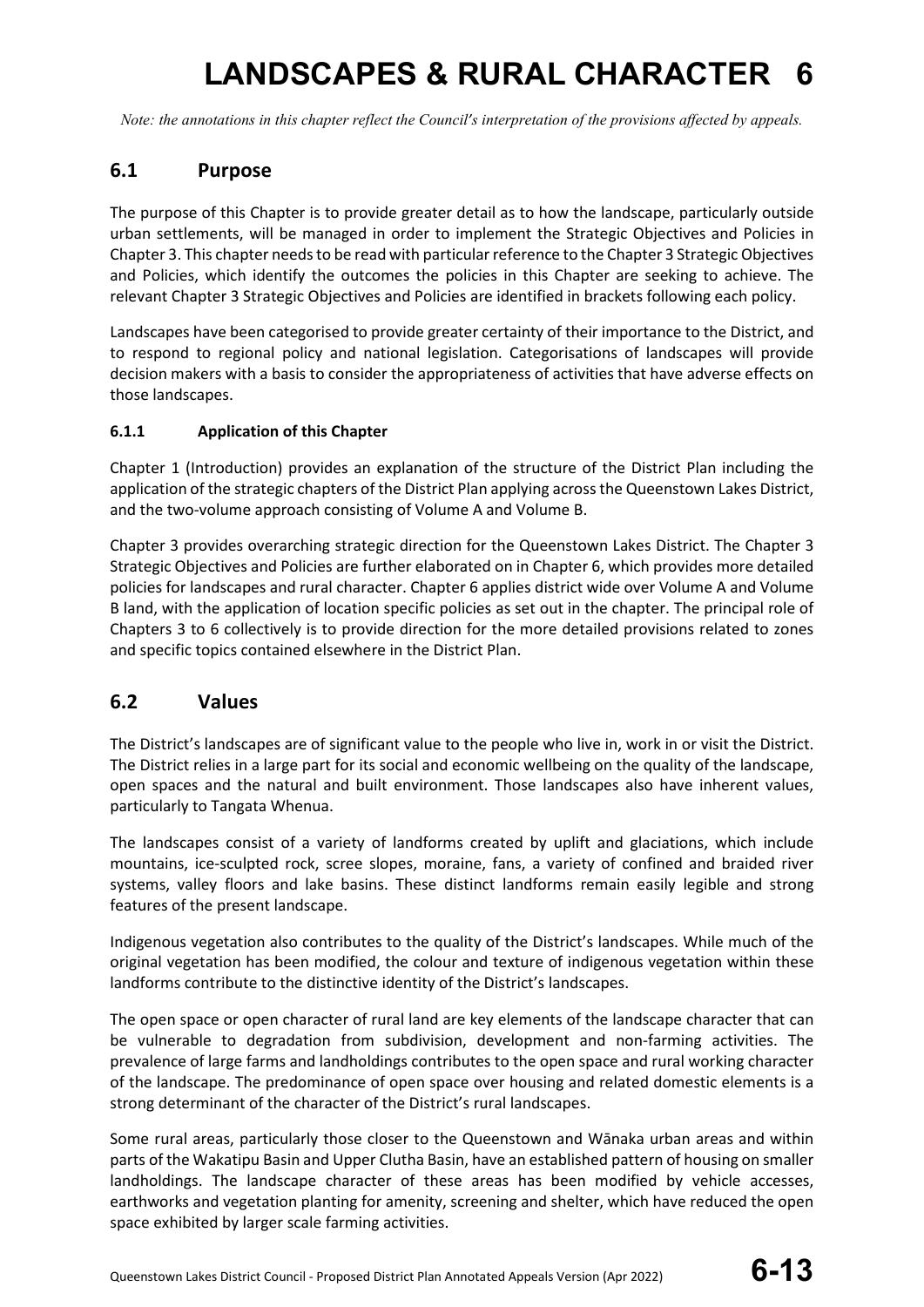*Note: the annotations in this chapter reflect the Council's interpretation of the provisions affected by appeals.*

### **6.1 Purpose**

The purpose of this Chapter is to provide greater detail as to how the landscape, particularly outside urban settlements, will be managed in order to implement the Strategic Objectives and Policies in Chapter 3. This chapter needs to be read with particular reference to the Chapter 3 Strategic Objectives and Policies, which identify the outcomes the policies in this Chapter are seeking to achieve. The relevant Chapter 3 Strategic Objectives and Policies are identified in brackets following each policy.

Landscapes have been categorised to provide greater certainty of their importance to the District, and to respond to regional policy and national legislation. Categorisations of landscapes will provide decision makers with a basis to consider the appropriateness of activities that have adverse effects on those landscapes.

### **6.1.1 Application of this Chapter**

Chapter 1 (Introduction) provides an explanation of the structure of the District Plan including the application of the strategic chapters of the District Plan applying across the Queenstown Lakes District, and the two-volume approach consisting of Volume A and Volume B.

Chapter 3 provides overarching strategic direction for the Queenstown Lakes District. The Chapter 3 Strategic Objectives and Policies are further elaborated on in Chapter 6, which provides more detailed policies for landscapes and rural character. Chapter 6 applies district wide over Volume A and Volume B land, with the application of location specific policies as set out in the chapter. The principal role of Chapters 3 to 6 collectively is to provide direction for the more detailed provisions related to zones and specific topics contained elsewhere in the District Plan.

### **6.2 Values**

The District's landscapes are of significant value to the people who live in, work in or visit the District. The District relies in a large part for its social and economic wellbeing on the quality of the landscape, open spaces and the natural and built environment. Those landscapes also have inherent values, particularly to Tangata Whenua.

The landscapes consist of a variety of landforms created by uplift and glaciations, which include mountains, ice-sculpted rock, scree slopes, moraine, fans, a variety of confined and braided river systems, valley floors and lake basins. These distinct landforms remain easily legible and strong features of the present landscape.

Indigenous vegetation also contributes to the quality of the District's landscapes. While much of the original vegetation has been modified, the colour and texture of indigenous vegetation within these landforms contribute to the distinctive identity of the District's landscapes.

The open space or open character of rural land are key elements of the landscape character that can be vulnerable to degradation from subdivision, development and non-farming activities. The prevalence of large farms and landholdings contributes to the open space and rural working character of the landscape. The predominance of open space over housing and related domestic elements is a strong determinant of the character of the District's rural landscapes.

Some rural areas, particularly those closer to the Queenstown and Wānaka urban areas and within parts of the Wakatipu Basin and Upper Clutha Basin, have an established pattern of housing on smaller landholdings. The landscape character of these areas has been modified by vehicle accesses, earthworks and vegetation planting for amenity, screening and shelter, which have reduced the open space exhibited by larger scale farming activities.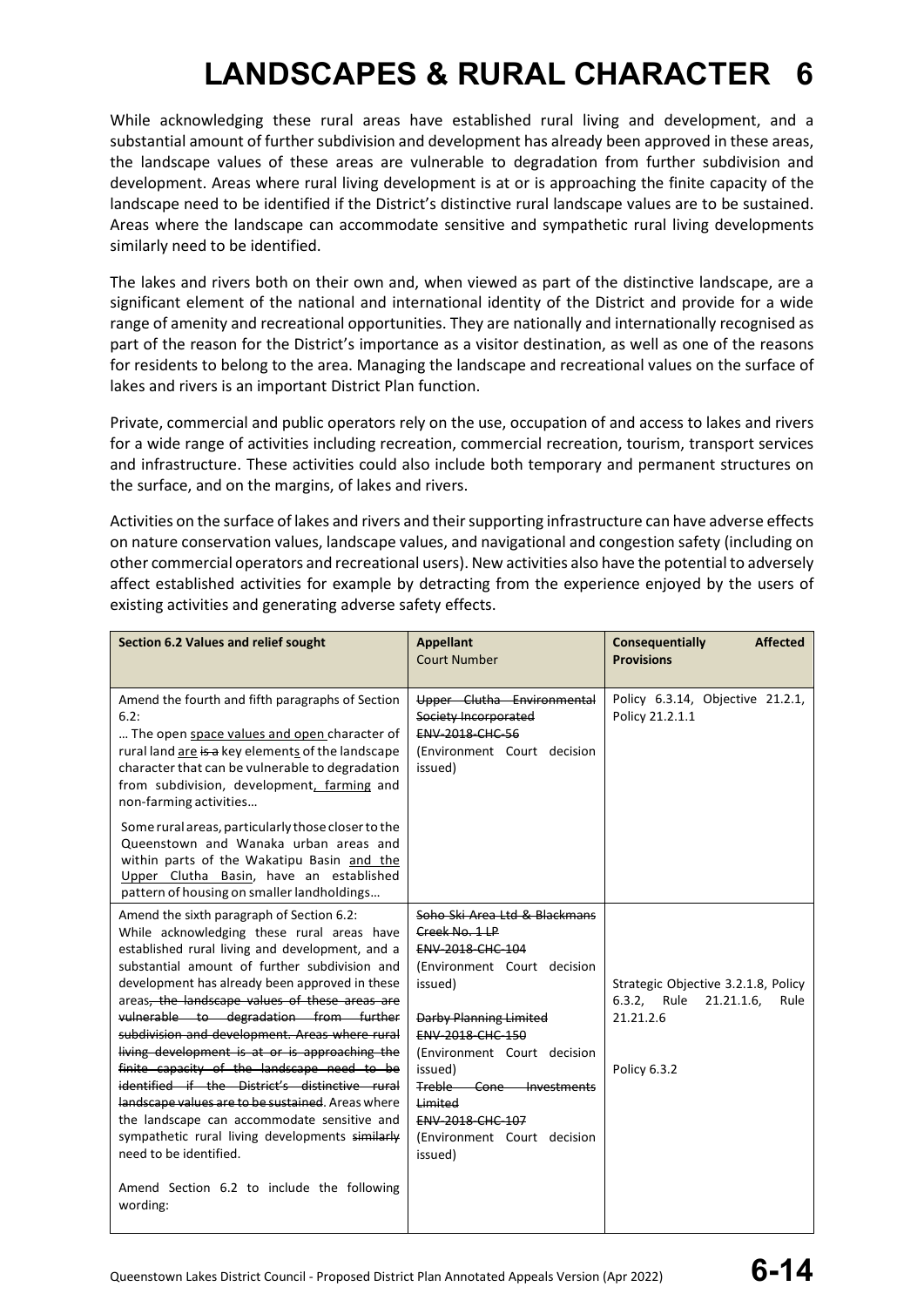While acknowledging these rural areas have established rural living and development, and a substantial amount of further subdivision and development has already been approved in these areas, the landscape values of these areas are vulnerable to degradation from further subdivision and development. Areas where rural living development is at or is approaching the finite capacity of the landscape need to be identified if the District's distinctive rural landscape values are to be sustained. Areas where the landscape can accommodate sensitive and sympathetic rural living developments similarly need to be identified.

The lakes and rivers both on their own and, when viewed as part of the distinctive landscape, are a significant element of the national and international identity of the District and provide for a wide range of amenity and recreational opportunities. They are nationally and internationally recognised as part of the reason for the District's importance as a visitor destination, as well as one of the reasons for residents to belong to the area. Managing the landscape and recreational values on the surface of lakes and rivers is an important District Plan function.

Private, commercial and public operators rely on the use, occupation of and access to lakes and rivers for a wide range of activities including recreation, commercial recreation, tourism, transport services and infrastructure. These activities could also include both temporary and permanent structures on the surface, and on the margins, of lakes and rivers.

Activities on the surface of lakes and rivers and their supporting infrastructure can have adverse effects on nature conservation values, landscape values, and navigational and congestion safety (including on other commercial operators and recreational users). New activities also have the potential to adversely affect established activities for example by detracting from the experience enjoyed by the users of existing activities and generating adverse safety effects.

| Section 6.2 Values and relief sought                                                                                                                                                                                                                                                                                                                                                                                                                                                                                                                                                                                                                                                                                            | <b>Appellant</b><br><b>Court Number</b>                                                                                                                                                                                                                                                                                     | Consequentially<br><b>Affected</b><br><b>Provisions</b>                                               |
|---------------------------------------------------------------------------------------------------------------------------------------------------------------------------------------------------------------------------------------------------------------------------------------------------------------------------------------------------------------------------------------------------------------------------------------------------------------------------------------------------------------------------------------------------------------------------------------------------------------------------------------------------------------------------------------------------------------------------------|-----------------------------------------------------------------------------------------------------------------------------------------------------------------------------------------------------------------------------------------------------------------------------------------------------------------------------|-------------------------------------------------------------------------------------------------------|
| Amend the fourth and fifth paragraphs of Section<br>6.2:<br>The open space values and open character of<br>rural land are is a key elements of the landscape<br>character that can be vulnerable to degradation<br>from subdivision, development, farming and<br>non-farming activities                                                                                                                                                                                                                                                                                                                                                                                                                                         | Upper Clutha Environmental<br>Society Incorporated<br><b>ENV-2018-CHC-56</b><br>(Environment Court decision<br>issued)                                                                                                                                                                                                      | Policy 6.3.14, Objective 21.2.1,<br>Policy 21.2.1.1                                                   |
| Some rural areas, particularly those closer to the<br>Queenstown and Wanaka urban areas and<br>within parts of the Wakatipu Basin and the<br>Upper Clutha Basin, have an established<br>pattern of housing on smaller landholdings                                                                                                                                                                                                                                                                                                                                                                                                                                                                                              |                                                                                                                                                                                                                                                                                                                             |                                                                                                       |
| Amend the sixth paragraph of Section 6.2:<br>While acknowledging these rural areas have<br>established rural living and development, and a<br>substantial amount of further subdivision and<br>development has already been approved in these<br>areas, the landscape values of these areas are<br>vulnerable to degradation from further<br>subdivision and development. Areas where rural<br>living development is at or is approaching the<br>finite capacity of the landscape need to be<br>identified if the District's distinctive rural<br>landscape values are to be sustained. Areas where<br>the landscape can accommodate sensitive and<br>sympathetic rural living developments similarly<br>need to be identified. | Soho Ski Area Ltd & Blackmans<br>Creek No. 1 LP<br>ENV-2018-CHC-104<br>(Environment Court decision<br>issued)<br>Darby Planning Limited<br><b>ENV 2018 CHC 150</b><br>(Environment Court decision<br>issued)<br>Treble-<br>Cone Investments<br>Limited<br><b>ENV 2018 CHC 107</b><br>(Environment Court decision<br>issued) | Strategic Objective 3.2.1.8, Policy<br>6.3.2. Rule<br>21.21.1.6,<br>Rule<br>21.21.2.6<br>Policy 6.3.2 |
| Amend Section 6.2 to include the following<br>wording:                                                                                                                                                                                                                                                                                                                                                                                                                                                                                                                                                                                                                                                                          |                                                                                                                                                                                                                                                                                                                             |                                                                                                       |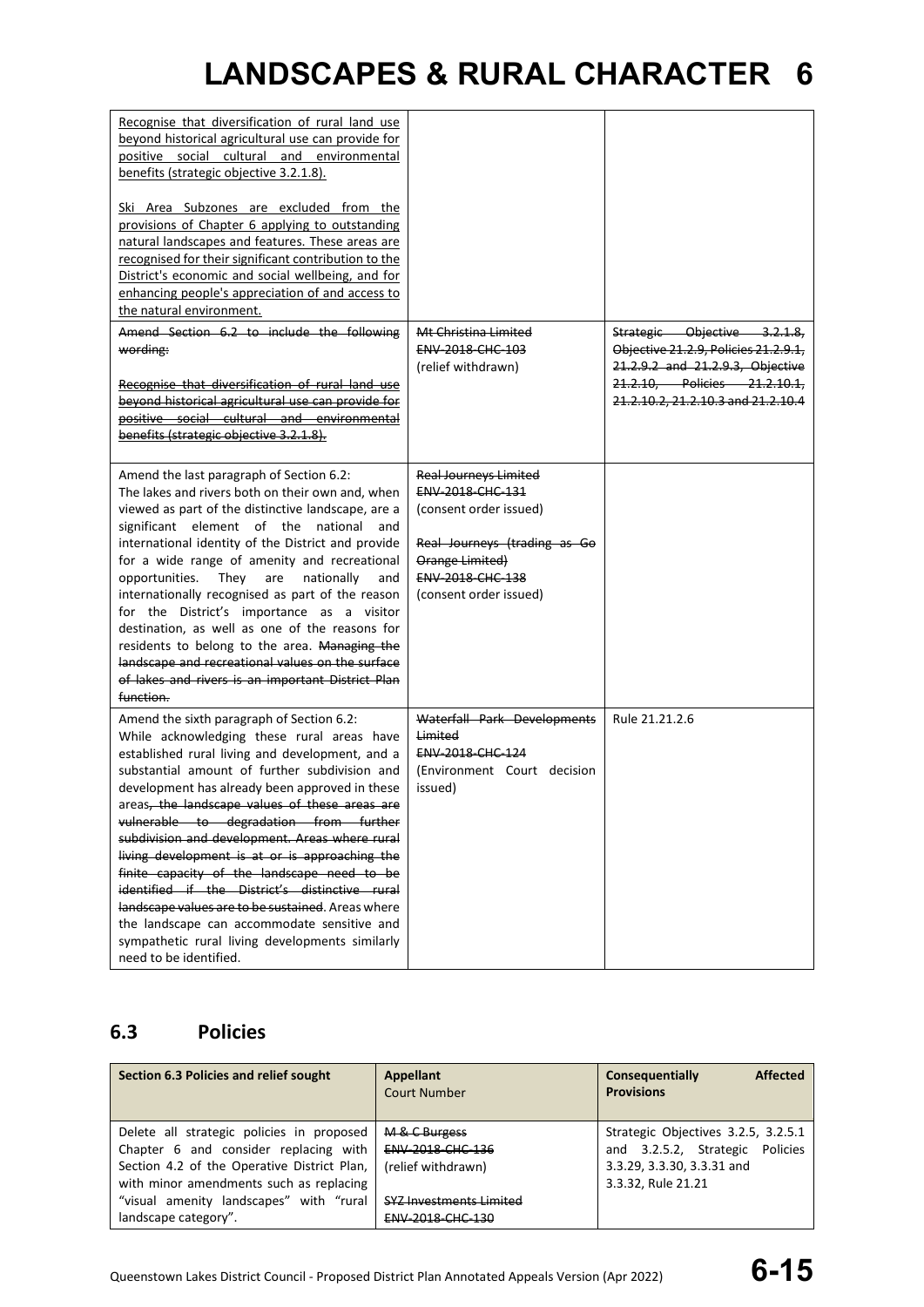| Recognise that diversification of rural land use<br>beyond historical agricultural use can provide for<br>positive social cultural and environmental<br>benefits (strategic objective 3.2.1.8).<br>Ski Area Subzones are excluded from the<br>provisions of Chapter 6 applying to outstanding<br>natural landscapes and features. These areas are<br>recognised for their significant contribution to the<br>District's economic and social wellbeing, and for<br>enhancing people's appreciation of and access to<br>the natural environment.                                                                                                                                                                                  |                                                                                                                                                                             |                                                                                                                                                                                |
|---------------------------------------------------------------------------------------------------------------------------------------------------------------------------------------------------------------------------------------------------------------------------------------------------------------------------------------------------------------------------------------------------------------------------------------------------------------------------------------------------------------------------------------------------------------------------------------------------------------------------------------------------------------------------------------------------------------------------------|-----------------------------------------------------------------------------------------------------------------------------------------------------------------------------|--------------------------------------------------------------------------------------------------------------------------------------------------------------------------------|
| Amend Section 6.2 to include the following<br>wording:<br>Recognise that diversification of rural land use<br>beyond historical agricultural use can provide for<br>positive social cultural and environmental<br>benefits (strategic objective 3.2.1.8).                                                                                                                                                                                                                                                                                                                                                                                                                                                                       | <del>Mt Christina Limited</del><br>ENV-2018-CHC-103<br>(relief withdrawn)                                                                                                   | Strategic Objective 3.2.1.8,<br>Objective 21.2.9, Policies 21.2.9.1,<br>21.2.9.2 and 21.2.9.3, Objective<br>21.2.10, Policies 21.2.10.1,<br>21.2.10.2, 21.2.10.3 and 21.2.10.4 |
| Amend the last paragraph of Section 6.2:<br>The lakes and rivers both on their own and, when<br>viewed as part of the distinctive landscape, are a<br>significant element of the national<br>and<br>international identity of the District and provide<br>for a wide range of amenity and recreational<br>opportunities.<br>They<br>are<br>nationally<br>and<br>internationally recognised as part of the reason<br>for the District's importance as a visitor<br>destination, as well as one of the reasons for<br>residents to belong to the area. Managing the<br>landscape and recreational values on the surface<br>of lakes and rivers is an important District Plan<br>function.                                         | <b>Real Journeys Limited</b><br>ENV-2018-CHC-131<br>(consent order issued)<br>Real Journeys (trading as Go<br>Orange Limited)<br>ENV-2018-CHC-138<br>(consent order issued) |                                                                                                                                                                                |
| Amend the sixth paragraph of Section 6.2:<br>While acknowledging these rural areas have<br>established rural living and development, and a<br>substantial amount of further subdivision and<br>development has already been approved in these<br>areas, the landscape values of these areas are<br>vulnerable to degradation from further<br>subdivision and development. Areas where rural<br>living development is at or is approaching the<br>finite capacity of the landscape need to be<br>identified if the District's distinctive rural<br>landscape values are to be sustained. Areas where<br>the landscape can accommodate sensitive and<br>sympathetic rural living developments similarly<br>need to be identified. | Waterfall Park Developments<br>Limited<br>ENV-2018-CHC-124<br>(Environment Court decision<br>issued)                                                                        | Rule 21.21.2.6                                                                                                                                                                 |

### **6.3 Policies**

| Section 6.3 Policies and relief sought                                                                                                                                                                                                          | Appellant<br><b>Court Number</b>                                                                                     | <b>Affected</b><br>Consequentially<br><b>Provisions</b>                                                                    |
|-------------------------------------------------------------------------------------------------------------------------------------------------------------------------------------------------------------------------------------------------|----------------------------------------------------------------------------------------------------------------------|----------------------------------------------------------------------------------------------------------------------------|
| Delete all strategic policies in proposed<br>Chapter 6 and consider replacing with<br>Section 4.2 of the Operative District Plan,<br>with minor amendments such as replacing<br>"visual amenity landscapes" with "rural<br>landscape category". | M & C Burgess<br>ENV-2018-CHC-136<br>(relief withdrawn)<br><b>SYZ Investments Limited</b><br><b>ENV 2018 CHC 130</b> | Strategic Objectives 3.2.5, 3.2.5.1<br>and 3.2.5.2, Strategic Policies<br>3.3.29, 3.3.30, 3.3.31 and<br>3.3.32, Rule 21.21 |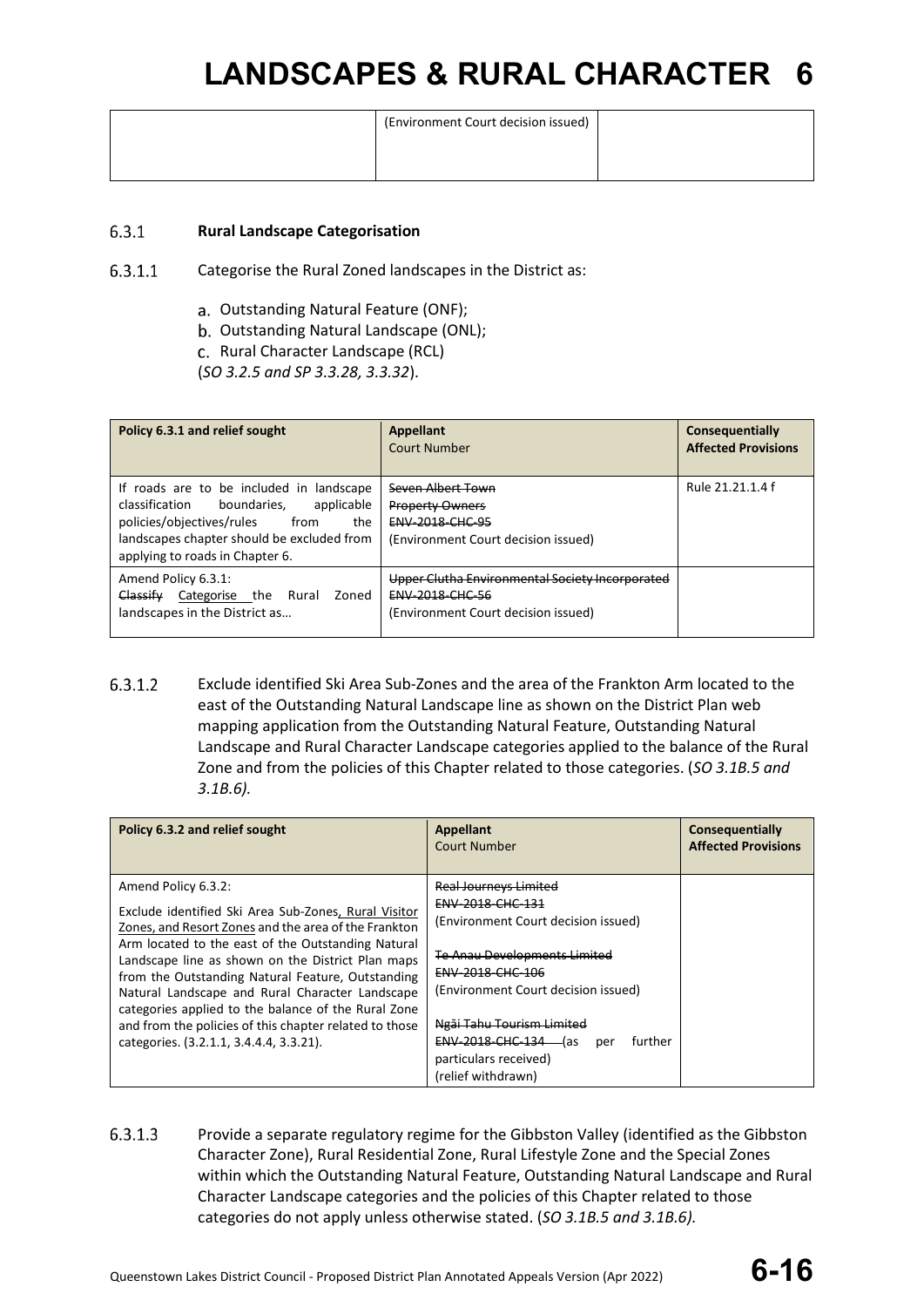| (Environment Court decision issued) |  |
|-------------------------------------|--|
|                                     |  |
|                                     |  |

#### $6.3.1$ **Rural Landscape Categorisation**

- $6.3.1.1$ Categorise the Rural Zoned landscapes in the District as:
	- a. Outstanding Natural Feature (ONF);
	- b. Outstanding Natural Landscape (ONL);
	- c. Rural Character Landscape (RCL)
	- (*SO 3.2.5 and SP 3.3.28, 3.3.32*).

| Policy 6.3.1 and relief sought                                                                                                                                                                                       | <b>Appellant</b><br><b>Court Number</b>                                                                          | Consequentially<br><b>Affected Provisions</b> |
|----------------------------------------------------------------------------------------------------------------------------------------------------------------------------------------------------------------------|------------------------------------------------------------------------------------------------------------------|-----------------------------------------------|
| If roads are to be included in landscape<br>boundaries.<br>applicable<br>classification<br>policies/objectives/rules<br>from<br>the<br>landscapes chapter should be excluded from<br>applying to roads in Chapter 6. | Seven Albert Town<br><b>Property Owners</b><br><b>ENV 2018 CHC 95</b><br>(Environment Court decision issued)     | Rule 21.21.1.4 f                              |
| Amend Policy 6.3.1:<br>Classify<br>Categorise the<br>Rural<br>Zoned<br>landscapes in the District as                                                                                                                 | Upper Clutha Environmental Society Incorporated<br><b>ENV 2018 CHC 56</b><br>(Environment Court decision issued) |                                               |

6.3.1.2 Exclude identified Ski Area Sub-Zones and the area of the Frankton Arm located to the east of the Outstanding Natural Landscape line as shown on the District Plan web mapping application from the Outstanding Natural Feature, Outstanding Natural Landscape and Rural Character Landscape categories applied to the balance of the Rural Zone and from the policies of this Chapter related to those categories. (*SO 3.1B.5 and 3.1B.6).*

| Policy 6.3.2 and relief sought                                                                                                                                                                                                                                                                                                                                                                                                                                                                                     | <b>Appellant</b><br>Court Number                                                                                                                                                                                                                                                                                           | Consequentially<br><b>Affected Provisions</b> |
|--------------------------------------------------------------------------------------------------------------------------------------------------------------------------------------------------------------------------------------------------------------------------------------------------------------------------------------------------------------------------------------------------------------------------------------------------------------------------------------------------------------------|----------------------------------------------------------------------------------------------------------------------------------------------------------------------------------------------------------------------------------------------------------------------------------------------------------------------------|-----------------------------------------------|
| Amend Policy 6.3.2:<br>Exclude identified Ski Area Sub-Zones, Rural Visitor<br>Zones, and Resort Zones and the area of the Frankton<br>Arm located to the east of the Outstanding Natural<br>Landscape line as shown on the District Plan maps<br>from the Outstanding Natural Feature, Outstanding<br>Natural Landscape and Rural Character Landscape<br>categories applied to the balance of the Rural Zone<br>and from the policies of this chapter related to those<br>categories. (3.2.1.1, 3.4.4.4, 3.3.21). | <b>Real Journeys Limited</b><br><del>ENV 2018 CHC 131</del><br>(Environment Court decision issued)<br><b>Te Anau Developments Limited</b><br>ENV-2018-CHC-106<br>(Environment Court decision issued)<br>Ngāi Tahu Tourism Limited<br>ENV-2018-CHC-134 (as<br>further<br>per<br>particulars received)<br>(relief withdrawn) |                                               |

6.3.1.3 Provide a separate regulatory regime for the Gibbston Valley (identified as the Gibbston Character Zone), Rural Residential Zone, Rural Lifestyle Zone and the Special Zones within which the Outstanding Natural Feature, Outstanding Natural Landscape and Rural Character Landscape categories and the policies of this Chapter related to those categories do not apply unless otherwise stated. (*SO 3.1B.5 and 3.1B.6).*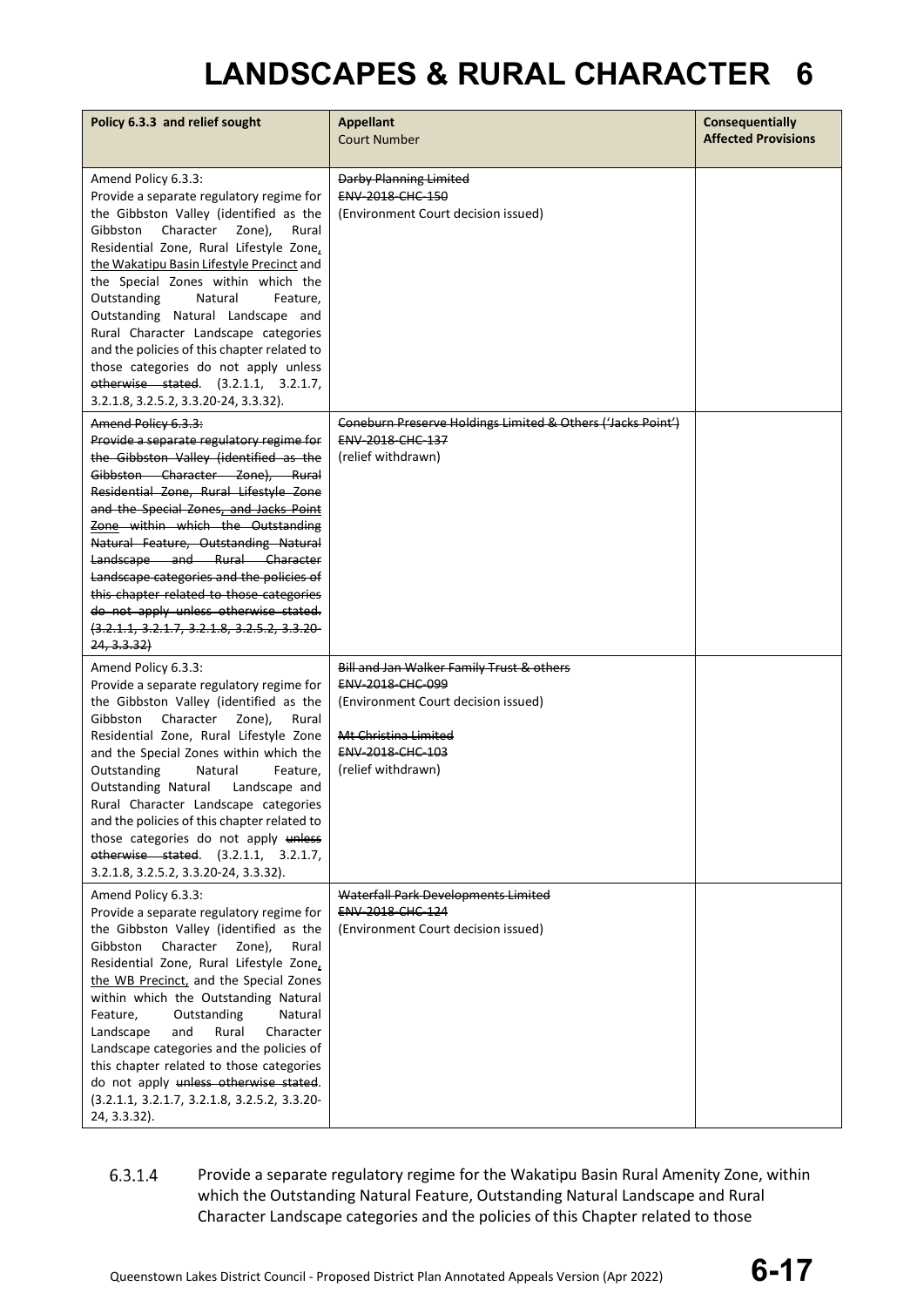| Policy 6.3.3 and relief sought                                                                                                                                                                                                                                                                                                                                                                                                                                                                                                                                              | <b>Appellant</b><br><b>Court Number</b>                                                                                                                                | Consequentially<br><b>Affected Provisions</b> |
|-----------------------------------------------------------------------------------------------------------------------------------------------------------------------------------------------------------------------------------------------------------------------------------------------------------------------------------------------------------------------------------------------------------------------------------------------------------------------------------------------------------------------------------------------------------------------------|------------------------------------------------------------------------------------------------------------------------------------------------------------------------|-----------------------------------------------|
| Amend Policy 6.3.3:<br>Provide a separate regulatory regime for<br>the Gibbston Valley (identified as the<br>Character Zone),<br>Gibbston<br>Rural<br>Residential Zone, Rural Lifestyle Zone,<br>the Wakatipu Basin Lifestyle Precinct and<br>the Special Zones within which the<br>Outstanding<br>Natural<br>Feature,<br>Outstanding Natural Landscape and<br>Rural Character Landscape categories<br>and the policies of this chapter related to<br>those categories do not apply unless<br>otherwise stated. (3.2.1.1, 3.2.1.7,<br>3.2.1.8, 3.2.5.2, 3.3.20-24, 3.3.32). | Darby Planning Limited<br><b>ENV 2018 CHC 150</b><br>(Environment Court decision issued)                                                                               |                                               |
| Amend Policy 6.3.3:<br>Provide a separate regulatory regime for<br>the Gibbston Valley (identified as the<br>Gibbston Character Zone), Rural<br>Residential Zone, Rural Lifestyle Zone<br>and the Special Zones, and Jacks Point<br>Zone within which the Outstanding<br>Natural Feature, Outstanding Natural<br>Landscape and Rural Character<br>Landscape categories and the policies of<br>this chapter related to those categories<br>do not apply unless otherwise stated.<br>$(3.2.1.1, 3.2.1.7, 3.2.1.8, 3.2.5.2, 3.3.20-$<br>24, 3.3.32                             | Coneburn Preserve Holdings Limited & Others ('Jacks Point')<br>ENV-2018-CHC-137<br>(relief withdrawn)                                                                  |                                               |
| Amend Policy 6.3.3:<br>Provide a separate regulatory regime for<br>the Gibbston Valley (identified as the<br>Character Zone),<br>Gibbston<br>Rural<br>Residential Zone, Rural Lifestyle Zone<br>and the Special Zones within which the<br>Outstanding<br>Natural<br>Feature,<br><b>Outstanding Natural</b><br>Landscape and<br>Rural Character Landscape categories<br>and the policies of this chapter related to<br>those categories do not apply unless<br>otherwise stated. (3.2.1.1, 3.2.1.7,<br>3.2.1.8, 3.2.5.2, 3.3.20-24, 3.3.32).                                 | Bill and Jan Walker Family Trust & others<br>ENV-2018-CHC-099<br>(Environment Court decision issued)<br>Mt Christina Limited<br>ENV-2018-CHC-103<br>(relief withdrawn) |                                               |
| Amend Policy 6.3.3:<br>Provide a separate regulatory regime for<br>the Gibbston Valley (identified as the<br>Character<br>Gibbston<br>Zone),<br>Rural<br>Residential Zone, Rural Lifestyle Zone,<br>the WB Precinct, and the Special Zones<br>within which the Outstanding Natural<br>Feature,<br>Outstanding<br>Natural<br>Landscape<br>and<br>Rural<br>Character<br>Landscape categories and the policies of<br>this chapter related to those categories<br>do not apply unless otherwise stated.<br>(3.2.1.1, 3.2.1.7, 3.2.1.8, 3.2.5.2, 3.3.20-<br>24, 3.3.32).         | Waterfall Park Developments Limited<br>ENV-2018-CHC-124<br>(Environment Court decision issued)                                                                         |                                               |

6.3.1.4 Provide a separate regulatory regime for the Wakatipu Basin Rural Amenity Zone, within which the Outstanding Natural Feature, Outstanding Natural Landscape and Rural Character Landscape categories and the policies of this Chapter related to those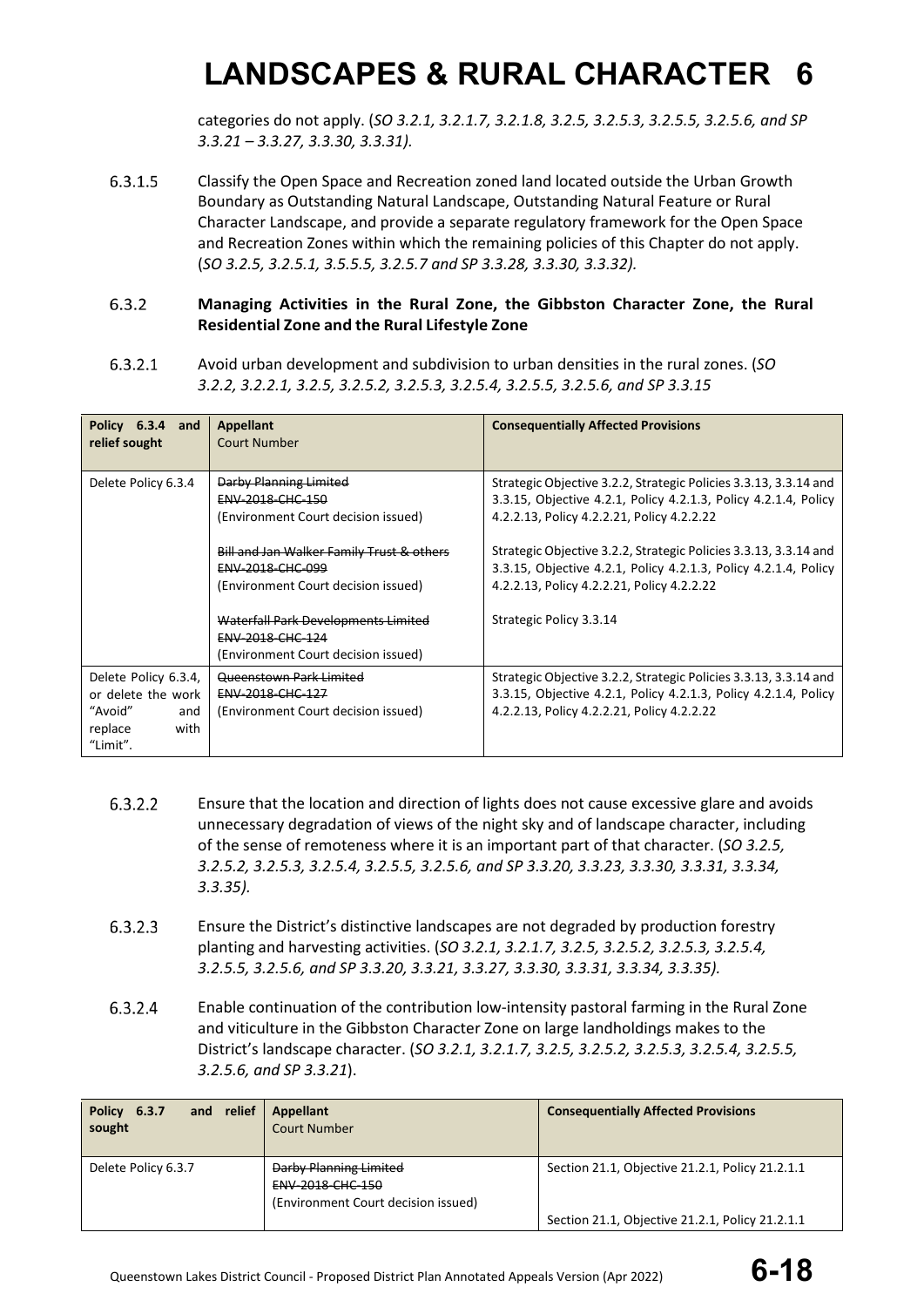categories do not apply. (*SO 3.2.1, 3.2.1.7, 3.2.1.8, 3.2.5, 3.2.5.3, 3.2.5.5, 3.2.5.6, and SP 3.3.21 – 3.3.27, 3.3.30, 3.3.31).*

6.3.1.5 Classify the Open Space and Recreation zoned land located outside the Urban Growth Boundary as Outstanding Natural Landscape, Outstanding Natural Feature or Rural Character Landscape, and provide a separate regulatory framework for the Open Space and Recreation Zones within which the remaining policies of this Chapter do not apply. (*SO 3.2.5, 3.2.5.1, 3.5.5.5, 3.2.5.7 and SP 3.3.28, 3.3.30, 3.3.32).*

#### $6.3.2$ **Managing Activities in the Rural Zone, the Gibbston Character Zone, the Rural Residential Zone and the Rural Lifestyle Zone**

 $6.3.2.1$ Avoid urban development and subdivision to urban densities in the rural zones. (*SO 3.2.2, 3.2.2.1, 3.2.5, 3.2.5.2, 3.2.5.3, 3.2.5.4, 3.2.5.5, 3.2.5.6, and SP 3.3.15*

| Policy 6.3.4 and<br>relief sought                                                           | Appellant<br><b>Court Number</b>                                                                                                                                     | <b>Consequentially Affected Provisions</b>                                                                                                                                                                                                                                                                               |
|---------------------------------------------------------------------------------------------|----------------------------------------------------------------------------------------------------------------------------------------------------------------------|--------------------------------------------------------------------------------------------------------------------------------------------------------------------------------------------------------------------------------------------------------------------------------------------------------------------------|
| Delete Policy 6.3.4                                                                         | Darby Planning Limited<br><b>ENV 2018 CHC 150</b><br>(Environment Court decision issued)<br><b>Bill and Jan Walker Family Trust &amp; others</b><br>ENV-2018-CHC-099 | Strategic Objective 3.2.2, Strategic Policies 3.3.13, 3.3.14 and<br>3.3.15, Objective 4.2.1, Policy 4.2.1.3, Policy 4.2.1.4, Policy<br>4.2.2.13, Policy 4.2.2.21, Policy 4.2.2.22<br>Strategic Objective 3.2.2, Strategic Policies 3.3.13, 3.3.14 and<br>3.3.15, Objective 4.2.1, Policy 4.2.1.3, Policy 4.2.1.4, Policy |
|                                                                                             | (Environment Court decision issued)<br>Waterfall Park Developments Limited<br><b>ENV 2018 CHC 124</b><br>(Environment Court decision issued)                         | 4.2.2.13, Policy 4.2.2.21, Policy 4.2.2.22<br>Strategic Policy 3.3.14                                                                                                                                                                                                                                                    |
| Delete Policy 6.3.4,<br>or delete the work<br>"Avoid"<br>and<br>replace<br>with<br>"Limit". | Queenstown Park Limited<br><b>ENV 2018 CHC 127</b><br>(Environment Court decision issued)                                                                            | Strategic Objective 3.2.2, Strategic Policies 3.3.13, 3.3.14 and<br>3.3.15, Objective 4.2.1, Policy 4.2.1.3, Policy 4.2.1.4, Policy<br>4.2.2.13, Policy 4.2.2.21, Policy 4.2.2.22                                                                                                                                        |

- Ensure that the location and direction of lights does not cause excessive glare and avoids  $6.3.2.2$ unnecessary degradation of views of the night sky and of landscape character, including of the sense of remoteness where it is an important part of that character. (*SO 3.2.5, 3.2.5.2, 3.2.5.3, 3.2.5.4, 3.2.5.5, 3.2.5.6, and SP 3.3.20, 3.3.23, 3.3.30, 3.3.31, 3.3.34, 3.3.35).*
- 6.3.2.3 Ensure the District's distinctive landscapes are not degraded by production forestry planting and harvesting activities. (*SO 3.2.1, 3.2.1.7, 3.2.5, 3.2.5.2, 3.2.5.3, 3.2.5.4, 3.2.5.5, 3.2.5.6, and SP 3.3.20, 3.3.21, 3.3.27, 3.3.30, 3.3.31, 3.3.34, 3.3.35).*
- 6.3.2.4 Enable continuation of the contribution low-intensity pastoral farming in the Rural Zone and viticulture in the Gibbston Character Zone on large landholdings makes to the District's landscape character. (*SO 3.2.1, 3.2.1.7, 3.2.5, 3.2.5.2, 3.2.5.3, 3.2.5.4, 3.2.5.5, 3.2.5.6, and SP 3.3.21*).

| and relief<br>6.3.7<br><b>Policy</b><br>sought | Appellant<br>Court Number                                                                | <b>Consequentially Affected Provisions</b>      |
|------------------------------------------------|------------------------------------------------------------------------------------------|-------------------------------------------------|
| Delete Policy 6.3.7                            | <b>Darby Planning Limited</b><br>ENV-2018-CHC-150<br>(Environment Court decision issued) | Section 21.1, Objective 21.2.1, Policy 21.2.1.1 |
|                                                |                                                                                          | Section 21.1, Objective 21.2.1, Policy 21.2.1.1 |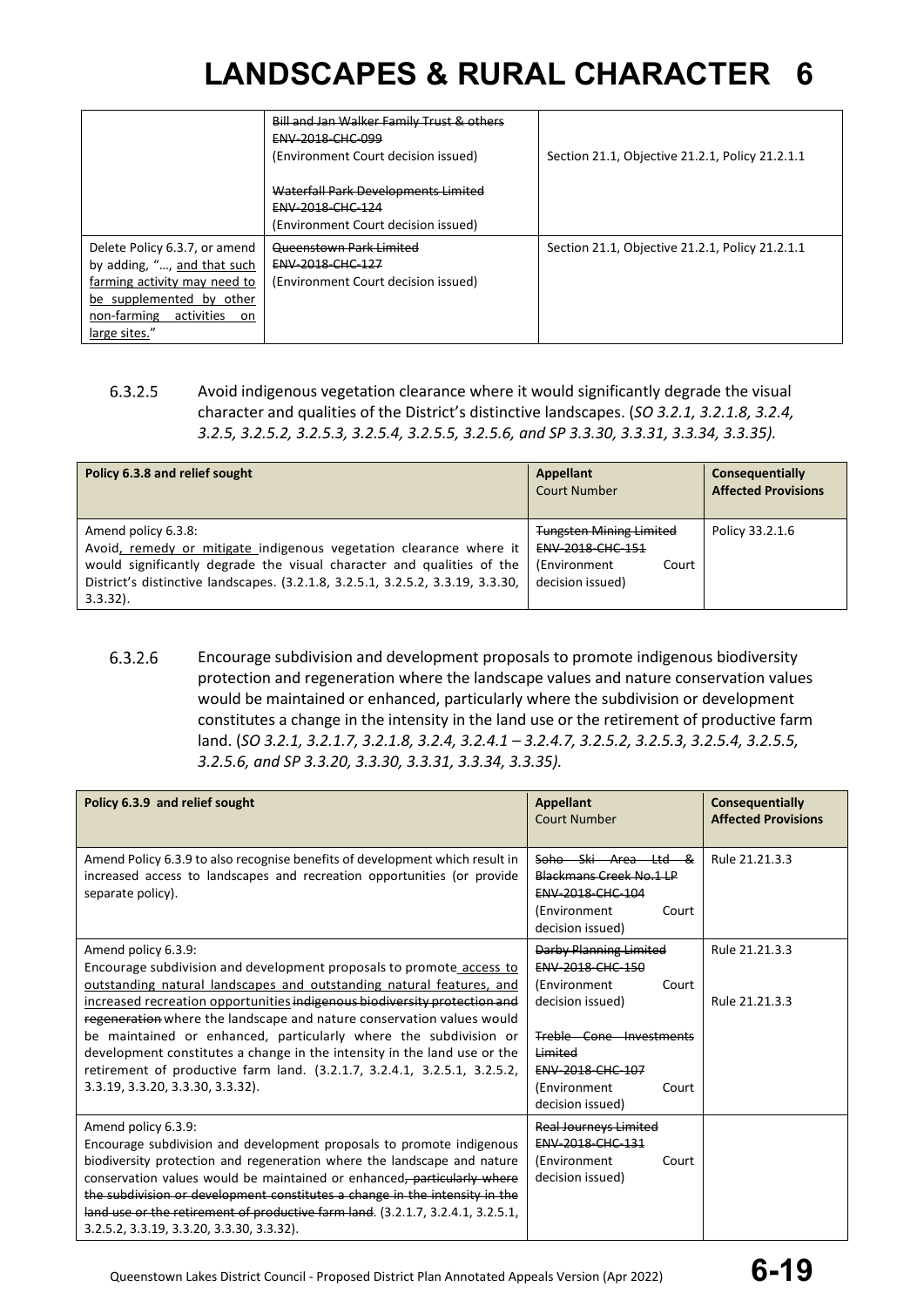|                                                                                                                                                                           | Bill and Jan Walker Family Trust & others<br>ENV-2018-CHC-099<br>(Environment Court decision issued) | Section 21.1, Objective 21.2.1, Policy 21.2.1.1 |
|---------------------------------------------------------------------------------------------------------------------------------------------------------------------------|------------------------------------------------------------------------------------------------------|-------------------------------------------------|
|                                                                                                                                                                           | Waterfall Park Developments Limited<br>ENV-2018-CHC-124<br>(Environment Court decision issued)       |                                                 |
| Delete Policy 6.3.7, or amend<br>by adding, ", and that such<br>farming activity may need to<br>be supplemented by other<br>non-farming activities<br>on<br>large sites." | Queenstown Park Limited<br>ENV-2018-CHC-127<br>(Environment Court decision issued)                   | Section 21.1, Objective 21.2.1, Policy 21.2.1.1 |

 $6.3.2.5$ Avoid indigenous vegetation clearance where it would significantly degrade the visual character and qualities of the District's distinctive landscapes. (*SO 3.2.1, 3.2.1.8, 3.2.4, 3.2.5, 3.2.5.2, 3.2.5.3, 3.2.5.4, 3.2.5.5, 3.2.5.6, and SP 3.3.30, 3.3.31, 3.3.34, 3.3.35).*

| Policy 6.3.8 and relief sought                                                                                                                                                                                                                                      | Appellant<br><b>Court Number</b>                                                                 | Consequentially<br><b>Affected Provisions</b> |
|---------------------------------------------------------------------------------------------------------------------------------------------------------------------------------------------------------------------------------------------------------------------|--------------------------------------------------------------------------------------------------|-----------------------------------------------|
| Amend policy 6.3.8:<br>Avoid, remedy or mitigate indigenous vegetation clearance where it<br>would significantly degrade the visual character and qualities of the<br>District's distinctive landscapes. (3.2.1.8, 3.2.5.1, 3.2.5.2, 3.3.19, 3.3.30,<br>$3.3.32$ ). | <b>Tungsten Mining Limited</b><br>ENV-2018-CHC-151<br>(Environment)<br>Court<br>decision issued) | Policy 33.2.1.6                               |

6.3.2.6 Encourage subdivision and development proposals to promote indigenous biodiversity protection and regeneration where the landscape values and nature conservation values would be maintained or enhanced, particularly where the subdivision or development constitutes a change in the intensity in the land use or the retirement of productive farm land. (*SO 3.2.1, 3.2.1.7, 3.2.1.8, 3.2.4, 3.2.4.1 – 3.2.4.7, 3.2.5.2, 3.2.5.3, 3.2.5.4, 3.2.5.5, 3.2.5.6, and SP 3.3.20, 3.3.30, 3.3.31, 3.3.34, 3.3.35).*

| Policy 6.3.9 and relief sought                                                                                                                                                                                                                                                                                                                                                                                                                                                                                                                                                            | <b>Appellant</b><br><b>Court Number</b>                                                                                                                                                        | <b>Consequentially</b><br><b>Affected Provisions</b> |
|-------------------------------------------------------------------------------------------------------------------------------------------------------------------------------------------------------------------------------------------------------------------------------------------------------------------------------------------------------------------------------------------------------------------------------------------------------------------------------------------------------------------------------------------------------------------------------------------|------------------------------------------------------------------------------------------------------------------------------------------------------------------------------------------------|------------------------------------------------------|
| Amend Policy 6.3.9 to also recognise benefits of development which result in<br>increased access to landscapes and recreation opportunities (or provide<br>separate policy).                                                                                                                                                                                                                                                                                                                                                                                                              | Soho Ski Area Ltd &<br>Blackmans Creek No.1 LP<br>ENV-2018-CHC-104<br>(Environment<br>Court<br>decision issued)                                                                                | Rule 21.21.3.3                                       |
| Amend policy 6.3.9:<br>Encourage subdivision and development proposals to promote access to<br>outstanding natural landscapes and outstanding natural features, and<br>increased recreation opportunities indigenous biodiversity protection and<br>regeneration where the landscape and nature conservation values would<br>be maintained or enhanced, particularly where the subdivision or<br>development constitutes a change in the intensity in the land use or the<br>retirement of productive farm land. (3.2.1.7, 3.2.4.1, 3.2.5.1, 3.2.5.2,<br>3.3.19, 3.3.20, 3.3.30, 3.3.32). | Darby Planning Limited<br>ENV-2018-CHC-150<br>(Environment<br>Court<br>decision issued)<br>Treble Cone Investments<br>Limited<br>ENV-2018-CHC-107<br>(Environment<br>Court<br>decision issued) | Rule 21.21.3.3<br>Rule 21.21.3.3                     |
| Amend policy 6.3.9:<br>Encourage subdivision and development proposals to promote indigenous<br>biodiversity protection and regeneration where the landscape and nature<br>conservation values would be maintained or enhanced <del>, particularly where</del><br>the subdivision or development constitutes a change in the intensity in the<br>land use or the retirement of productive farm land. (3.2.1.7, 3.2.4.1, 3.2.5.1,<br>3.2.5.2, 3.3.19, 3.3.20, 3.3.30, 3.3.32).                                                                                                             | <b>Real Journeys Limited</b><br>ENV-2018-CHC-131<br>(Environment<br>Court<br>decision issued)                                                                                                  |                                                      |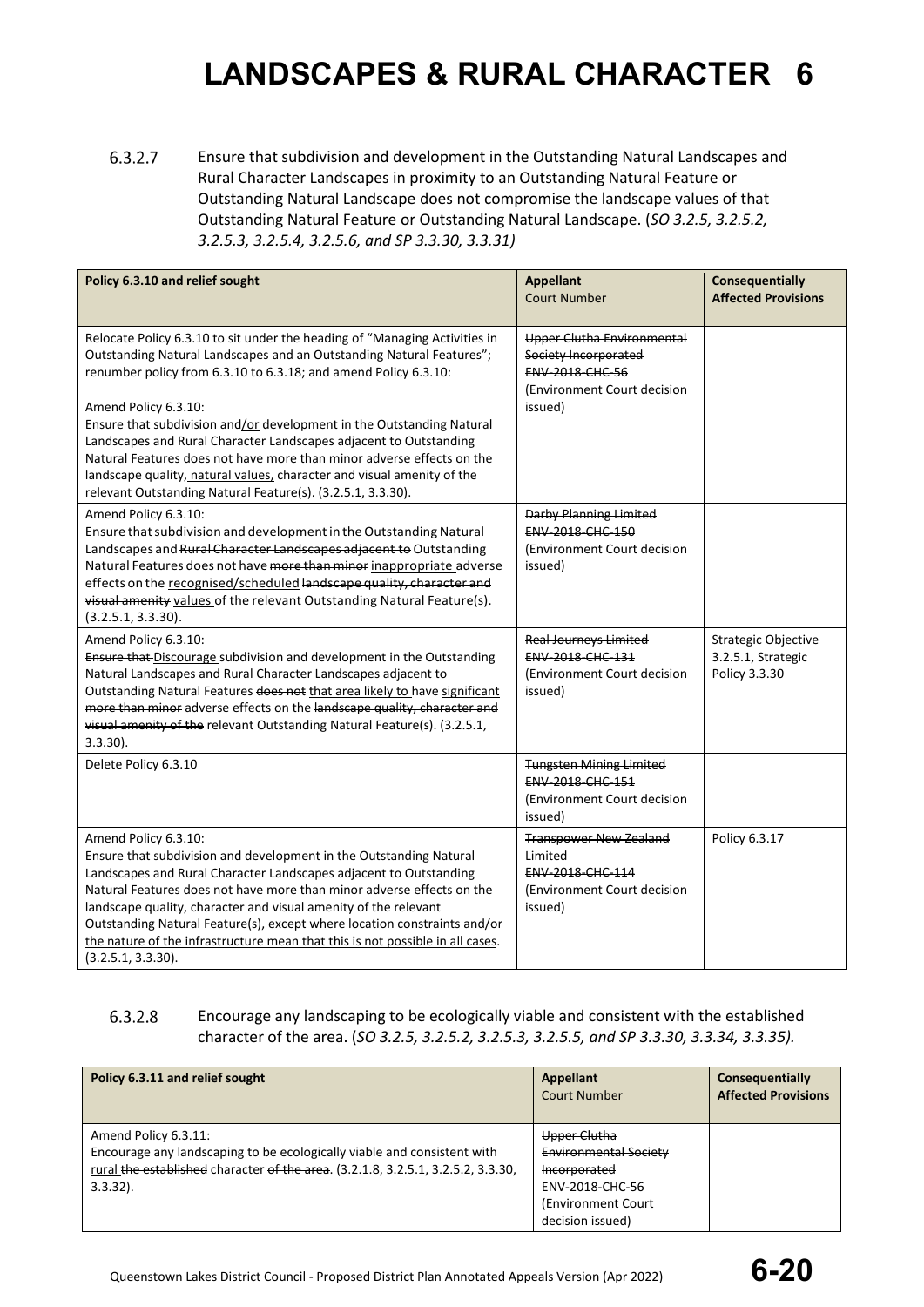$6.3.2.7$ Ensure that subdivision and development in the Outstanding Natural Landscapes and Rural Character Landscapes in proximity to an Outstanding Natural Feature or Outstanding Natural Landscape does not compromise the landscape values of that Outstanding Natural Feature or Outstanding Natural Landscape. (*SO 3.2.5, 3.2.5.2, 3.2.5.3, 3.2.5.4, 3.2.5.6, and SP 3.3.30, 3.3.31)*

| Policy 6.3.10 and relief sought                                                                                                                                                                                                                                                                                                                                                                                                                                                                                                                                                                               | <b>Appellant</b><br><b>Court Number</b>                                                                                | <b>Consequentially</b><br><b>Affected Provisions</b>       |
|---------------------------------------------------------------------------------------------------------------------------------------------------------------------------------------------------------------------------------------------------------------------------------------------------------------------------------------------------------------------------------------------------------------------------------------------------------------------------------------------------------------------------------------------------------------------------------------------------------------|------------------------------------------------------------------------------------------------------------------------|------------------------------------------------------------|
| Relocate Policy 6.3.10 to sit under the heading of "Managing Activities in<br>Outstanding Natural Landscapes and an Outstanding Natural Features";<br>renumber policy from 6.3.10 to 6.3.18; and amend Policy 6.3.10:<br>Amend Policy 6.3.10:<br>Ensure that subdivision and/or development in the Outstanding Natural<br>Landscapes and Rural Character Landscapes adjacent to Outstanding<br>Natural Features does not have more than minor adverse effects on the<br>landscape quality, natural values, character and visual amenity of the<br>relevant Outstanding Natural Feature(s). (3.2.5.1, 3.3.30). | Upper Clutha Environmental<br>Society Incorporated<br><b>ENV 2018 CHC 56</b><br>(Environment Court decision<br>issued) |                                                            |
| Amend Policy 6.3.10:<br>Ensure that subdivision and development in the Outstanding Natural<br>Landscapes and Rural Character Landscapes adjacent to Outstanding<br>Natural Features does not have more than minor inappropriate adverse<br>effects on the recognised/scheduled landscape quality, character and<br>visual amenity values of the relevant Outstanding Natural Feature(s).<br>(3.2.5.1, 3.3.30).                                                                                                                                                                                                | <b>Darby Planning Limited</b><br>ENV-2018-CHC-150<br>(Environment Court decision<br>issued)                            |                                                            |
| Amend Policy 6.3.10:<br>Ensure that Discourage subdivision and development in the Outstanding<br>Natural Landscapes and Rural Character Landscapes adjacent to<br>Outstanding Natural Features does not that area likely to have significant<br>more than minor adverse effects on the landscape quality, character and<br>visual amenity of the relevant Outstanding Natural Feature(s). (3.2.5.1,<br>$3.3.30$ ).                                                                                                                                                                                            | <b>Real Journeys Limited</b><br><b>ENV 2018 CHC 131</b><br>(Environment Court decision<br>issued)                      | Strategic Objective<br>3.2.5.1, Strategic<br>Policy 3.3.30 |
| Delete Policy 6.3.10                                                                                                                                                                                                                                                                                                                                                                                                                                                                                                                                                                                          | <b>Tungsten Mining Limited</b><br><b>ENV 2018 CHC 151</b><br>(Environment Court decision<br>issued)                    |                                                            |
| Amend Policy 6.3.10:<br>Ensure that subdivision and development in the Outstanding Natural<br>Landscapes and Rural Character Landscapes adjacent to Outstanding<br>Natural Features does not have more than minor adverse effects on the<br>landscape quality, character and visual amenity of the relevant<br>Outstanding Natural Feature(s), except where location constraints and/or<br>the nature of the infrastructure mean that this is not possible in all cases.<br>(3.2.5.1, 3.3.30).                                                                                                                | <b>Transpower New Zealand</b><br>Limited<br><b>ENV 2018 CHC 114</b><br>(Environment Court decision<br>issued)          | Policy 6.3.17                                              |

#### 6.3.2.8 Encourage any landscaping to be ecologically viable and consistent with the established character of the area. (*SO 3.2.5, 3.2.5.2, 3.2.5.3, 3.2.5.5, and SP 3.3.30, 3.3.34, 3.3.35).*

| Policy 6.3.11 and relief sought                                                                                                                                                                    | Appellant<br>Court Number                                                                                                  | Consequentially<br><b>Affected Provisions</b> |
|----------------------------------------------------------------------------------------------------------------------------------------------------------------------------------------------------|----------------------------------------------------------------------------------------------------------------------------|-----------------------------------------------|
| Amend Policy 6.3.11:<br>Encourage any landscaping to be ecologically viable and consistent with<br>rural the established character of the area. (3.2.1.8, 3.2.5.1, 3.2.5.2, 3.3.30,<br>$3.3.32$ ). | Upper Clutha<br><b>Environmental Society</b><br>Incorporated<br>ENV-2018-CHC-56<br>(Environment Court)<br>decision issued) |                                               |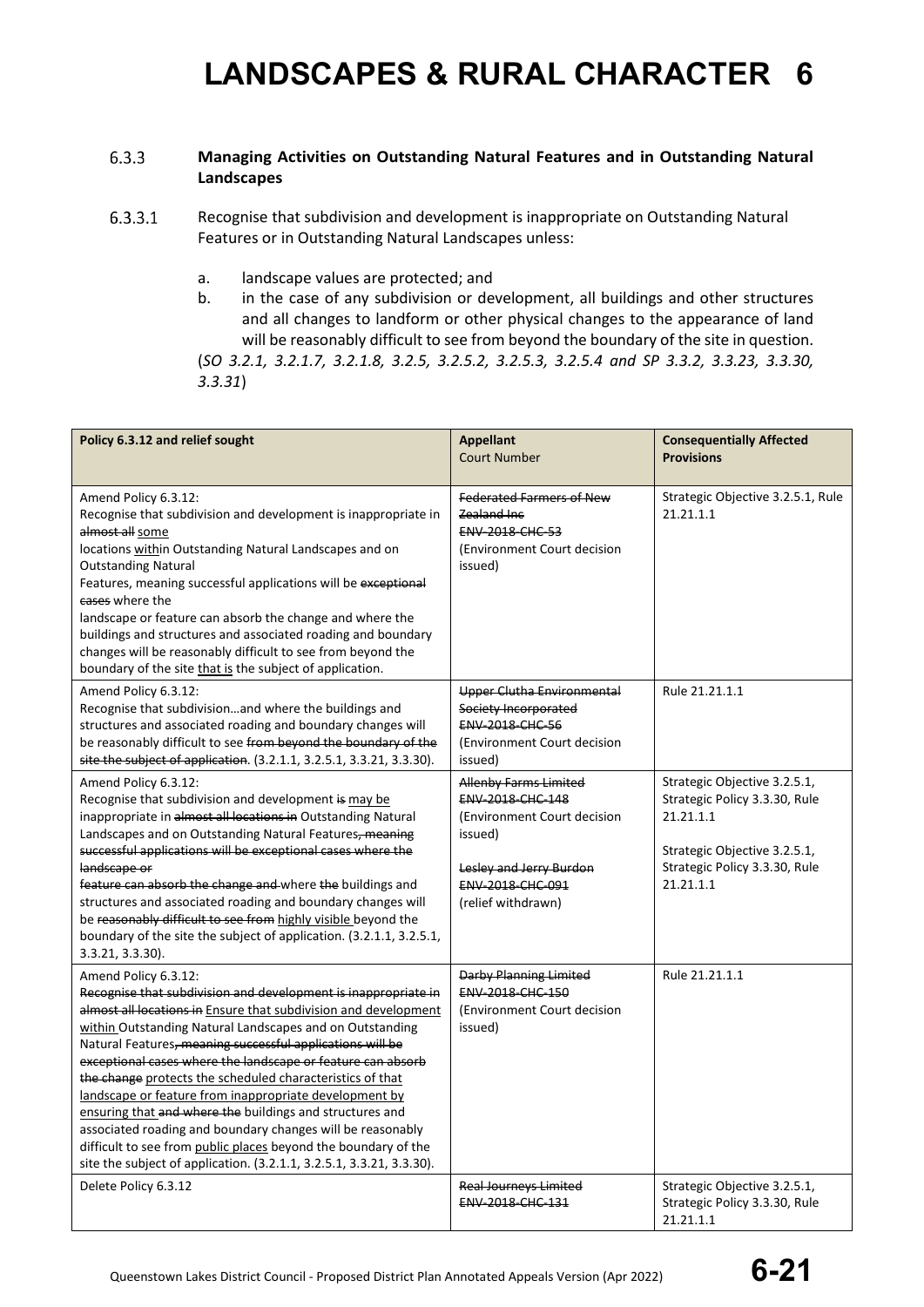#### $6.3.3$ **Managing Activities on Outstanding Natural Features and in Outstanding Natural Landscapes**

6.3.3.1 Recognise that subdivision and development is inappropriate on Outstanding Natural Features or in Outstanding Natural Landscapes unless:

- a. landscape values are protected; and
- b. in the case of any subdivision or development, all buildings and other structures and all changes to landform or other physical changes to the appearance of land will be reasonably difficult to see from beyond the boundary of the site in question.

(*SO 3.2.1, 3.2.1.7, 3.2.1.8, 3.2.5, 3.2.5.2, 3.2.5.3, 3.2.5.4 and SP 3.3.2, 3.3.23, 3.3.30, 3.3.31*)

| Policy 6.3.12 and relief sought                                                                                                                                                                                                                                                                                                                                                                                                                                                                                                                                                                                                                                                                                                              | <b>Appellant</b><br><b>Court Number</b>                                                                                                                                | <b>Consequentially Affected</b><br><b>Provisions</b>                                                                                                     |
|----------------------------------------------------------------------------------------------------------------------------------------------------------------------------------------------------------------------------------------------------------------------------------------------------------------------------------------------------------------------------------------------------------------------------------------------------------------------------------------------------------------------------------------------------------------------------------------------------------------------------------------------------------------------------------------------------------------------------------------------|------------------------------------------------------------------------------------------------------------------------------------------------------------------------|----------------------------------------------------------------------------------------------------------------------------------------------------------|
| Amend Policy 6.3.12:<br>Recognise that subdivision and development is inappropriate in<br>almost all some<br>locations within Outstanding Natural Landscapes and on<br><b>Outstanding Natural</b><br>Features, meaning successful applications will be exceptional<br>cases where the<br>landscape or feature can absorb the change and where the<br>buildings and structures and associated roading and boundary<br>changes will be reasonably difficult to see from beyond the<br>boundary of the site that is the subject of application.                                                                                                                                                                                                 | <b>Federated Farmers of New</b><br>Zealand Inc<br><b>ENV 2018 CHC 53</b><br>(Environment Court decision<br>issued)                                                     | Strategic Objective 3.2.5.1, Rule<br>21.21.1.1                                                                                                           |
| Amend Policy 6.3.12:<br>Recognise that subdivisionand where the buildings and<br>structures and associated roading and boundary changes will<br>be reasonably difficult to see from beyond the boundary of the<br>site the subject of application. (3.2.1.1, 3.2.5.1, 3.3.21, 3.3.30).                                                                                                                                                                                                                                                                                                                                                                                                                                                       | Upper Clutha Environmental<br>Society Incorporated<br><b>ENV 2018 CHC 56</b><br>(Environment Court decision<br>issued)                                                 | Rule 21.21.1.1                                                                                                                                           |
| Amend Policy 6.3.12:<br>Recognise that subdivision and development is may be<br>inappropriate in almost all locations in Outstanding Natural<br>Landscapes and on Outstanding Natural Features, meaning<br>successful applications will be exceptional cases where the<br>landscape or<br>feature can absorb the change and where the buildings and<br>structures and associated roading and boundary changes will<br>be reasonably difficult to see from highly visible beyond the<br>boundary of the site the subject of application. (3.2.1.1, 3.2.5.1,<br>3.3.21, 3.3.30).                                                                                                                                                               | <b>Allenby Farms Limited</b><br>ENV-2018-CHC-148<br>(Environment Court decision<br>issued)<br>Lesley and Jerry Burdon<br><b>ENV 2018 CHC 091</b><br>(relief withdrawn) | Strategic Objective 3.2.5.1,<br>Strategic Policy 3.3.30, Rule<br>21.21.1.1<br>Strategic Objective 3.2.5.1,<br>Strategic Policy 3.3.30, Rule<br>21.21.1.1 |
| Amend Policy 6.3.12:<br>Recognise that subdivision and development is inappropriate in<br>almost all locations in Ensure that subdivision and development<br>within Outstanding Natural Landscapes and on Outstanding<br>Natural Features, meaning successful applications will be<br>exceptional cases where the landscape or feature can absorb<br>the change protects the scheduled characteristics of that<br>landscape or feature from inappropriate development by<br>ensuring that and where the buildings and structures and<br>associated roading and boundary changes will be reasonably<br>difficult to see from public places beyond the boundary of the<br>site the subject of application. (3.2.1.1, 3.2.5.1, 3.3.21, 3.3.30). | Darby Planning Limited<br><b>ENV-2018-CHC-150</b><br>(Environment Court decision<br>issued)                                                                            | Rule 21.21.1.1                                                                                                                                           |
| Delete Policy 6.3.12                                                                                                                                                                                                                                                                                                                                                                                                                                                                                                                                                                                                                                                                                                                         | <b>Real Journeys Limited</b><br>ENV-2018-CHC-131                                                                                                                       | Strategic Objective 3.2.5.1,<br>Strategic Policy 3.3.30, Rule<br>21.21.1.1                                                                               |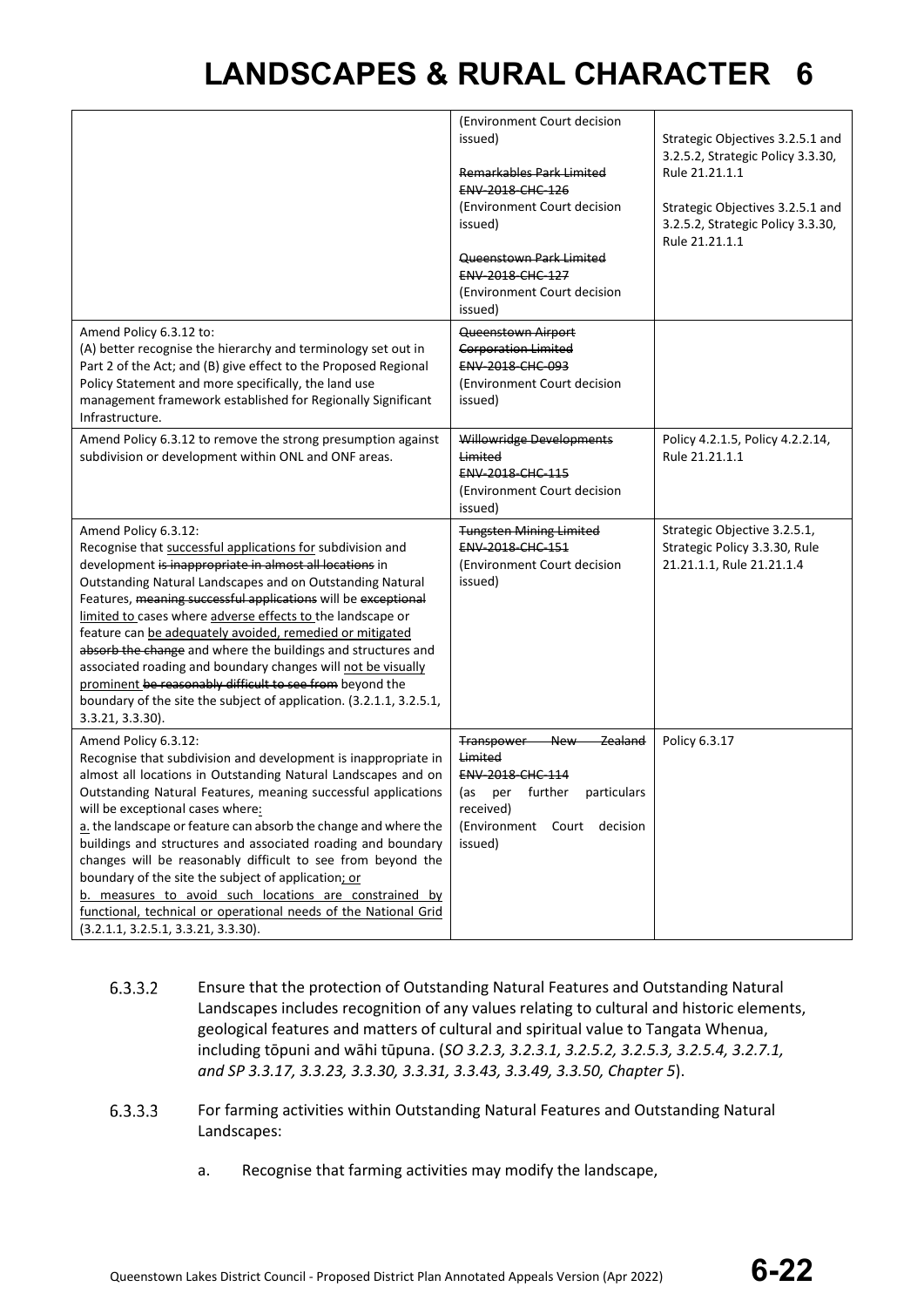|                                                                                                                                                                                                                                                                                                                                                                                                                                                                                                                                                                                                                                                                                              | (Environment Court decision<br>issued)<br>Remarkables Park Limited<br><b>ENV-2018-CHC-126</b><br>(Environment Court decision<br>issued)<br>Queenstown Park Limited<br><b>ENV 2018 CHC 127</b><br>(Environment Court decision<br>issued) | Strategic Objectives 3.2.5.1 and<br>3.2.5.2, Strategic Policy 3.3.30,<br>Rule 21.21.1.1<br>Strategic Objectives 3.2.5.1 and<br>3.2.5.2, Strategic Policy 3.3.30,<br>Rule 21.21.1.1 |
|----------------------------------------------------------------------------------------------------------------------------------------------------------------------------------------------------------------------------------------------------------------------------------------------------------------------------------------------------------------------------------------------------------------------------------------------------------------------------------------------------------------------------------------------------------------------------------------------------------------------------------------------------------------------------------------------|-----------------------------------------------------------------------------------------------------------------------------------------------------------------------------------------------------------------------------------------|------------------------------------------------------------------------------------------------------------------------------------------------------------------------------------|
| Amend Policy 6.3.12 to:<br>(A) better recognise the hierarchy and terminology set out in<br>Part 2 of the Act; and (B) give effect to the Proposed Regional<br>Policy Statement and more specifically, the land use<br>management framework established for Regionally Significant<br>Infrastructure.                                                                                                                                                                                                                                                                                                                                                                                        | Queenstown Airport<br><b>Corporation Limited</b><br>ENV-2018-CHC-093<br>(Environment Court decision<br>issued)                                                                                                                          |                                                                                                                                                                                    |
| Amend Policy 6.3.12 to remove the strong presumption against<br>subdivision or development within ONL and ONF areas.                                                                                                                                                                                                                                                                                                                                                                                                                                                                                                                                                                         | Willowridge Developments<br>Limited<br>ENV-2018-CHC-115<br>(Environment Court decision<br>issued)                                                                                                                                       | Policy 4.2.1.5, Policy 4.2.2.14,<br>Rule 21.21.1.1                                                                                                                                 |
| Amend Policy 6.3.12:<br>Recognise that successful applications for subdivision and<br>development is inappropriate in almost all locations in<br>Outstanding Natural Landscapes and on Outstanding Natural<br>Features, meaning successful applications will be exceptional<br>limited to cases where adverse effects to the landscape or<br>feature can be adequately avoided, remedied or mitigated<br>absorb the change and where the buildings and structures and<br>associated roading and boundary changes will not be visually<br>prominent be reasonably difficult to see from beyond the<br>boundary of the site the subject of application. (3.2.1.1, 3.2.5.1,<br>3.3.21, 3.3.30). | <b>Tungsten Mining Limited</b><br><b>ENV 2018 CHC 151</b><br>(Environment Court decision<br>issued)                                                                                                                                     | Strategic Objective 3.2.5.1,<br>Strategic Policy 3.3.30, Rule<br>21.21.1.1, Rule 21.21.1.4                                                                                         |
| Amend Policy 6.3.12:<br>Recognise that subdivision and development is inappropriate in<br>almost all locations in Outstanding Natural Landscapes and on<br>Outstanding Natural Features, meaning successful applications<br>will be exceptional cases where:<br>a. the landscape or feature can absorb the change and where the<br>buildings and structures and associated roading and boundary<br>changes will be reasonably difficult to see from beyond the<br>boundary of the site the subject of application; or<br>b. measures to avoid such locations are constrained by<br>functional, technical or operational needs of the National Grid<br>(3.2.1.1, 3.2.5.1, 3.3.21, 3.3.30).    | Zealand<br><b>Transpower</b><br><b>New</b><br>Limited<br>ENV-2018-CHC-114<br>further<br>particulars<br>per<br>(as<br>received)<br>(Environment Court decision<br>issued)                                                                | Policy 6.3.17                                                                                                                                                                      |

- 6.3.3.2 Ensure that the protection of Outstanding Natural Features and Outstanding Natural Landscapes includes recognition of any values relating to cultural and historic elements, geological features and matters of cultural and spiritual value to Tangata Whenua, including tōpuni and wāhi tūpuna. (*SO 3.2.3, 3.2.3.1, 3.2.5.2, 3.2.5.3, 3.2.5.4, 3.2.7.1, and SP 3.3.17, 3.3.23, 3.3.30, 3.3.31, 3.3.43, 3.3.49, 3.3.50, Chapter 5*).
- 6.3.3.3 For farming activities within Outstanding Natural Features and Outstanding Natural Landscapes:
	- a. Recognise that farming activities may modify the landscape,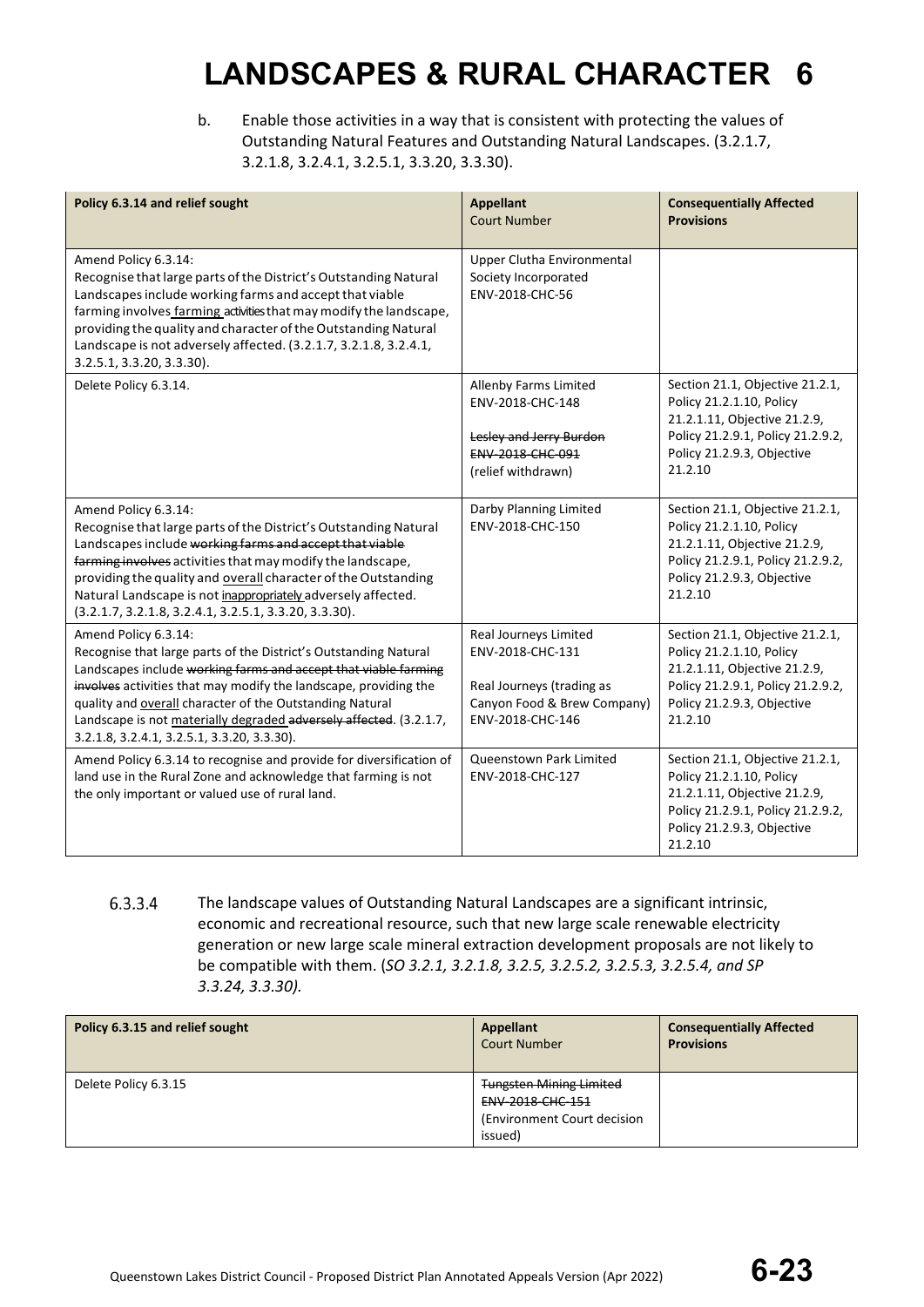b. Enable those activities in a way that is consistent with protecting the values of Outstanding Natural Features and Outstanding Natural Landscapes. (3.2.1.7, 3.2.1.8, 3.2.4.1, 3.2.5.1, 3.3.20, 3.3.30).

| Policy 6.3.14 and relief sought                                                                                                                                                                                                                                                                                                                                                                                  | <b>Appellant</b><br><b>Court Number</b>                                                                                   | <b>Consequentially Affected</b><br><b>Provisions</b>                                                                                                                      |
|------------------------------------------------------------------------------------------------------------------------------------------------------------------------------------------------------------------------------------------------------------------------------------------------------------------------------------------------------------------------------------------------------------------|---------------------------------------------------------------------------------------------------------------------------|---------------------------------------------------------------------------------------------------------------------------------------------------------------------------|
| Amend Policy 6.3.14:<br>Recognise that large parts of the District's Outstanding Natural<br>Landscapes include working farms and accept that viable<br>farming involves farming activities that may modify the landscape,<br>providing the quality and character of the Outstanding Natural<br>Landscape is not adversely affected. (3.2.1.7, 3.2.1.8, 3.2.4.1,<br>3.2.5.1, 3.3.20, 3.3.30).                     | Upper Clutha Environmental<br>Society Incorporated<br>ENV-2018-CHC-56                                                     |                                                                                                                                                                           |
| Delete Policy 6.3.14.                                                                                                                                                                                                                                                                                                                                                                                            | Allenby Farms Limited<br>ENV-2018-CHC-148<br>Lesley and Jerry Burdon<br>ENV-2018-CHC-091<br>(relief withdrawn)            | Section 21.1, Objective 21.2.1,<br>Policy 21.2.1.10, Policy<br>21.2.1.11, Objective 21.2.9,<br>Policy 21.2.9.1, Policy 21.2.9.2,<br>Policy 21.2.9.3, Objective<br>21.2.10 |
| Amend Policy 6.3.14:<br>Recognise that large parts of the District's Outstanding Natural<br>Landscapes include working farms and accept that viable<br>farming involves activities that may modify the landscape,<br>providing the quality and overall character of the Outstanding<br>Natural Landscape is not inappropriately adversely affected.<br>$(3.2.1.7, 3.2.1.8, 3.2.4.1, 3.2.5.1, 3.3.20, 3.3.30).$   | Darby Planning Limited<br>ENV-2018-CHC-150                                                                                | Section 21.1, Objective 21.2.1,<br>Policy 21.2.1.10, Policy<br>21.2.1.11, Objective 21.2.9,<br>Policy 21.2.9.1, Policy 21.2.9.2,<br>Policy 21.2.9.3, Objective<br>21.2.10 |
| Amend Policy 6.3.14:<br>Recognise that large parts of the District's Outstanding Natural<br>Landscapes include working farms and accept that viable farming<br>involves activities that may modify the landscape, providing the<br>quality and overall character of the Outstanding Natural<br>Landscape is not materially degraded adversely affected. (3.2.1.7,<br>3.2.1.8, 3.2.4.1, 3.2.5.1, 3.3.20, 3.3.30). | Real Journeys Limited<br>ENV-2018-CHC-131<br>Real Journeys (trading as<br>Canyon Food & Brew Company)<br>ENV-2018-CHC-146 | Section 21.1, Objective 21.2.1,<br>Policy 21.2.1.10, Policy<br>21.2.1.11, Objective 21.2.9,<br>Policy 21.2.9.1, Policy 21.2.9.2,<br>Policy 21.2.9.3, Objective<br>21.2.10 |
| Amend Policy 6.3.14 to recognise and provide for diversification of<br>land use in the Rural Zone and acknowledge that farming is not<br>the only important or valued use of rural land.                                                                                                                                                                                                                         | Queenstown Park Limited<br>ENV-2018-CHC-127                                                                               | Section 21.1, Objective 21.2.1,<br>Policy 21.2.1.10, Policy<br>21.2.1.11, Objective 21.2.9,<br>Policy 21.2.9.1, Policy 21.2.9.2,<br>Policy 21.2.9.3, Objective<br>21.2.10 |

6.3.3.4 The landscape values of Outstanding Natural Landscapes are a significant intrinsic, economic and recreational resource, such that new large scale renewable electricity generation or new large scale mineral extraction development proposals are not likely to be compatible with them. (*SO 3.2.1, 3.2.1.8, 3.2.5, 3.2.5.2, 3.2.5.3, 3.2.5.4, and SP 3.3.24, 3.3.30).*

| Policy 6.3.15 and relief sought | Appellant<br><b>Court Number</b> | <b>Consequentially Affected</b><br><b>Provisions</b> |
|---------------------------------|----------------------------------|------------------------------------------------------|
| Delete Policy 6.3.15            | <b>Tungsten Mining Limited</b>   |                                                      |
|                                 | <b>ENV 2018 CHC 151</b>          |                                                      |
|                                 | (Environment Court decision)     |                                                      |
|                                 | issued)                          |                                                      |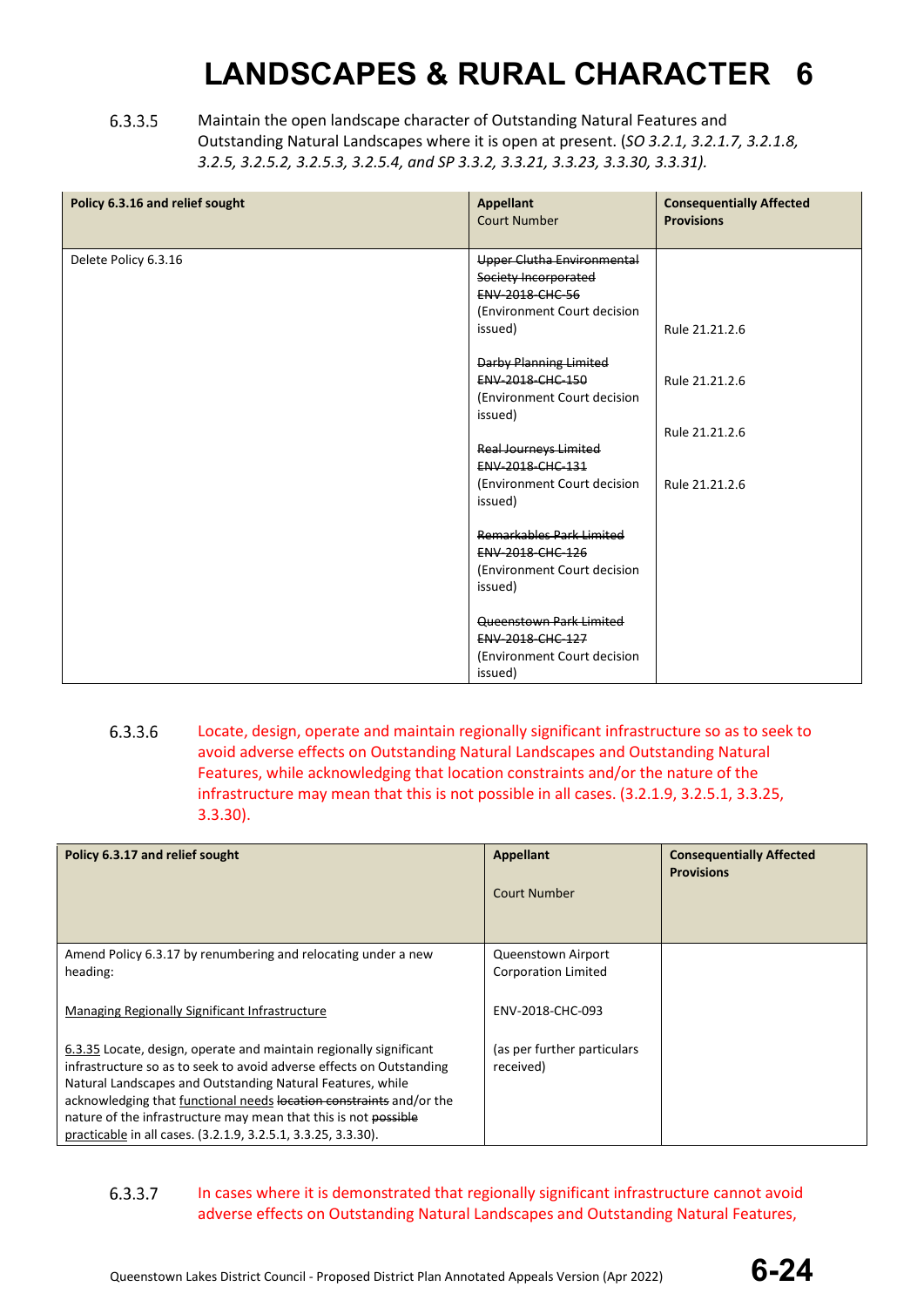6.3.3.5 Maintain the open landscape character of Outstanding Natural Features and Outstanding Natural Landscapes where it is open at present. (*SO 3.2.1, 3.2.1.7, 3.2.1.8, 3.2.5, 3.2.5.2, 3.2.5.3, 3.2.5.4, and SP 3.3.2, 3.3.21, 3.3.23, 3.3.30, 3.3.31).*

| Policy 6.3.16 and relief sought | <b>Appellant</b><br><b>Court Number</b>                                                                                       | <b>Consequentially Affected</b><br><b>Provisions</b> |
|---------------------------------|-------------------------------------------------------------------------------------------------------------------------------|------------------------------------------------------|
| Delete Policy 6.3.16            | <b>Upper Clutha Environmental</b><br>Society Incorporated<br><b>ENV 2018 CHC 56</b><br>(Environment Court decision<br>issued) | Rule 21.21.2.6                                       |
|                                 | Darby Planning Limited<br><b>ENV 2018 CHC 150</b><br>(Environment Court decision<br>issued)                                   | Rule 21.21.2.6                                       |
|                                 | <b>Real Journeys Limited</b><br>ENV-2018-CHC-131                                                                              | Rule 21.21.2.6                                       |
|                                 | (Environment Court decision<br>issued)                                                                                        | Rule 21.21.2.6                                       |
|                                 | Remarkables Park Limited<br>ENV-2018-CHC-126<br>(Environment Court decision<br>issued)                                        |                                                      |
|                                 | Queenstown Park Limited<br>ENV-2018-CHC-127<br>(Environment Court decision<br>issued)                                         |                                                      |

6.3.3.6 Locate, design, operate and maintain regionally significant infrastructure so as to seek to avoid adverse effects on Outstanding Natural Landscapes and Outstanding Natural Features, while acknowledging that location constraints and/or the nature of the infrastructure may mean that this is not possible in all cases. (3.2.1.9, 3.2.5.1, 3.3.25, 3.3.30).

| Policy 6.3.17 and relief sought                                                                                                   | <b>Appellant</b><br><b>Court Number</b> | <b>Consequentially Affected</b><br><b>Provisions</b> |
|-----------------------------------------------------------------------------------------------------------------------------------|-----------------------------------------|------------------------------------------------------|
| Amend Policy 6.3.17 by renumbering and relocating under a new                                                                     | Queenstown Airport                      |                                                      |
| heading:                                                                                                                          | <b>Corporation Limited</b>              |                                                      |
| Managing Regionally Significant Infrastructure                                                                                    | ENV-2018-CHC-093                        |                                                      |
| 6.3.35 Locate, design, operate and maintain regionally significant                                                                | (as per further particulars             |                                                      |
| infrastructure so as to seek to avoid adverse effects on Outstanding                                                              | received)                               |                                                      |
| Natural Landscapes and Outstanding Natural Features, while<br>acknowledging that functional needs location constraints and/or the |                                         |                                                      |
| nature of the infrastructure may mean that this is not possible                                                                   |                                         |                                                      |
| practicable in all cases. (3.2.1.9, 3.2.5.1, 3.3.25, 3.3.30).                                                                     |                                         |                                                      |

### 6.3.3.7 In cases where it is demonstrated that regionally significant infrastructure cannot avoid adverse effects on Outstanding Natural Landscapes and Outstanding Natural Features,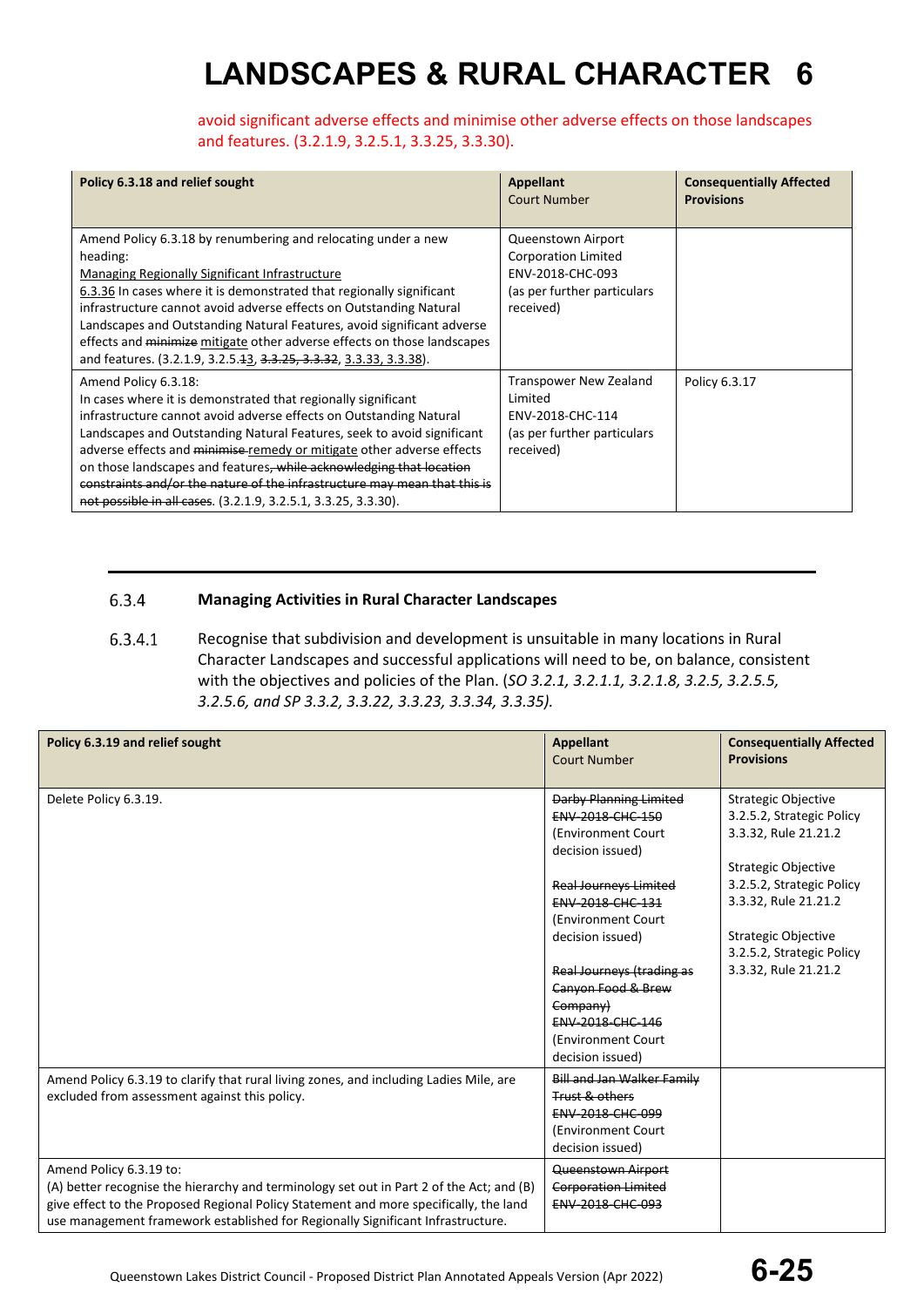avoid significant adverse effects and minimise other adverse effects on those landscapes and features. (3.2.1.9, 3.2.5.1, 3.3.25, 3.3.30).

| Policy 6.3.18 and relief sought                                                                                                                                                                                                                                                                                                                                                                                                                                                                                                      | <b>Appellant</b><br>Court Number                                                                                 | <b>Consequentially Affected</b><br><b>Provisions</b> |
|--------------------------------------------------------------------------------------------------------------------------------------------------------------------------------------------------------------------------------------------------------------------------------------------------------------------------------------------------------------------------------------------------------------------------------------------------------------------------------------------------------------------------------------|------------------------------------------------------------------------------------------------------------------|------------------------------------------------------|
| Amend Policy 6.3.18 by renumbering and relocating under a new<br>heading:<br>Managing Regionally Significant Infrastructure<br>6.3.36 In cases where it is demonstrated that regionally significant<br>infrastructure cannot avoid adverse effects on Outstanding Natural<br>Landscapes and Outstanding Natural Features, avoid significant adverse<br>effects and minimize mitigate other adverse effects on those landscapes<br>and features. (3.2.1.9, 3.2.5.13, 3.3.25, 3.3.32, 3.3.33, 3.3.38).                                 | Queenstown Airport<br><b>Corporation Limited</b><br>ENV-2018-CHC-093<br>(as per further particulars<br>received) |                                                      |
| Amend Policy 6.3.18:<br>In cases where it is demonstrated that regionally significant<br>infrastructure cannot avoid adverse effects on Outstanding Natural<br>Landscapes and Outstanding Natural Features, seek to avoid significant<br>adverse effects and minimise remedy or mitigate other adverse effects<br>on those landscapes and features, while acknowledging that location<br>constraints and/or the nature of the infrastructure may mean that this is<br>not possible in all cases. (3.2.1.9, 3.2.5.1, 3.3.25, 3.3.30). | Transpower New Zealand<br>Limited<br>ENV-2018-CHC-114<br>(as per further particulars<br>received)                | Policy 6.3.17                                        |

#### 6.3.4 **Managing Activities in Rural Character Landscapes**

6.3.4.1 Recognise that subdivision and development is unsuitable in many locations in Rural Character Landscapes and successful applications will need to be, on balance, consistent with the objectives and policies of the Plan. (*SO 3.2.1, 3.2.1.1, 3.2.1.8, 3.2.5, 3.2.5.5, 3.2.5.6, and SP 3.3.2, 3.3.22, 3.3.23, 3.3.34, 3.3.35).*

| Policy 6.3.19 and relief sought                                                                                                                                                                                                                                                                 | <b>Appellant</b><br><b>Court Number</b>                                                                                                                                                                     | <b>Consequentially Affected</b><br><b>Provisions</b>                                                                                 |
|-------------------------------------------------------------------------------------------------------------------------------------------------------------------------------------------------------------------------------------------------------------------------------------------------|-------------------------------------------------------------------------------------------------------------------------------------------------------------------------------------------------------------|--------------------------------------------------------------------------------------------------------------------------------------|
| Delete Policy 6.3.19.                                                                                                                                                                                                                                                                           | Darby Planning Limited<br>ENV-2018-CHC-150<br>(Environment Court)<br>decision issued)                                                                                                                       | <b>Strategic Objective</b><br>3.2.5.2, Strategic Policy<br>3.3.32, Rule 21.21.2<br><b>Strategic Objective</b>                        |
|                                                                                                                                                                                                                                                                                                 | <b>Real Journeys Limited</b><br><b>ENV-2018-CHC-131</b><br>(Environment Court)<br>decision issued)<br>Real Journeys (trading as<br>Canvon Food & Brew<br>Company)<br>ENV-2018-CHC-146<br>(Environment Court | 3.2.5.2, Strategic Policy<br>3.3.32, Rule 21.21.2<br><b>Strategic Objective</b><br>3.2.5.2, Strategic Policy<br>3.3.32, Rule 21.21.2 |
| Amend Policy 6.3.19 to clarify that rural living zones, and including Ladies Mile, are<br>excluded from assessment against this policy.                                                                                                                                                         | decision issued)<br>Bill and Jan Walker Family<br>Trust & others<br>ENV-2018-CHC-099<br>(Environment Court<br>decision issued)                                                                              |                                                                                                                                      |
| Amend Policy 6.3.19 to:<br>(A) better recognise the hierarchy and terminology set out in Part 2 of the Act; and (B)<br>give effect to the Proposed Regional Policy Statement and more specifically, the land<br>use management framework established for Regionally Significant Infrastructure. | Queenstown Airport<br><b>Corporation Limited</b><br>ENV-2018-CHC-093                                                                                                                                        |                                                                                                                                      |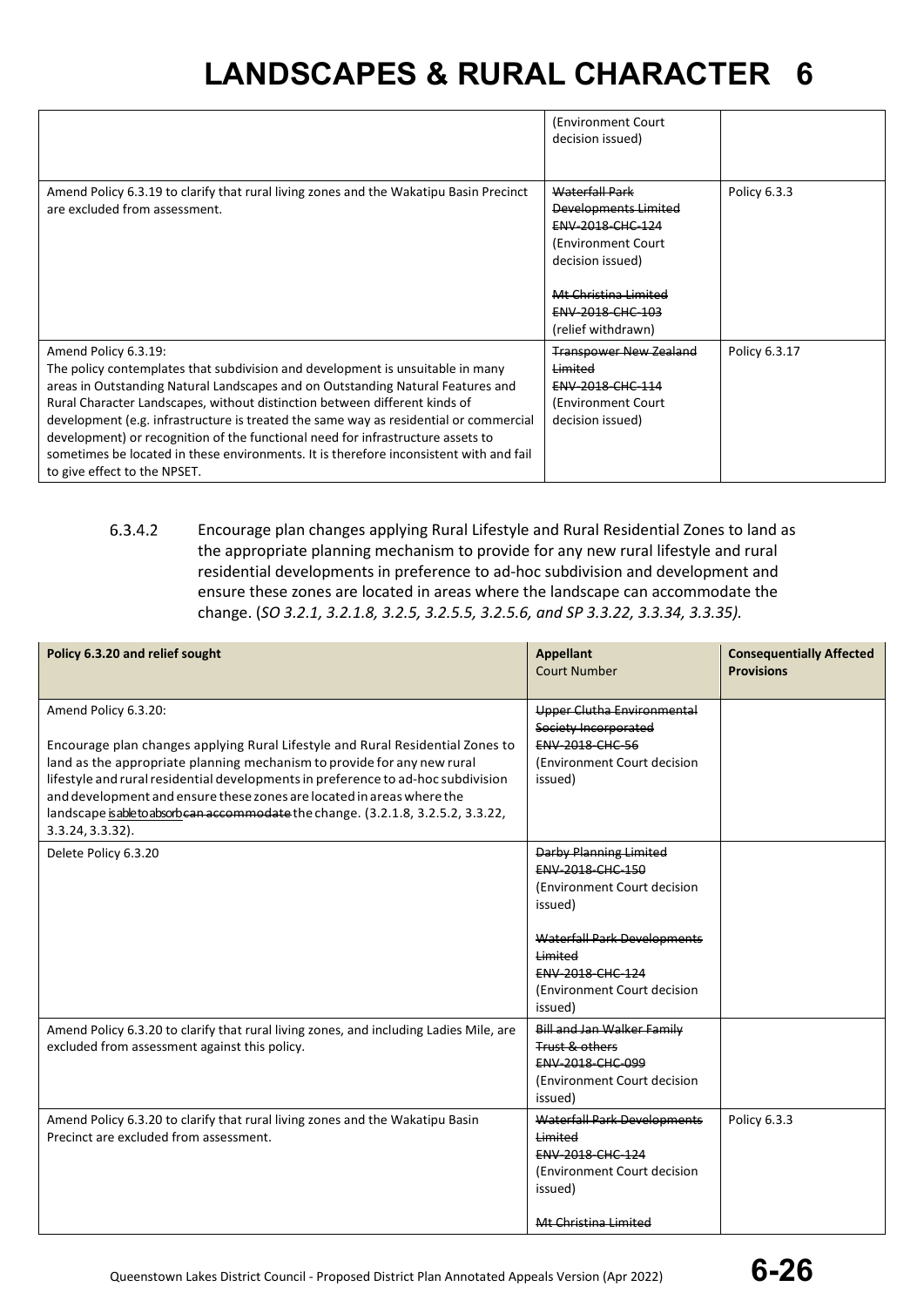|                                                                                                                                                                                                                                                                                                                                                                                                                                                                                                                                                                               | (Environment Court)<br>decision issued)                                                                                                                                        |               |
|-------------------------------------------------------------------------------------------------------------------------------------------------------------------------------------------------------------------------------------------------------------------------------------------------------------------------------------------------------------------------------------------------------------------------------------------------------------------------------------------------------------------------------------------------------------------------------|--------------------------------------------------------------------------------------------------------------------------------------------------------------------------------|---------------|
| Amend Policy 6.3.19 to clarify that rural living zones and the Wakatipu Basin Precinct<br>are excluded from assessment.                                                                                                                                                                                                                                                                                                                                                                                                                                                       | <b>Waterfall Park</b><br>Developments Limited<br>ENV-2018-CHC-124<br>(Environment Court)<br>decision issued)<br>Mt Christina Limited<br>ENV-2018-CHC-103<br>(relief withdrawn) | Policy 6.3.3  |
| Amend Policy 6.3.19:<br>The policy contemplates that subdivision and development is unsuitable in many<br>areas in Outstanding Natural Landscapes and on Outstanding Natural Features and<br>Rural Character Landscapes, without distinction between different kinds of<br>development (e.g. infrastructure is treated the same way as residential or commercial<br>development) or recognition of the functional need for infrastructure assets to<br>sometimes be located in these environments. It is therefore inconsistent with and fail<br>to give effect to the NPSET. | <b>Transpower New Zealand</b><br>Limited<br>ENV-2018-CHC-114<br>(Environment Court)<br>decision issued)                                                                        | Policy 6.3.17 |

6.3.4.2 Encourage plan changes applying Rural Lifestyle and Rural Residential Zones to land as the appropriate planning mechanism to provide for any new rural lifestyle and rural residential developments in preference to ad-hoc subdivision and development and ensure these zones are located in areas where the landscape can accommodate the change. (*SO 3.2.1, 3.2.1.8, 3.2.5, 3.2.5.5, 3.2.5.6, and SP 3.3.22, 3.3.34, 3.3.35).*

| Policy 6.3.20 and relief sought                                                                                                                                                                                                                                                                                                                                                                                                                             | <b>Appellant</b><br><b>Court Number</b>                                                                                                                                                                    | <b>Consequentially Affected</b><br><b>Provisions</b> |
|-------------------------------------------------------------------------------------------------------------------------------------------------------------------------------------------------------------------------------------------------------------------------------------------------------------------------------------------------------------------------------------------------------------------------------------------------------------|------------------------------------------------------------------------------------------------------------------------------------------------------------------------------------------------------------|------------------------------------------------------|
| Amend Policy 6.3.20:<br>Encourage plan changes applying Rural Lifestyle and Rural Residential Zones to<br>land as the appropriate planning mechanism to provide for any new rural<br>lifestyle and rural residential developments in preference to ad-hoc subdivision<br>and development and ensure these zones are located in areas where the<br>landscape is able to absorb can accommodate the change. (3.2.1.8, 3.2.5.2, 3.3.22,<br>$3.3.24, 3.3.32$ ). | Upper Clutha Environmental<br>Society Incorporated<br><b>ENV-2018-CHC-56</b><br>(Environment Court decision<br>issued)                                                                                     |                                                      |
| Delete Policy 6.3.20                                                                                                                                                                                                                                                                                                                                                                                                                                        | <b>Darby Planning Limited</b><br><b>ENV 2018 CHC 150</b><br>(Environment Court decision<br>issued)<br>Waterfall Park Developments<br>Limited<br>ENV-2018-CHC-124<br>(Environment Court decision<br>issued) |                                                      |
| Amend Policy 6.3.20 to clarify that rural living zones, and including Ladies Mile, are<br>excluded from assessment against this policy.                                                                                                                                                                                                                                                                                                                     | Bill and Jan Walker Family<br>Trust & others<br><b>ENV 2018 CHC 099</b><br>(Environment Court decision<br>issued)                                                                                          |                                                      |
| Amend Policy 6.3.20 to clarify that rural living zones and the Wakatipu Basin<br>Precinct are excluded from assessment.                                                                                                                                                                                                                                                                                                                                     | <b>Waterfall Park Developments</b><br>Limited<br><b>ENV 2018 CHC 124</b><br>(Environment Court decision<br>issued)<br>Mt Christina Limited                                                                 | Policy 6.3.3                                         |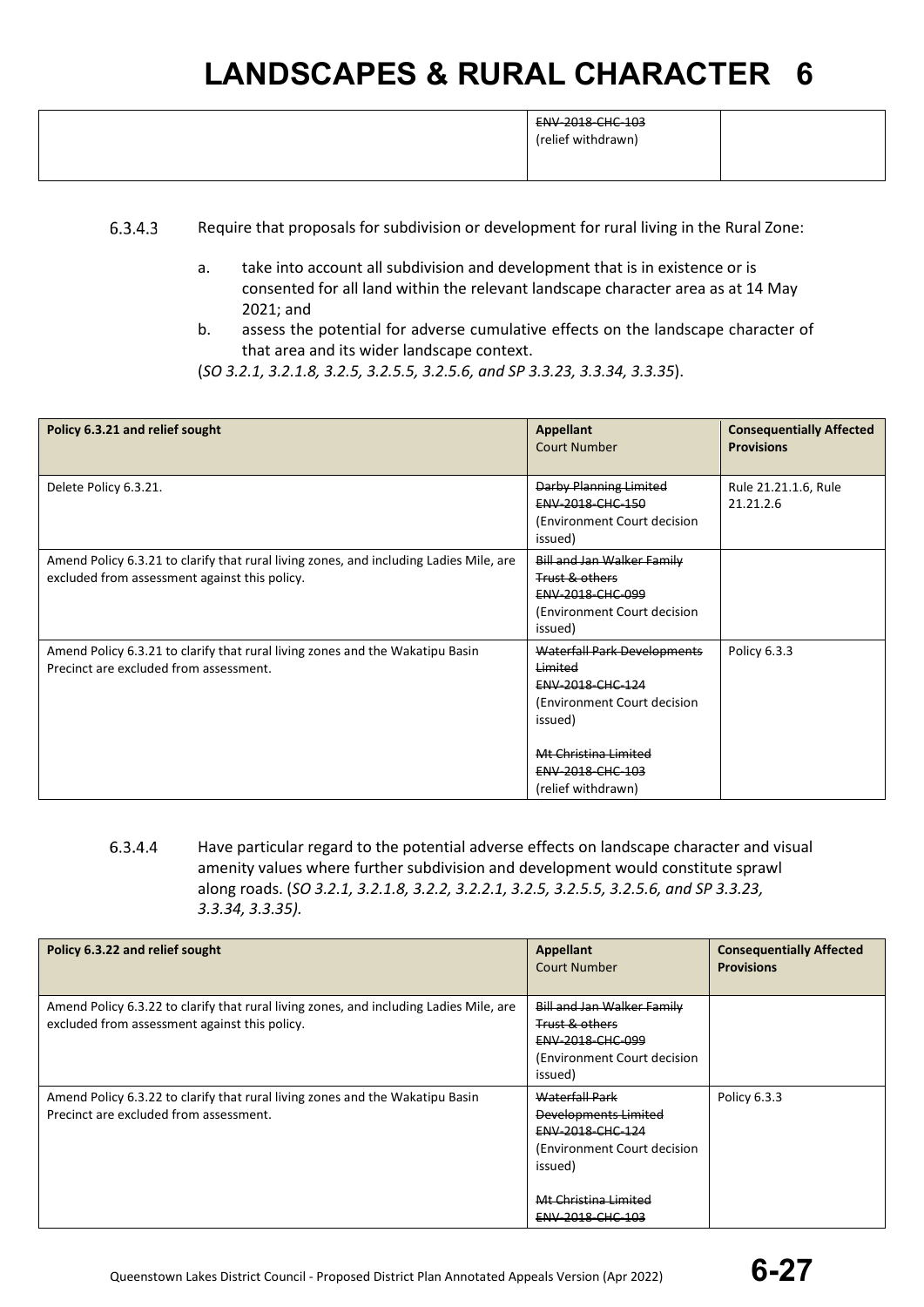|  | ENV-2018-CHC-103<br>(relief withdrawn) |  |
|--|----------------------------------------|--|
|--|----------------------------------------|--|

- 6.3.4.3 Require that proposals for subdivision or development for rural living in the Rural Zone:
	- a. take into account all subdivision and development that is in existence or is consented for all land within the relevant landscape character area as at 14 May 2021; and
	- b. assess the potential for adverse cumulative effects on the landscape character of that area and its wider landscape context.
	- (*SO 3.2.1, 3.2.1.8, 3.2.5, 3.2.5.5, 3.2.5.6, and SP 3.3.23, 3.3.34, 3.3.35*).

| Policy 6.3.21 and relief sought                                                                                                         | <b>Appellant</b><br><b>Court Number</b>                                                                                                                                        | <b>Consequentially Affected</b><br><b>Provisions</b> |
|-----------------------------------------------------------------------------------------------------------------------------------------|--------------------------------------------------------------------------------------------------------------------------------------------------------------------------------|------------------------------------------------------|
| Delete Policy 6.3.21.                                                                                                                   | Darby Planning Limited<br>ENV-2018-CHC-150<br>(Environment Court decision)<br>issued)                                                                                          | Rule 21.21.1.6, Rule<br>21.21.2.6                    |
| Amend Policy 6.3.21 to clarify that rural living zones, and including Ladies Mile, are<br>excluded from assessment against this policy. | Bill and Jan Walker Family<br>Trust & others<br><b>ENV 2018 CHC 099</b><br>(Environment Court decision<br>issued)                                                              |                                                      |
| Amend Policy 6.3.21 to clarify that rural living zones and the Wakatipu Basin<br>Precinct are excluded from assessment.                 | Waterfall Park Developments<br>Limited<br><b>ENV 2018 CHC 124</b><br>(Environment Court decision)<br>issued)<br>Mt Christina Limited<br>ENV-2018-CHC-103<br>(relief withdrawn) | Policy 6.3.3                                         |

6.3.4.4 Have particular regard to the potential adverse effects on landscape character and visual amenity values where further subdivision and development would constitute sprawl along roads. (*SO 3.2.1, 3.2.1.8, 3.2.2, 3.2.2.1, 3.2.5, 3.2.5.5, 3.2.5.6, and SP 3.3.23, 3.3.34, 3.3.35).*

| Policy 6.3.22 and relief sought                                                                                                         | Appellant<br>Court Number                                                                                                                                | <b>Consequentially Affected</b><br><b>Provisions</b> |
|-----------------------------------------------------------------------------------------------------------------------------------------|----------------------------------------------------------------------------------------------------------------------------------------------------------|------------------------------------------------------|
| Amend Policy 6.3.22 to clarify that rural living zones, and including Ladies Mile, are<br>excluded from assessment against this policy. | Bill and Jan Walker Family<br><b>Trust &amp; others</b><br><b>ENV 2018 CHC 099</b><br>(Environment Court decision)<br>issued)                            |                                                      |
| Amend Policy 6.3.22 to clarify that rural living zones and the Wakatipu Basin<br>Precinct are excluded from assessment.                 | Waterfall Park<br><b>Developments Limited</b><br>ENV-2018-CHC-124<br>(Environment Court decision)<br>issued)<br>Mt Christina Limited<br>ENV-2018-CHC-103 | Policy 6.3.3                                         |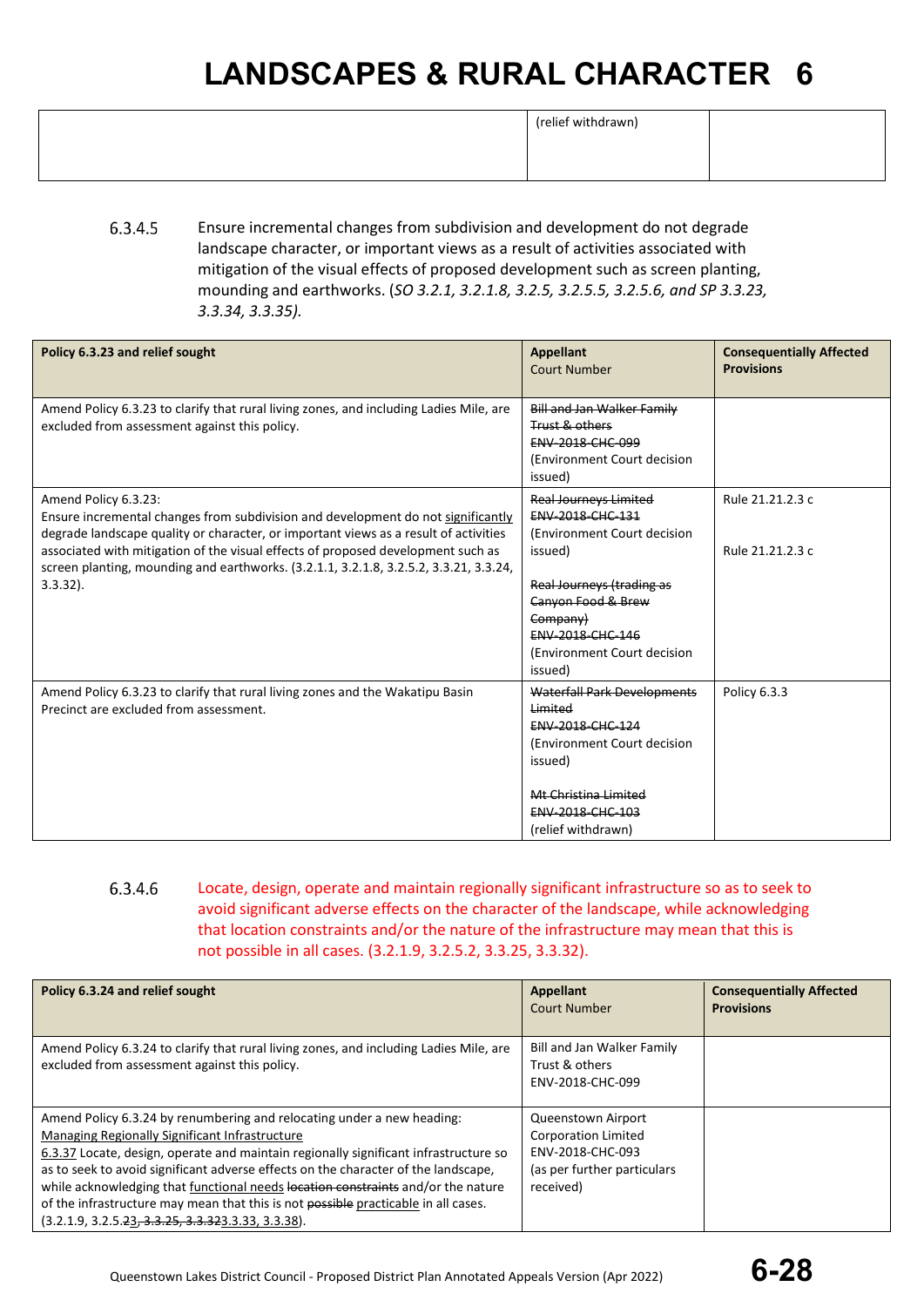|  | (relief withdrawn) |
|--|--------------------|
|--|--------------------|

| $\frac{1}{2}$ . $\frac{1}{2}$ . $\frac{1}{2}$ . $\frac{1}{2}$ . $\frac{1}{2}$ . $\frac{1}{2}$ . $\frac{1}{2}$ . $\frac{1}{2}$ . $\frac{1}{2}$ . $\frac{1}{2}$ . $\frac{1}{2}$ |  |
|-------------------------------------------------------------------------------------------------------------------------------------------------------------------------------|--|
|                                                                                                                                                                               |  |
|                                                                                                                                                                               |  |
|                                                                                                                                                                               |  |
|                                                                                                                                                                               |  |
|                                                                                                                                                                               |  |
|                                                                                                                                                                               |  |
|                                                                                                                                                                               |  |

6.3.4.5 Ensure incremental changes from subdivision and development do not degrade landscape character, or important views as a result of activities associated with mitigation of the visual effects of proposed development such as screen planting, mounding and earthworks. (*SO 3.2.1, 3.2.1.8, 3.2.5, 3.2.5.5, 3.2.5.6, and SP 3.3.23, 3.3.34, 3.3.35).*

| Policy 6.3.23 and relief sought                                                                                                                                                                                                                                                                                                                                                              | <b>Appellant</b><br><b>Court Number</b>                                                                                                                                | <b>Consequentially Affected</b><br><b>Provisions</b> |
|----------------------------------------------------------------------------------------------------------------------------------------------------------------------------------------------------------------------------------------------------------------------------------------------------------------------------------------------------------------------------------------------|------------------------------------------------------------------------------------------------------------------------------------------------------------------------|------------------------------------------------------|
| Amend Policy 6.3.23 to clarify that rural living zones, and including Ladies Mile, are<br>excluded from assessment against this policy.                                                                                                                                                                                                                                                      | <b>Bill and Jan Walker Family</b><br>Trust & others<br>ENV-2018-CHC-099<br>(Environment Court decision<br>issued)                                                      |                                                      |
| Amend Policy 6.3.23:<br>Ensure incremental changes from subdivision and development do not significantly<br>degrade landscape quality or character, or important views as a result of activities<br>associated with mitigation of the visual effects of proposed development such as<br>screen planting, mounding and earthworks. (3.2.1.1, 3.2.1.8, 3.2.5.2, 3.3.21, 3.3.24,<br>$3.3.32$ ). | <b>Real Journeys Limited</b><br>ENV-2018-CHC-131<br>(Environment Court decision<br>issued)<br>Real Journeys (trading as                                                | Rule 21.21.2.3 c<br>Rule 21.21.2.3 c                 |
|                                                                                                                                                                                                                                                                                                                                                                                              | Canyon Food & Brew<br>Company)<br>ENV-2018-CHC-146<br>(Environment Court decision<br>issued)                                                                           |                                                      |
| Amend Policy 6.3.23 to clarify that rural living zones and the Wakatipu Basin<br>Precinct are excluded from assessment.                                                                                                                                                                                                                                                                      | Waterfall Park Developments<br>Limited<br>ENV-2018-CHC-124<br>(Environment Court decision<br>issued)<br>Mt Christina Limited<br>ENV-2018-CHC-103<br>(relief withdrawn) | Policy 6.3.3                                         |

6.3.4.6 Locate, design, operate and maintain regionally significant infrastructure so as to seek to avoid significant adverse effects on the character of the landscape, while acknowledging that location constraints and/or the nature of the infrastructure may mean that this is not possible in all cases. (3.2.1.9, 3.2.5.2, 3.3.25, 3.3.32).

| Policy 6.3.24 and relief sought                                                                                                                                                                                                                                                                                                                                                                                                                                                                                                          | <b>Appellant</b><br><b>Court Number</b>                                                                          | <b>Consequentially Affected</b><br><b>Provisions</b> |
|------------------------------------------------------------------------------------------------------------------------------------------------------------------------------------------------------------------------------------------------------------------------------------------------------------------------------------------------------------------------------------------------------------------------------------------------------------------------------------------------------------------------------------------|------------------------------------------------------------------------------------------------------------------|------------------------------------------------------|
| Amend Policy 6.3.24 to clarify that rural living zones, and including Ladies Mile, are<br>excluded from assessment against this policy.                                                                                                                                                                                                                                                                                                                                                                                                  | Bill and Jan Walker Family<br>Trust & others<br>ENV-2018-CHC-099                                                 |                                                      |
| Amend Policy 6.3.24 by renumbering and relocating under a new heading:<br>Managing Regionally Significant Infrastructure<br>6.3.37 Locate, design, operate and maintain regionally significant infrastructure so<br>as to seek to avoid significant adverse effects on the character of the landscape,<br>while acknowledging that functional needs location constraints and/or the nature<br>of the infrastructure may mean that this is not possible practicable in all cases.<br>$(3.2.1.9, 3.2.5.23, 3.3.25, 3.3.323.3.33, 3.3.38).$ | Queenstown Airport<br><b>Corporation Limited</b><br>ENV-2018-CHC-093<br>(as per further particulars<br>received) |                                                      |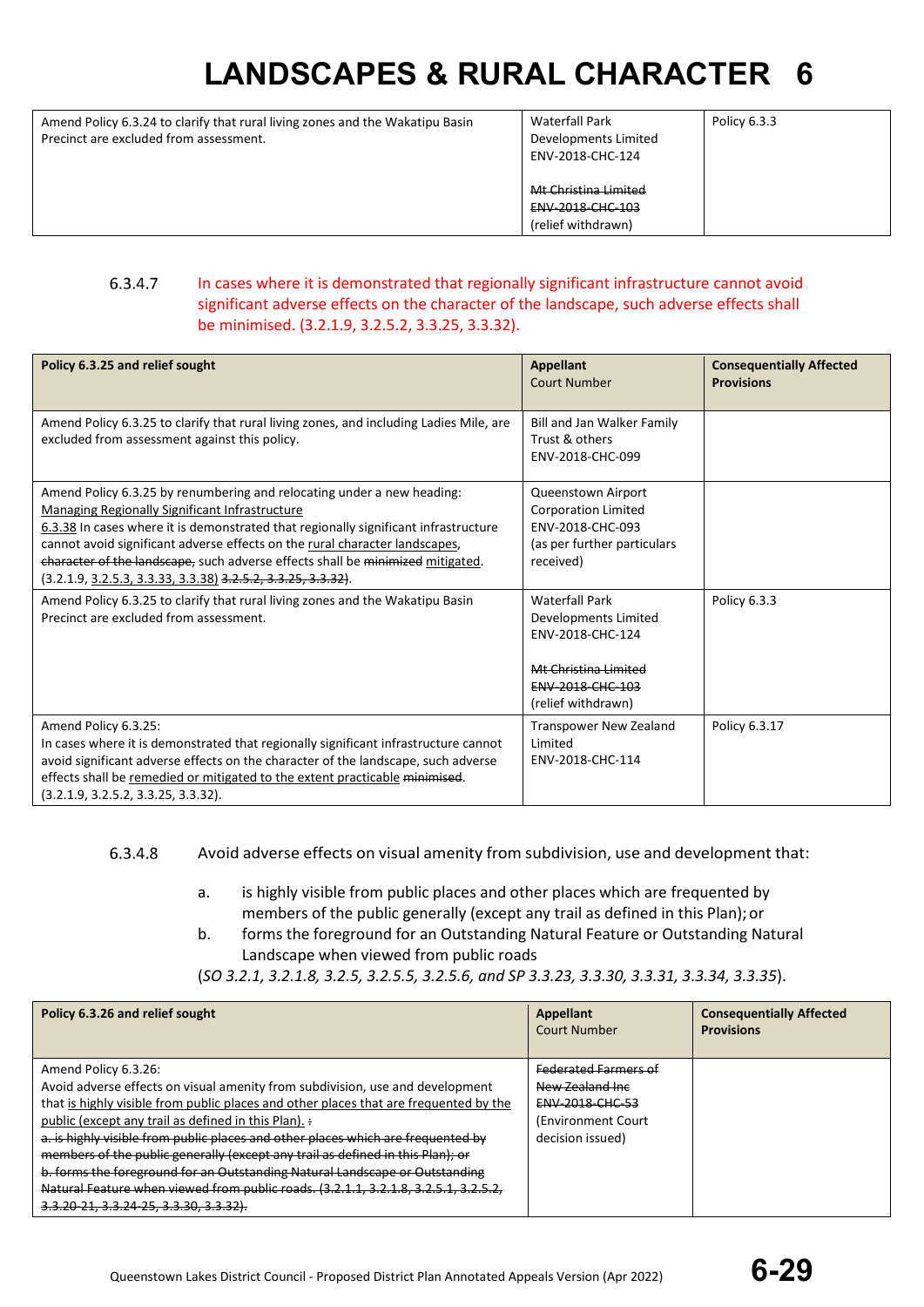Amend Policy 6.3.24 to clarify that rural living zones and the Wakatipu Basin Precinct are excluded from assessment.

Waterfall Park Developments Limited ENV-2018-CHC-124 Mt Christina Limited ENV-2018-CHC-103 (relief withdrawn) Policy 6.3.3

### 6.3.4.7 In cases where it is demonstrated that regionally significant infrastructure cannot avoid significant adverse effects on the character of the landscape, such adverse effects shall be minimised. (3.2.1.9, 3.2.5.2, 3.3.25, 3.3.32).

| Policy 6.3.25 and relief sought                                                                                                                                                                                                                                                                                                                                                                                                                             | <b>Appellant</b><br><b>Court Number</b>                                                                                             | <b>Consequentially Affected</b><br><b>Provisions</b> |
|-------------------------------------------------------------------------------------------------------------------------------------------------------------------------------------------------------------------------------------------------------------------------------------------------------------------------------------------------------------------------------------------------------------------------------------------------------------|-------------------------------------------------------------------------------------------------------------------------------------|------------------------------------------------------|
| Amend Policy 6.3.25 to clarify that rural living zones, and including Ladies Mile, are<br>excluded from assessment against this policy.                                                                                                                                                                                                                                                                                                                     | Bill and Jan Walker Family<br>Trust & others<br>ENV-2018-CHC-099                                                                    |                                                      |
| Amend Policy 6.3.25 by renumbering and relocating under a new heading:<br><b>Managing Regionally Significant Infrastructure</b><br>6.3.38 In cases where it is demonstrated that regionally significant infrastructure<br>cannot avoid significant adverse effects on the rural character landscapes,<br>character of the landscape, such adverse effects shall be minimized mitigated.<br>$(3.2.1.9, 3.2.5.3, 3.3.33, 3.3.38)$ $3.2.5.2, 3.3.25, 3.3.32$ . | Queenstown Airport<br><b>Corporation Limited</b><br>ENV-2018-CHC-093<br>(as per further particulars<br>received)                    |                                                      |
| Amend Policy 6.3.25 to clarify that rural living zones and the Wakatipu Basin<br>Precinct are excluded from assessment.                                                                                                                                                                                                                                                                                                                                     | <b>Waterfall Park</b><br>Developments Limited<br>ENV-2018-CHC-124<br>Mt Christina Limited<br>ENV-2018-CHC-103<br>(relief withdrawn) | Policy 6.3.3                                         |
| Amend Policy 6.3.25:<br>In cases where it is demonstrated that regionally significant infrastructure cannot<br>avoid significant adverse effects on the character of the landscape, such adverse<br>effects shall be remedied or mitigated to the extent practicable minimised.<br>(3.2.1.9, 3.2.5.2, 3.3.25, 3.3.32).                                                                                                                                      | <b>Transpower New Zealand</b><br>Limited<br>ENV-2018-CHC-114                                                                        | Policy 6.3.17                                        |

#### 6.3.4.8 Avoid adverse effects on visual amenity from subdivision, use and development that:

- a. is highly visible from public places and other places which are frequented by members of the public generally (except any trail as defined in this Plan);or
- b. forms the foreground for an Outstanding Natural Feature or Outstanding Natural Landscape when viewed from public roads
- (*SO 3.2.1, 3.2.1.8, 3.2.5, 3.2.5.5, 3.2.5.6, and SP 3.3.23, 3.3.30, 3.3.31, 3.3.34, 3.3.35*).

| Policy 6.3.26 and relief sought                                                                                                                                                                                                                                                                                                                                                                                              | Appellant<br><b>Court Number</b>                                                                                     | <b>Consequentially Affected</b><br><b>Provisions</b> |
|------------------------------------------------------------------------------------------------------------------------------------------------------------------------------------------------------------------------------------------------------------------------------------------------------------------------------------------------------------------------------------------------------------------------------|----------------------------------------------------------------------------------------------------------------------|------------------------------------------------------|
| Amend Policy 6.3.26:<br>Avoid adverse effects on visual amenity from subdivision, use and development<br>that is highly visible from public places and other places that are frequented by the<br>public (except any trail as defined in this Plan). :<br>a. is highly visible from public places and other places which are frequented by<br>members of the public generally (except any trail as defined in this Plan); or | <b>Federated Farmers of</b><br>New Zealand Inc.<br><b>ENV-2018-CHC-53</b><br>(Environment Court)<br>decision issued) |                                                      |
| b. forms the foreground for an Outstanding Natural Landscape or Outstanding<br>Natural Feature when viewed from public roads. (3.2.1.1, 3.2.1.8, 3.2.5.1, 3.2.5.2,<br>3.3.20-21, 3.3.24-25, 3.3.30, 3.3.32).                                                                                                                                                                                                                 |                                                                                                                      |                                                      |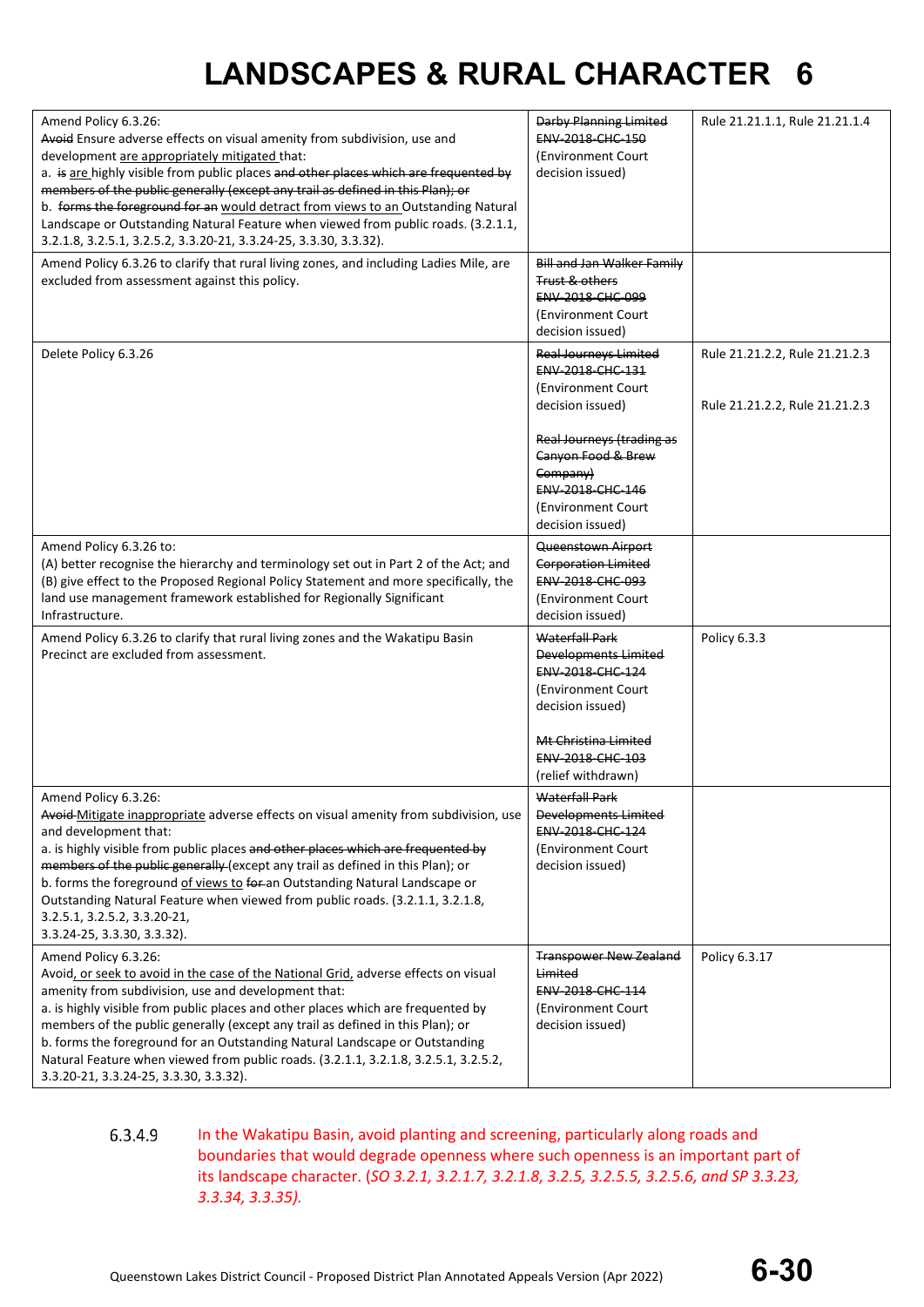| Amend Policy 6.3.26:<br>Avoid Ensure adverse effects on visual amenity from subdivision, use and<br>development are appropriately mitigated that:<br>a. is are highly visible from public places and other places which are frequented by<br>members of the public generally (except any trail as defined in this Plan); or<br>b. forms the foreground for an would detract from views to an Outstanding Natural<br>Landscape or Outstanding Natural Feature when viewed from public roads. (3.2.1.1,<br>3.2.1.8, 3.2.5.1, 3.2.5.2, 3.3.20-21, 3.3.24-25, 3.3.30, 3.3.32). | Darby Planning Limited<br>ENV-2018-CHC-150<br>(Environment Court<br>decision issued)                                                                                                                                     | Rule 21.21.1.1, Rule 21.21.1.4                                   |
|----------------------------------------------------------------------------------------------------------------------------------------------------------------------------------------------------------------------------------------------------------------------------------------------------------------------------------------------------------------------------------------------------------------------------------------------------------------------------------------------------------------------------------------------------------------------------|--------------------------------------------------------------------------------------------------------------------------------------------------------------------------------------------------------------------------|------------------------------------------------------------------|
| Amend Policy 6.3.26 to clarify that rural living zones, and including Ladies Mile, are<br>excluded from assessment against this policy.                                                                                                                                                                                                                                                                                                                                                                                                                                    | <b>Bill and Jan Walker Family</b><br><b>Trust &amp; others</b><br>ENV-2018-CHC-099<br>(Environment Court<br>decision issued)                                                                                             |                                                                  |
| Delete Policy 6.3.26                                                                                                                                                                                                                                                                                                                                                                                                                                                                                                                                                       | <b>Real Journeys Limited</b><br>ENV-2018-CHC-131<br>(Environment Court<br>decision issued)<br>Real Journeys (trading as<br>Canyon Food & Brew<br>Company)<br>ENV-2018-CHC-146<br>(Environment Court)<br>decision issued) | Rule 21.21.2.2, Rule 21.21.2.3<br>Rule 21.21.2.2, Rule 21.21.2.3 |
| Amend Policy 6.3.26 to:<br>(A) better recognise the hierarchy and terminology set out in Part 2 of the Act; and<br>(B) give effect to the Proposed Regional Policy Statement and more specifically, the<br>land use management framework established for Regionally Significant<br>Infrastructure.                                                                                                                                                                                                                                                                         | Queenstown Airport<br><b>Corporation Limited</b><br><b>ENV 2018 CHC 093</b><br>(Environment Court)<br>decision issued)                                                                                                   |                                                                  |
| Amend Policy 6.3.26 to clarify that rural living zones and the Wakatipu Basin<br>Precinct are excluded from assessment.                                                                                                                                                                                                                                                                                                                                                                                                                                                    | Waterfall Park<br>Developments Limited<br>ENV-2018-CHC-124<br>(Environment Court)<br>decision issued)<br>Mt Christina Limited<br>ENV-2018-CHC-103<br>(relief withdrawn)                                                  | Policy 6.3.3                                                     |
| Amend Policy 6.3.26:<br>Avoid-Mitigate inappropriate adverse effects on visual amenity from subdivision, use<br>and development that:<br>a. is highly visible from public places and other places which are frequented by<br>members of the public generally (except any trail as defined in this Plan); or<br>b. forms the foreground of views to for an Outstanding Natural Landscape or<br>Outstanding Natural Feature when viewed from public roads. (3.2.1.1, 3.2.1.8,<br>3.2.5.1, 3.2.5.2, 3.3.20-21,<br>3.3.24-25, 3.3.30, 3.3.32).                                 | <b>Waterfall Park</b><br>Developments Limited<br>ENV-2018-CHC-124<br>(Environment Court<br>decision issued)                                                                                                              |                                                                  |
| Amend Policy 6.3.26:<br>Avoid, or seek to avoid in the case of the National Grid, adverse effects on visual<br>amenity from subdivision, use and development that:<br>a. is highly visible from public places and other places which are frequented by<br>members of the public generally (except any trail as defined in this Plan); or<br>b. forms the foreground for an Outstanding Natural Landscape or Outstanding<br>Natural Feature when viewed from public roads. (3.2.1.1, 3.2.1.8, 3.2.5.1, 3.2.5.2,<br>3.3.20-21, 3.3.24-25, 3.3.30, 3.3.32).                   | <b>Transpower New Zealand</b><br>Limited<br>ENV-2018-CHC-114<br>(Environment Court<br>decision issued)                                                                                                                   | Policy 6.3.17                                                    |

6.3.4.9 In the Wakatipu Basin, avoid planting and screening, particularly along roads and boundaries that would degrade openness where such openness is an important part of its landscape character. (*SO 3.2.1, 3.2.1.7, 3.2.1.8, 3.2.5, 3.2.5.5, 3.2.5.6, and SP 3.3.23, 3.3.34, 3.3.35).*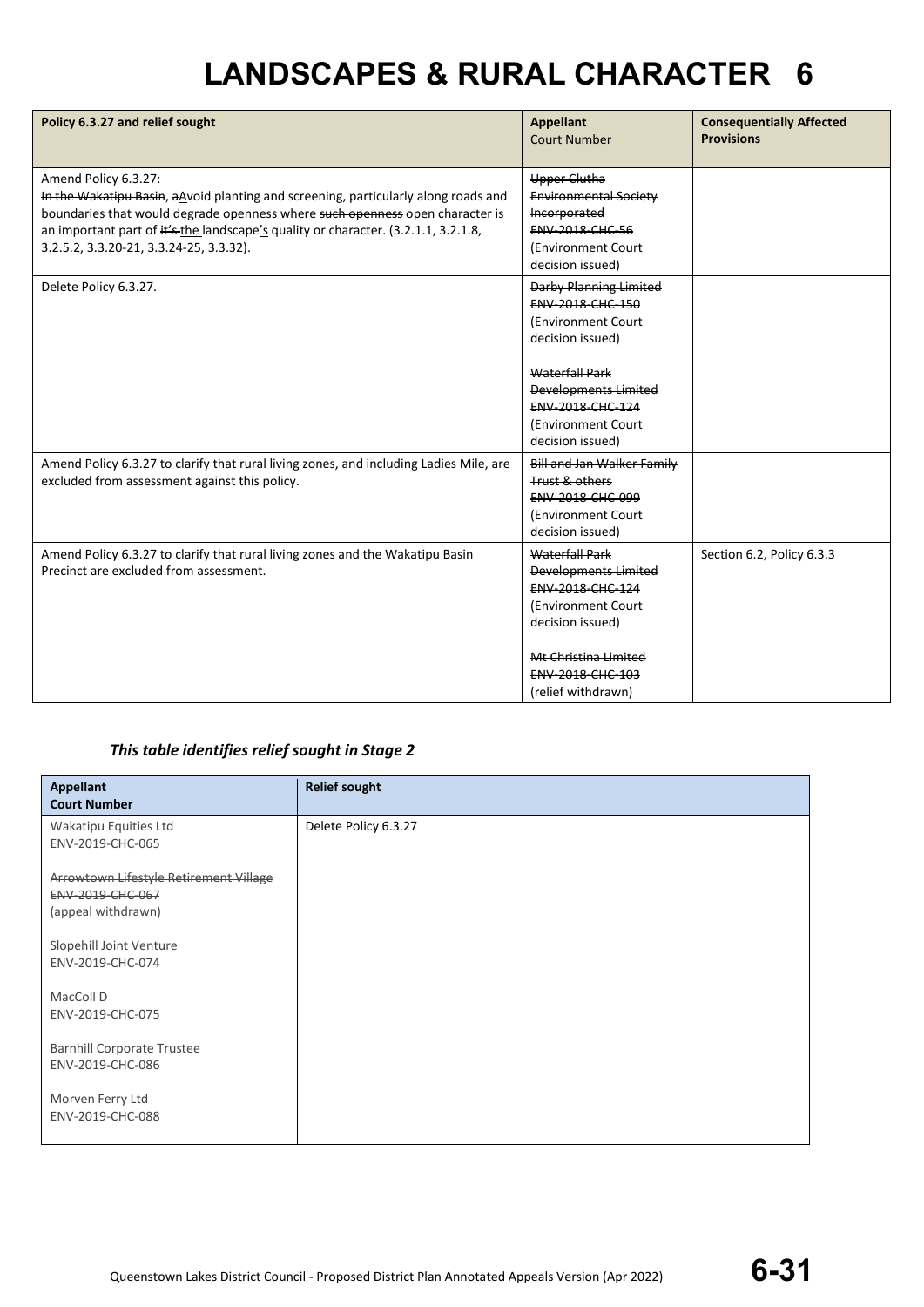| Policy 6.3.27 and relief sought                                                                                                                                                                                                                                                                                             | <b>Appellant</b><br><b>Court Number</b>                                                                                                                                                                     | <b>Consequentially Affected</b><br><b>Provisions</b> |
|-----------------------------------------------------------------------------------------------------------------------------------------------------------------------------------------------------------------------------------------------------------------------------------------------------------------------------|-------------------------------------------------------------------------------------------------------------------------------------------------------------------------------------------------------------|------------------------------------------------------|
| Amend Policy 6.3.27:<br>In the Wakatipu Basin, a Noid planting and screening, particularly along roads and<br>boundaries that would degrade openness where such openness open character is<br>an important part of it's the landscape's quality or character. (3.2.1.1, 3.2.1.8,<br>3.2.5.2, 3.3.20-21, 3.3.24-25, 3.3.32). | <b>Upper Clutha</b><br><b>Environmental Society</b><br>Incorporated<br><b>ENV 2018 CHC 56</b><br>(Environment Court)<br>decision issued)                                                                    |                                                      |
| Delete Policy 6.3.27.                                                                                                                                                                                                                                                                                                       | Darby Planning Limited<br>ENV-2018-CHC-150<br>(Environment Court)<br>decision issued)<br>Waterfall Park<br><b>Developments Limited</b><br><b>ENV 2018 CHC 124</b><br>(Environment Court<br>decision issued) |                                                      |
| Amend Policy 6.3.27 to clarify that rural living zones, and including Ladies Mile, are<br>excluded from assessment against this policy.                                                                                                                                                                                     | <b>Bill and Jan Walker Family</b><br>Trust & others<br>ENV-2018-CHC-099<br>(Environment Court<br>decision issued)                                                                                           |                                                      |
| Amend Policy 6.3.27 to clarify that rural living zones and the Wakatipu Basin<br>Precinct are excluded from assessment.                                                                                                                                                                                                     | <b>Waterfall Park</b><br>Developments Limited<br>ENV-2018-CHC-124<br>(Environment Court<br>decision issued)<br>Mt Christina Limited<br><b>ENV 2018 CHC 103</b><br>(relief withdrawn)                        | Section 6.2, Policy 6.3.3                            |

### *This table identifies relief sought in Stage 2*

| <b>Appellant</b><br><b>Court Number</b>                                          | <b>Relief sought</b> |
|----------------------------------------------------------------------------------|----------------------|
| Wakatipu Equities Ltd<br>ENV-2019-CHC-065                                        | Delete Policy 6.3.27 |
| Arrowtown Lifestyle Retirement Village<br>ENV-2019-CHC-067<br>(appeal withdrawn) |                      |
| Slopehill Joint Venture<br>ENV-2019-CHC-074                                      |                      |
| MacColl D<br>ENV-2019-CHC-075                                                    |                      |
| <b>Barnhill Corporate Trustee</b><br>ENV-2019-CHC-086                            |                      |
| Morven Ferry Ltd<br>ENV-2019-CHC-088                                             |                      |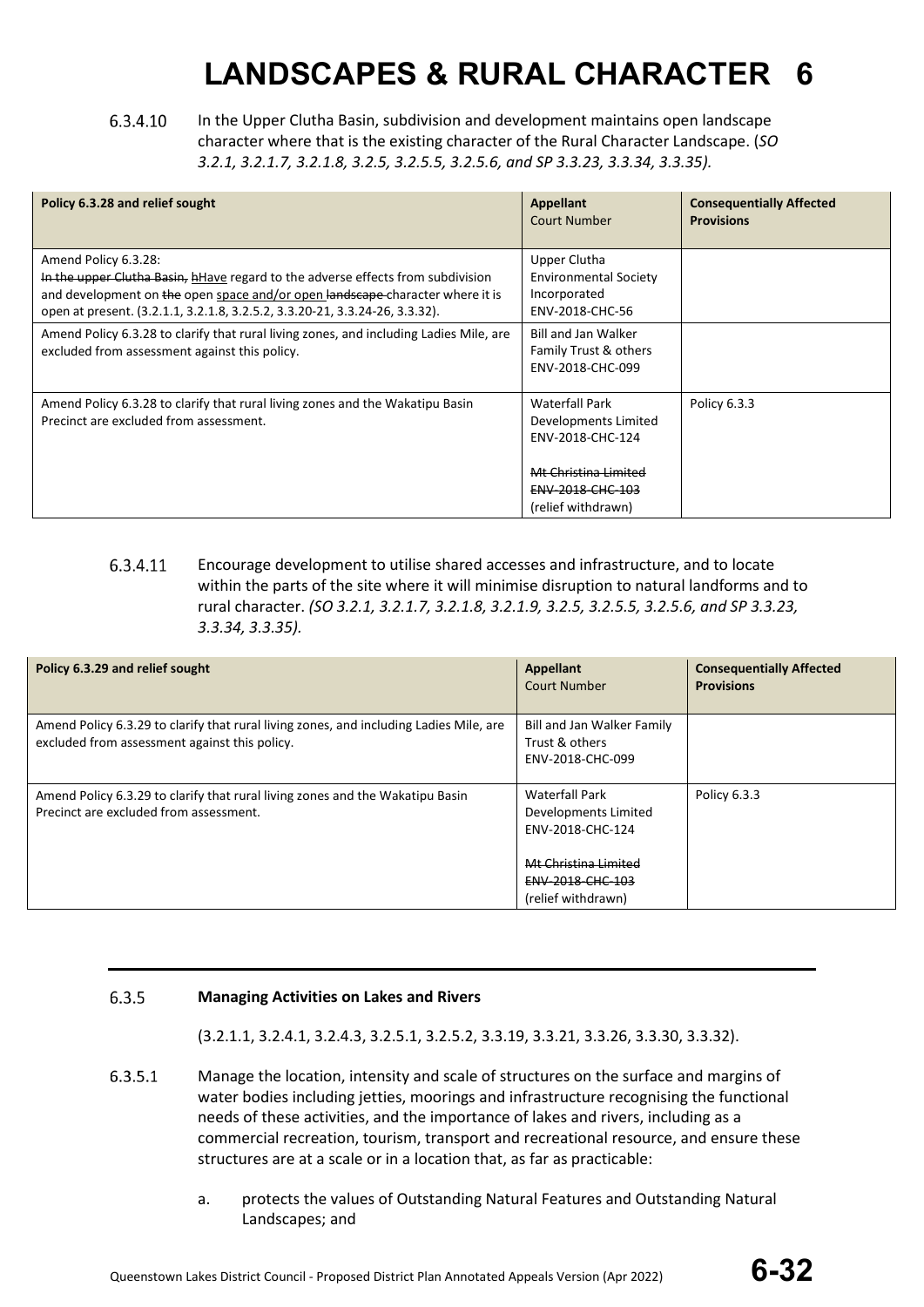### 6.3.4.10 In the Upper Clutha Basin, subdivision and development maintains open landscape character where that is the existing character of the Rural Character Landscape. (*SO 3.2.1, 3.2.1.7, 3.2.1.8, 3.2.5, 3.2.5.5, 3.2.5.6, and SP 3.3.23, 3.3.34, 3.3.35).*

| Policy 6.3.28 and relief sought                                                                                                                                                                                                                                         | Appellant<br><b>Court Number</b>                                                                                                    | <b>Consequentially Affected</b><br><b>Provisions</b> |
|-------------------------------------------------------------------------------------------------------------------------------------------------------------------------------------------------------------------------------------------------------------------------|-------------------------------------------------------------------------------------------------------------------------------------|------------------------------------------------------|
| Amend Policy 6.3.28:<br>In the upper Clutha Basin, hHave regard to the adverse effects from subdivision<br>and development on the open space and/or open landscape character where it is<br>open at present. (3.2.1.1, 3.2.1.8, 3.2.5.2, 3.3.20-21, 3.3.24-26, 3.3.32). | Upper Clutha<br><b>Environmental Society</b><br>Incorporated<br>ENV-2018-CHC-56                                                     |                                                      |
| Amend Policy 6.3.28 to clarify that rural living zones, and including Ladies Mile, are<br>excluded from assessment against this policy.                                                                                                                                 | <b>Bill and Jan Walker</b><br>Family Trust & others<br>ENV-2018-CHC-099                                                             |                                                      |
| Amend Policy 6.3.28 to clarify that rural living zones and the Wakatipu Basin<br>Precinct are excluded from assessment.                                                                                                                                                 | <b>Waterfall Park</b><br>Developments Limited<br>ENV-2018-CHC-124<br>Mt Christina Limited<br>ENV-2018-CHC-103<br>(relief withdrawn) | Policy 6.3.3                                         |

### 6.3.4.11 Encourage development to utilise shared accesses and infrastructure, and to locate within the parts of the site where it will minimise disruption to natural landforms and to rural character. *(SO 3.2.1, 3.2.1.7, 3.2.1.8, 3.2.1.9, 3.2.5, 3.2.5.5, 3.2.5.6, and SP 3.3.23, 3.3.34, 3.3.35).*

| Policy 6.3.29 and relief sought                                                                                                         | <b>Appellant</b><br><b>Court Number</b>                                                                       | <b>Consequentially Affected</b><br><b>Provisions</b> |
|-----------------------------------------------------------------------------------------------------------------------------------------|---------------------------------------------------------------------------------------------------------------|------------------------------------------------------|
| Amend Policy 6.3.29 to clarify that rural living zones, and including Ladies Mile, are<br>excluded from assessment against this policy. | Bill and Jan Walker Family<br>Trust & others<br>ENV-2018-CHC-099                                              |                                                      |
| Amend Policy 6.3.29 to clarify that rural living zones and the Wakatipu Basin<br>Precinct are excluded from assessment.                 | <b>Waterfall Park</b><br>Developments Limited<br>ENV-2018-CHC-124<br>Mt Christina Limited<br>ENV-2018-CHC-103 | Policy 6.3.3                                         |
|                                                                                                                                         | (relief withdrawn)                                                                                            |                                                      |

#### 6.3.5 **Managing Activities on Lakes and Rivers**

(3.2.1.1, 3.2.4.1, 3.2.4.3, 3.2.5.1, 3.2.5.2, 3.3.19, 3.3.21, 3.3.26, 3.3.30, 3.3.32).

- 6.3.5.1 Manage the location, intensity and scale of structures on the surface and margins of water bodies including jetties, moorings and infrastructure recognising the functional needs of these activities, and the importance of lakes and rivers, including as a commercial recreation, tourism, transport and recreational resource, and ensure these structures are at a scale or in a location that, as far as practicable:
	- a. protects the values of Outstanding Natural Features and Outstanding Natural Landscapes; and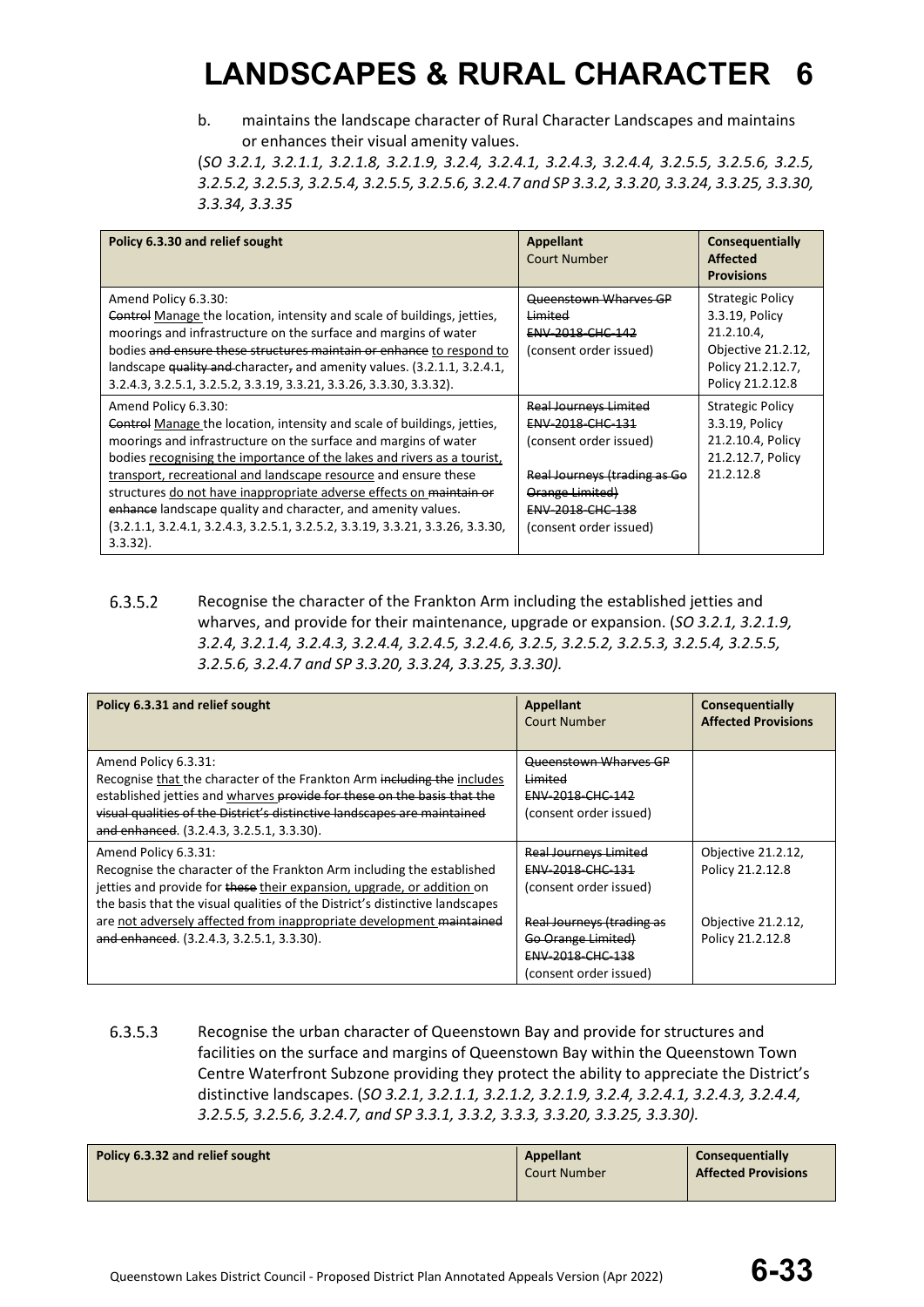b. maintains the landscape character of Rural Character Landscapes and maintains or enhances their visual amenity values.

(*SO 3.2.1, 3.2.1.1, 3.2.1.8, 3.2.1.9, 3.2.4, 3.2.4.1, 3.2.4.3, 3.2.4.4, 3.2.5.5, 3.2.5.6, 3.2.5, 3.2.5.2, 3.2.5.3, 3.2.5.4, 3.2.5.5, 3.2.5.6, 3.2.4.7 and SP 3.3.2, 3.3.20, 3.3.24, 3.3.25, 3.3.30, 3.3.34, 3.3.35*

| Policy 6.3.30 and relief sought                                                                                                                                                                                                                                                                                                                                                                                                                                                                                                                           | <b>Appellant</b><br>Court Number                                                                                                                                            | <b>Consequentially</b><br>Affected<br><b>Provisions</b>                                                                |
|-----------------------------------------------------------------------------------------------------------------------------------------------------------------------------------------------------------------------------------------------------------------------------------------------------------------------------------------------------------------------------------------------------------------------------------------------------------------------------------------------------------------------------------------------------------|-----------------------------------------------------------------------------------------------------------------------------------------------------------------------------|------------------------------------------------------------------------------------------------------------------------|
| Amend Policy 6.3.30:<br>Control Manage the location, intensity and scale of buildings, jetties,<br>moorings and infrastructure on the surface and margins of water<br>bodies and ensure these structures maintain or enhance to respond to<br>landscape quality and character, and amenity values. (3.2.1.1, 3.2.4.1,<br>3.2.4.3, 3.2.5.1, 3.2.5.2, 3.3.19, 3.3.21, 3.3.26, 3.3.30, 3.3.32).                                                                                                                                                              | Queenstown Wharves GP<br>Limited<br>ENV-2018-CHC-142<br>(consent order issued)                                                                                              | <b>Strategic Policy</b><br>3.3.19, Policy<br>21.2.10.4,<br>Objective 21.2.12,<br>Policy 21.2.12.7,<br>Policy 21.2.12.8 |
| Amend Policy 6.3.30:<br>Control Manage the location, intensity and scale of buildings, jetties,<br>moorings and infrastructure on the surface and margins of water<br>bodies recognising the importance of the lakes and rivers as a tourist,<br>transport, recreational and landscape resource and ensure these<br>structures do not have inappropriate adverse effects on maintain or<br>enhance landscape quality and character, and amenity values.<br>$(3.2.1.1, 3.2.4.1, 3.2.4.3, 3.2.5.1, 3.2.5.2, 3.3.19, 3.3.21, 3.3.26, 3.3.30,$<br>$3.3.32$ ). | <b>Real Journeys Limited</b><br>ENV-2018-CHC-131<br>(consent order issued)<br>Real Journeys (trading as Go<br>Orange Limited)<br>ENV-2018-CHC-138<br>(consent order issued) | <b>Strategic Policy</b><br>3.3.19, Policy<br>21.2.10.4, Policy<br>21.2.12.7, Policy<br>21.2.12.8                       |

6.3.5.2 Recognise the character of the Frankton Arm including the established jetties and wharves, and provide for their maintenance, upgrade or expansion. (*SO 3.2.1, 3.2.1.9, 3.2.4, 3.2.1.4, 3.2.4.3, 3.2.4.4, 3.2.4.5, 3.2.4.6, 3.2.5, 3.2.5.2, 3.2.5.3, 3.2.5.4, 3.2.5.5, 3.2.5.6, 3.2.4.7 and SP 3.3.20, 3.3.24, 3.3.25, 3.3.30).*

| Policy 6.3.31 and relief sought                                                                                                                                                                                                                                                                     | Appellant<br>Court Number                                                                     | <b>Consequentially</b><br><b>Affected Provisions</b> |
|-----------------------------------------------------------------------------------------------------------------------------------------------------------------------------------------------------------------------------------------------------------------------------------------------------|-----------------------------------------------------------------------------------------------|------------------------------------------------------|
| Amend Policy 6.3.31:<br>Recognise that the character of the Frankton Arm including the includes<br>established jetties and wharves provide for these on the basis that the<br>visual qualities of the District's distinctive landscapes are maintained<br>and enhanced. (3.2.4.3, 3.2.5.1, 3.3.30). | Queenstown Wharves GP<br>Limited<br>ENV-2018-CHC-142<br>(consent order issued)                |                                                      |
| Amend Policy 6.3.31:<br>Recognise the character of the Frankton Arm including the established<br>jetties and provide for these their expansion, upgrade, or addition on<br>the basis that the visual qualities of the District's distinctive landscapes                                             | <b>Real Journeys Limited</b><br>ENV-2018-CHC-131<br>(consent order issued)                    | Objective 21.2.12,<br>Policy 21.2.12.8               |
| are not adversely affected from inappropriate development maintained<br>and enhanced. (3.2.4.3, 3.2.5.1, 3.3.30).                                                                                                                                                                                   | Real Journeys (trading as<br>Go Orange Limited)<br>ENV-2018-CHC-138<br>(consent order issued) | Objective 21.2.12,<br>Policy 21.2.12.8               |

6.3.5.3 Recognise the urban character of Queenstown Bay and provide for structures and facilities on the surface and margins of Queenstown Bay within the Queenstown Town Centre Waterfront Subzone providing they protect the ability to appreciate the District's distinctive landscapes. (*SO 3.2.1, 3.2.1.1, 3.2.1.2, 3.2.1.9, 3.2.4, 3.2.4.1, 3.2.4.3, 3.2.4.4, 3.2.5.5, 3.2.5.6, 3.2.4.7, and SP 3.3.1, 3.3.2, 3.3.3, 3.3.20, 3.3.25, 3.3.30).*

| Policy 6.3.32 and relief sought | <b>Appellant</b><br><b>Court Number</b> | Consequentially<br><b>Affected Provisions</b> |
|---------------------------------|-----------------------------------------|-----------------------------------------------|
|---------------------------------|-----------------------------------------|-----------------------------------------------|